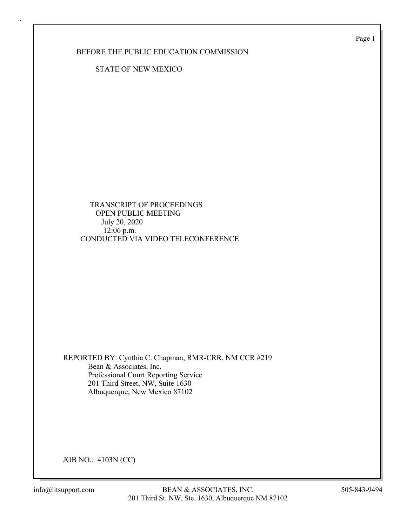Page 1

BEFORE THE PUBLIC EDUCATION COMMISSION

STATE OF NEW MEXICO

 TRANSCRIPT OF PROCEEDINGS OPEN PUBLIC MEETING July 20, 2020 12:06 p.m. CONDUCTED VIA VIDEO TELECONFERENCE

REPORTED BY: Cynthia C. Chapman, RMR-CRR, NM CCR #219 Bean & Associates, Inc. Professional Court Reporting Service 201 Third Street, NW, Suite 1630 Albuquerque, New Mexico 87102

JOB NO.: 4103N (CC)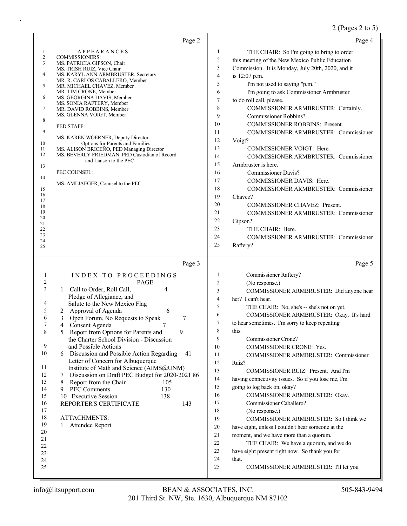## 2 (Pages 2 to 5)

|                   | Page 2                                                                                           |                | Page 4                                                  |
|-------------------|--------------------------------------------------------------------------------------------------|----------------|---------------------------------------------------------|
| 1                 | <b>APPEARANCES</b>                                                                               | 1              | THE CHAIR: So I'm going to bring to order               |
| 2<br>3            | COMMISSIONERS:                                                                                   | 2              | this meeting of the New Mexico Public Education         |
|                   | MS. PATRICIA GIPSON, Chair<br>MS. TRISH RUIZ, Vice Chair                                         | 3              | Commission. It is Monday, July 20th, 2020, and it       |
| 4                 | MS. KARYL ANN ARMBRUSTER, Secretary                                                              | 4              | is 12:07 p.m.                                           |
| 5                 | MR. R. CARLOS CABALLERO, Member<br>MR. MICHAEL CHAVEZ, Member                                    | 5              | I'm not used to saying "p.m."                           |
|                   | MR. TIM CRONE, Member                                                                            | 6              | I'm going to ask Commissioner Armbruster                |
| 6                 | MS. GEORGINA DAVIS, Member<br>MS. SONIA RAFTERY, Member                                          | 7              | to do roll call, please.                                |
| 7                 | MR. DAVID ROBBINS, Member                                                                        | 8              | COMMISSIONER ARMBRUSTER: Certainly.                     |
| 8                 | MS. GLENNA VOIGT, Member                                                                         | 9              | Commissioner Robbins?                                   |
|                   | PED STAFF:                                                                                       | 10             | <b>COMMISSIONER ROBBINS: Present.</b>                   |
| 9                 | MS. KAREN WOERNER, Deputy Director                                                               | 11             | <b>COMMISSIONER ARMBRUSTER: Commissioner</b>            |
| 10                | Options for Parents and Families                                                                 | 12             | Voigt?                                                  |
| 11<br>12          | MS. ALISON BRICEÑO, PED Managing Director<br>MS. BEVERLY FRIEDMAN, PED Custodian of Record       | 13             | COMMISSIONER VOIGT: Here.                               |
|                   | and Liaison to the PEC                                                                           | 14             | <b>COMMISSIONER ARMBRUSTER: Commissioner</b>            |
| 13                |                                                                                                  | 15             | Armbruster is here.                                     |
| 14                | PEC COUNSEL:                                                                                     | 16             | <b>Commissioner Davis?</b>                              |
|                   | MS. AMI JAEGER, Counsel to the PEC                                                               | 17             | COMMISSIONER DAVIS: Here.                               |
| 15<br>16          |                                                                                                  | 18<br>19       | COMMISSIONER ARMBRUSTER: Commissioner                   |
| 17                |                                                                                                  | 20             | Chavez?<br>COMMISSIONER CHAVEZ: Present.                |
| 18<br>19          |                                                                                                  | 21             | COMMISSIONER ARMBRUSTER: Commissioner                   |
| 20                |                                                                                                  | 22             | Gipson?                                                 |
| 21<br>22          |                                                                                                  | 23             | THE CHAIR: Here.                                        |
| 23                |                                                                                                  | 24             | COMMISSIONER ARMBRUSTER: Commissioner                   |
| 24<br>25          |                                                                                                  | 25             | Raftery?                                                |
|                   |                                                                                                  |                |                                                         |
|                   |                                                                                                  |                |                                                         |
|                   | Page 3                                                                                           |                | Page 5                                                  |
|                   |                                                                                                  | $\mathbf{1}$   |                                                         |
| $\mathbf{1}$<br>2 | INDEX TO PROCEEDINGS<br>PAGE                                                                     | $\overline{c}$ | Commissioner Raftery?<br>(No response.)                 |
| 3                 | Call to Order, Roll Call,<br>4<br>$\mathbf{1}$                                                   | 3              | COMMISSIONER ARMBRUSTER: Did anyone hear                |
|                   | Pledge of Allegiance, and                                                                        | $\overline{4}$ | her? I can't hear.                                      |
| 4                 | Salute to the New Mexico Flag                                                                    | 5              | THE CHAIR: No, she's -- she's not on yet.               |
| 5<br>6            | Approval of Agenda<br>6<br>2                                                                     | 6              | COMMISSIONER ARMBRUSTER: Okay. It's hard                |
| 7                 | Open Forum, No Requests to Speak<br>3<br>7<br>Consent Agenda<br>4<br>7                           | $\tau$         | to hear sometimes. I'm sorry to keep repeating          |
|                   | 9<br>5<br>Report from Options for Parents and                                                    | 8              | this.                                                   |
|                   | the Charter School Division - Discussion                                                         | 9              | Commissioner Crone?                                     |
| 9                 | and Possible Actions                                                                             | 10             | COMMISSIONER CRONE: Yes.                                |
| 10                | Discussion and Possible Action Regarding<br>41<br>6                                              | 11             | COMMISSIONER ARMBRUSTER: Commissioner                   |
| 11                | Letter of Concern for Albuquerque                                                                | 12             | Ruiz?                                                   |
| 12                | Institute of Math and Science (AIMS@UNM)<br>Discussion on Draft PEC Budget for 2020-2021 86<br>7 | 13             | COMMISSIONER RUIZ: Present. And I'm                     |
| 13                | 8<br>Report from the Chair<br>105                                                                | 14             | having connectivity issues. So if you lose me, I'm      |
| 14                | <b>PEC Comments</b><br>130<br>9                                                                  | 15             | going to log back on, okay?                             |
| 15                | 10 Executive Session<br>138                                                                      | 16             | COMMISSIONER ARMBRUSTER: Okay.                          |
| 16                | 143<br>REPORTER'S CERTIFICATE                                                                    | 17             | Commissioner Caballero?                                 |
| 17<br>18          | <b>ATTACHMENTS:</b>                                                                              | 18             | (No response.)                                          |
| 19                | Attendee Report<br>1                                                                             | 19             | COMMISSIONER ARMBRUSTER: So I think we                  |
| 20                |                                                                                                  | $20\,$         | have eight, unless I couldn't hear someone at the       |
| 21                |                                                                                                  | 21             | moment, and we have more than a quorum.                 |
| 22                |                                                                                                  | $22\,$<br>23   | THE CHAIR: We have a quorum, and we do                  |
| 23                |                                                                                                  | 24             | have eight present right now. So thank you for<br>that. |
| 24<br>25          |                                                                                                  | 25             | COMMISSIONER ARMBRUSTER: I'll let you                   |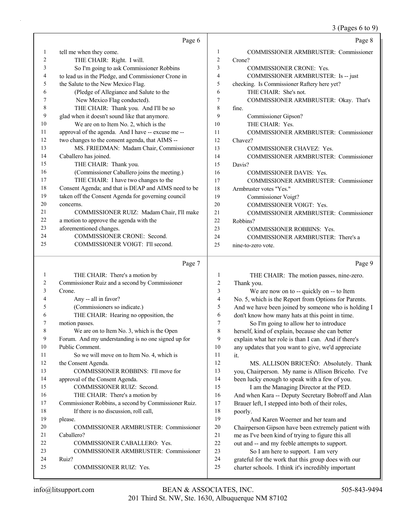|    |                                                      |        | $5 \times 10^{-10}$ or to $27$                       |
|----|------------------------------------------------------|--------|------------------------------------------------------|
|    | Page 6                                               |        | Page 8                                               |
| 1  | tell me when they come.                              | 1      | COMMISSIONER ARMBRUSTER: Commissioner                |
| 2  | THE CHAIR: Right. I will.                            | 2      | Crone?                                               |
| 3  | So I'm going to ask Commissioner Robbins             | 3      | COMMISSIONER CRONE: Yes.                             |
| 4  | to lead us in the Pledge, and Commissioner Crone in  | 4      | COMMISSIONER ARMBRUSTER: Is -- just                  |
| 5  | the Salute to the New Mexico Flag.                   | 5      | checking. Is Commissioner Raftery here yet?          |
| 6  | (Pledge of Allegiance and Salute to the              | 6      | THE CHAIR: She's not.                                |
| 7  | New Mexico Flag conducted).                          | 7      | COMMISSIONER ARMBRUSTER: Okay. That's                |
| 8  | THE CHAIR: Thank you. And I'll be so                 | 8      | fine.                                                |
| 9  | glad when it doesn't sound like that anymore.        | 9      | Commissioner Gipson?                                 |
| 10 | We are on to Item No. 2, which is the                | 10     | THE CHAIR: Yes.                                      |
| 11 | approval of the agenda. And I have -- excuse me --   | 11     | COMMISSIONER ARMBRUSTER: Commissioner                |
| 12 | two changes to the consent agenda, that AIMS --      | 12     | Chavez?                                              |
| 13 | MS. FRIEDMAN: Madam Chair, Commissioner              | 13     | COMMISSIONER CHAVEZ: Yes.                            |
| 14 | Caballero has joined.                                | 14     | <b>COMMISSIONER ARMBRUSTER: Commissioner</b>         |
| 15 | THE CHAIR: Thank you.                                | 15     | Davis?                                               |
| 16 | (Commissioner Caballero joins the meeting.)          | 16     | <b>COMMISSIONER DAVIS: Yes.</b>                      |
| 17 | THE CHAIR: I have two changes to the                 | 17     | <b>COMMISSIONER ARMBRUSTER: Commissioner</b>         |
| 18 | Consent Agenda; and that is DEAP and AIMS need to be | 18     | Armbruster votes "Yes."                              |
| 19 | taken off the Consent Agenda for governing council   | 19     | Commissioner Voigt?                                  |
| 20 | concerns.                                            | 20     | COMMISSIONER VOIGT: Yes.                             |
| 21 | COMMISSIONER RUIZ: Madam Chair, I'll make            | 21     | <b>COMMISSIONER ARMBRUSTER: Commissioner</b>         |
| 22 | a motion to approve the agenda with the              | 22     | Robbins?                                             |
| 23 | aforementioned changes.                              | 23     | COMMISSIONER ROBBINS: Yes.                           |
| 24 | COMMISSIONER CRONE: Second.                          | 24     | COMMISSIONER ARMBRUSTER: There's a                   |
| 25 | COMMISSIONER VOIGT: I'll second.                     | 25     | nine-to-zero vote.                                   |
|    | Page 7                                               |        | Page 9                                               |
| 1  | THE CHAIR: There's a motion by                       | 1      | THE CHAIR: The motion passes, nine-zero.             |
| 2  | Commissioner Ruiz and a second by Commissioner       | 2      | Thank you.                                           |
| 3  | Crone.                                               | 3      | We are now on to -- quickly on -- to Item            |
| 4  | Any -- all in favor?                                 | 4      | No. 5, which is the Report from Options for Parents. |
| 5  | (Commissioners so indicate.)                         | 5      | And we have been joined by someone who is holding I  |
| 6  | THE CHAIR: Hearing no opposition, the                | 6      | don't know how many hats at this point in time.      |
| 7  | motion passes.                                       | 7      | So I'm going to allow her to introduce               |
| 8  | We are on to Item No. 3, which is the Open           | 8      | herself, kind of explain, because she can better     |
| 9  | Forum. And my understanding is no one signed up for  | 9      | explain what her role is than I can. And if there's  |
| 10 | Public Comment.                                      | 10     | any updates that you want to give, we'd appreciate   |
| 11 | So we will move on to Item No. 4, which is           | 11     | it.                                                  |
| 12 | the Consent Agenda.                                  | 12     | MS. ALLISON BRICEÑO: Absolutely. Thank               |
| 13 | COMMISSIONER ROBBINS: I'll move for                  | 13     | you, Chairperson. My name is Allison Briceño. I've   |
| 14 | approval of the Consent Agenda.                      | 14     | been lucky enough to speak with a few of you.        |
| 15 | COMMISSIONER RUIZ: Second.                           | 15     | I am the Managing Director at the PED.               |
| 16 | THE CHAIR: There's a motion by                       | 16     | And when Kara -- Deputy Secretary Bobroff and Alan   |
| 17 | Commissioner Robbins, a second by Commissioner Ruiz. | 17     | Brauer left, I stepped into both of their roles,     |
| 18 | If there is no discussion, roll call,                | 18     | poorly.                                              |
| 19 | please.                                              | 19     | And Karen Woerner and her team and                   |
| 20 | COMMISSIONER ARMBRUSTER: Commissioner                | 20     | Chairperson Gipson have been extremely patient with  |
| 21 | Caballero?                                           | $21\,$ | me as I've been kind of trying to figure this all    |
|    |                                                      |        |                                                      |

- 22 out and -- and my feeble attempts to support.
- 23 So I am here to support. I am very
- 24 grateful for the work that this group does with our
- 25 charter schools. I think it's incredibly important

24 Ruiz?

22 COMMISSIONER CABALLERO: Yes.

25 COMMISSIONER RUIZ: Yes.

23 COMMISSIONER ARMBRUSTER: Commissioner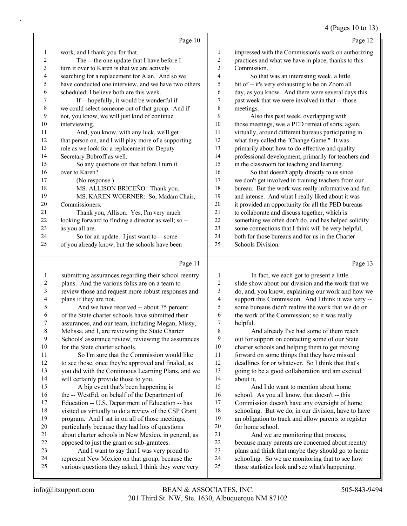#### 4 (Pages 10 to 13)

|    | Page 10                                              |    | Page 12                                              |
|----|------------------------------------------------------|----|------------------------------------------------------|
| 1  | work, and I thank you for that.                      | 1  | impressed with the Commission's work on authorizing  |
| 2  | The -- the one update that I have before I           | 2  | practices and what we have in place, thanks to this  |
| 3  | turn it over to Karen is that we are actively        | 3  | Commission.                                          |
| 4  | searching for a replacement for Alan. And so we      | 4  | So that was an interesting week, a little            |
| 5  | have conducted one interview, and we have two others | 5  | bit of -- it's very exhausting to be on Zoom all     |
| 6  | scheduled; I believe both are this week.             | 6  | day, as you know. And there were several days this   |
| 7  | If -- hopefully, it would be wonderful if            | 7  | past week that we were involved in that -- those     |
| 8  | we could select someone out of that group. And if    | 8  | meetings.                                            |
| 9  | not, you know, we will just kind of continue         | 9  | Also this past week, overlapping with                |
| 10 | interviewing.                                        | 10 | those meetings, was a PED retreat of sorts, again,   |
| 11 | And, you know, with any luck, we'll get              | 11 | virtually, around different bureaus participating in |
| 12 | that person on, and I will play more of a supporting | 12 | what they called the "Change Game." It was           |
| 13 | role as we look for a replacement for Deputy         | 13 | primarily about how to do effective and quality      |
| 14 | Secretary Bobroff as well.                           | 14 | professional development, primarily for teachers and |
| 15 | So any questions on that before I turn it            | 15 | in the classroom for teaching and learning.          |
| 16 | over to Karen?                                       | 16 | So that doesn't apply directly to us since           |
| 17 | (No response.)                                       | 17 | we don't get involved in training teachers from our  |
| 18 | MS. ALLISON BRICEÑO: Thank you.                      | 18 | bureau. But the work was really informative and fun  |
| 19 | MS. KAREN WOERNER: So, Madam Chair,                  | 19 | and intense. And what I really liked about it was    |
| 20 | Commissioners.                                       | 20 | it provided an opportunity for all the PED bureaus   |
| 21 | Thank you, Allison. Yes, I'm very much               | 21 | to collaborate and discuss together, which is        |
| 22 | looking forward to finding a director as well; so -- | 22 | something we often don't do, and has helped solidify |
| 23 | as you all are.                                      | 23 | some connections that I think will be very helpful,  |
| 24 | So for an update. I just want to -- some             | 24 | both for those bureaus and for us in the Charter     |
| 25 | of you already know, but the schools have been       | 25 | Schools Division.                                    |
|    | Page 11                                              |    | Page 13                                              |

#### Page |

| 1              | submitting assurances regarding their school reentry | 1      | In fact, we each got to present a little             |
|----------------|------------------------------------------------------|--------|------------------------------------------------------|
| $\overline{2}$ | plans. And the various folks are on a team to        | 2      | slide show about our division and the work that we   |
| 3              | review those and request more robust responses and   | 3      | do, and, you know, explaining our work and how we    |
| 4              | plans if they are not.                               | 4      | support this Commission. And I think it was very --  |
| 5              | And we have received -- about 75 percent             | 5      | some bureaus didn't realize the work that we do or   |
| 6              | of the State charter schools have submitted their    | 6      | the work of the Commission; so it was really         |
| 7              | assurances, and our team, including Megan, Missy,    | 7      | helpful.                                             |
| 8              | Melissa, and I, are reviewing the State Charter      | 8      | And already I've had some of them reach              |
| 9              | Schools' assurance review, reviewing the assurances  | 9      | out for support on contacting some of our State      |
| 10             | for the State charter schools.                       | $10\,$ | charter schools and helping them to get moving       |
| 11             | So I'm sure that the Commission would like           | 11     | forward on some things that they have missed         |
| 12             | to see those, once they're approved and finaled, as  | 12     | deadlines for or whatever. So I think that that's    |
| 13             | you did with the Continuous Learning Plans, and we   | 13     | going to be a good collaboration and am excited      |
| 14             | will certainly provide those to you.                 | 14     | about it.                                            |
| 15             | A big event that's been happening is                 | 15     | And I do want to mention about home                  |
| 16             | the -- WestEd, on behalf of the Department of        | 16     | school. As you all know, that doesn't -- this        |
| 17             | Education -- U.S. Department of Education -- has     | 17     | Commission doesn't have any oversight of home        |
| 18             | visited us virtually to do a review of the CSP Grant | 18     | schooling. But we do, in our division, have to have  |
| 19             | program. And I sat in on all of those meetings,      | 19     | an obligation to track and allow parents to register |
| 20             | particularly because they had lots of questions      | 20     | for home school.                                     |
| 21             | about charter schools in New Mexico, in general, as  | 21     | And we are monitoring that process,                  |
| 22             | opposed to just the grant or sub-grantees.           | 22     | because many parents are concerned about reentry     |
| 23             | And I want to say that I was very proud to           | 23     | plans and think that maybe they should go to home    |
| 24             | represent New Mexico on that group, because the      | 24     | schooling. So we are monitoring that to see how      |
| 25             | various questions they asked, I think they were very | 25     | those statistics look and see what's happening.      |
|                |                                                      |        |                                                      |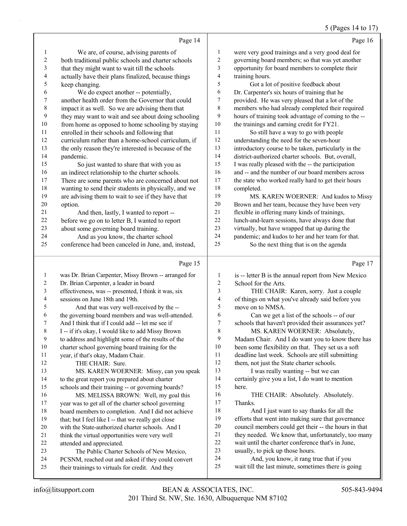#### 5 (Pages 14 to 17)

|                          | Page 14                                              |                         | Page 16                                              |
|--------------------------|------------------------------------------------------|-------------------------|------------------------------------------------------|
| 1                        | We are, of course, advising parents of               | $\mathbf{1}$            | were very good trainings and a very good deal for    |
| $\boldsymbol{2}$         | both traditional public schools and charter schools  | $\overline{c}$          | governing board members; so that was yet another     |
| $\mathfrak{Z}$           | that they might want to wait till the schools        | 3                       | opportunity for board members to complete their      |
| $\overline{\mathcal{L}}$ | actually have their plans finalized, because things  | $\overline{\mathbf{4}}$ | training hours.                                      |
| 5                        | keep changing.                                       | 5                       | Got a lot of positive feedback about                 |
| 6                        | We do expect another -- potentially,                 | 6                       | Dr. Carpenter's six hours of training that he        |
| $\sqrt{ }$               | another health order from the Governor that could    | 7                       | provided. He was very pleased that a lot of the      |
| $\,$ $\,$                | impact it as well. So we are advising them that      | 8                       | members who had already completed their required     |
| $\mathbf{9}$             | they may want to wait and see about doing schooling  | 9                       | hours of training took advantage of coming to the -- |
| $10\,$                   | from home as opposed to home schooling by staying    | $10\,$                  | the trainings and earning credit for FY21.           |
| $11\,$                   | enrolled in their schools and following that         | 11                      | So still have a way to go with people                |
| 12                       | curriculum rather than a home-school curriculum, if  | $12\,$                  | understanding the need for the seven-hour            |
| 13                       | the only reason they're interested is because of the | 13                      | introductory course to be taken, particularly in the |
| 14                       | pandemic.                                            | 14                      | district-authorized charter schools. But, overall,   |
| 15                       | So just wanted to share that with you as             | 15                      | I was really pleased with the -- the participation   |
| 16                       | an indirect relationship to the charter schools.     | 16                      | and -- and the number of our board members across    |
| $17$                     | There are some parents who are concerned about not   | $17$                    | the state who worked really hard to get their hours  |
| 18                       | wanting to send their students in physically, and we | 18                      | completed.                                           |
| 19                       | are advising them to wait to see if they have that   | 19                      | MS. KAREN WOERNER: And kudos to Missy                |
| $20\,$                   | option.                                              | $20\,$                  | Brown and her team, because they have been very      |
| 21                       | And then, lastly, I wanted to report --              | $21\,$                  | flexible in offering many kinds of trainings,        |
| 22                       | before we go on to letter B, I wanted to report      | $22\,$                  | lunch-and-learn sessions, have always done that      |
| 23                       | about some governing board training.                 | 23                      | virtually, but have wrapped that up during the       |
| 24                       | And as you know, the charter school                  | 24                      | pandemic; and kudos to her and her team for that.    |
| 25                       | conference had been canceled in June, and, instead,  | 25                      | So the next thing that is on the agenda              |
|                          | Page 15                                              |                         | Page 17                                              |
| $\mathbf{1}$             | was Dr. Brian Carpenter, Missy Brown -- arranged for | $\mathbf{1}$            | is -- letter B is the annual report from New Mexico  |
| $\sqrt{2}$               | Dr. Brian Carpenter, a leader in board               | $\overline{2}$          | School for the Arts.                                 |
| $\mathfrak{Z}$           | effectiveness, was -- presented, I think it was, six | 3                       | THE CHAIR: Karen, sorry. Just a couple               |
| $\overline{\mathcal{A}}$ | sessions on June 18th and 19th.                      | 4                       | of things on what you've already said before you     |
| 5                        | And that was very well-received by the --            | 5                       | move on to NMSA.                                     |
| 6                        | the governing board members and was well-attended.   | 6                       | Can we get a list of the schools -- of our           |
| $\boldsymbol{7}$         | And I think that if I could add -- let me see if     | $\boldsymbol{7}$        | schools that haven't provided their assurances yet?  |
| $\,$ $\,$                | I -- if it's okay, I would like to add Missy Brown   | $\,$ $\,$               | MS. KAREN WOERNER: Absolutely,                       |
| $\mathbf{9}$             | to address and highlight some of the results of the  | 9                       | Madam Chair. And I do want you to know there has     |
| 10                       | charter school governing board training for the      | 10                      | been some flexibility on that. They set us a soft    |
| $11\,$                   | year, if that's okay, Madam Chair.                   | 11                      | deadline last week. Schools are still submitting     |
| 12                       | THE CHAIR: Sure.                                     | 12                      | them, not just the State charter schools.            |

13 I was really wanting -- but we can

 certainly give you a list, I do want to mention here.

16 THE CHAIR: Absolutely. Absolutely. Thanks.

18 And I just want to say thanks for all the efforts that went into making sure that governance council members could get their -- the hours in that they needed. We know that, unfortunately, too many wait until the charter conference that's in June, usually, to pick up those hours.

- 24 And, you know, it rang true that if you
- wait till the last minute, sometimes there is going

attended and appreciated.

13 MS. KAREN WOERNER: Missy, can you speak

 to the great report you prepared about charter schools and their training -- or governing boards? 16 MS. MELISSA BROWN: Well, my goal this year was to get all of the charter school governing board members to completion. And I did not achieve 19 that; but I feel like I -- that we really got close with the State-authorized charter schools. And I 21 think the virtual opportunities were very well

23 The Public Charter Schools of New Mexico, PCSNM, reached out and asked if they could convert their trainings to virtuals for credit. And they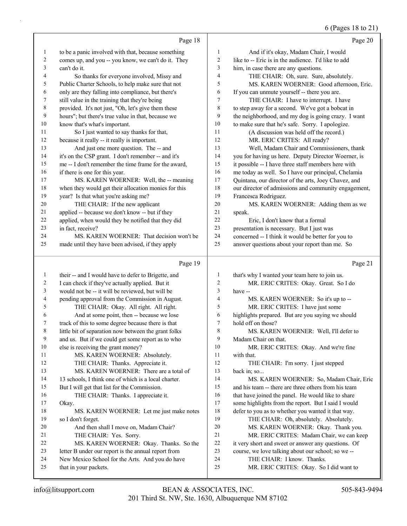#### 6 (Pages 18 to 21)

|              | Page 18                                                                                                     |                     | Page 20                                                                                                    |
|--------------|-------------------------------------------------------------------------------------------------------------|---------------------|------------------------------------------------------------------------------------------------------------|
|              |                                                                                                             |                     |                                                                                                            |
| $\mathbf{1}$ | to be a panic involved with that, because something                                                         | 1                   | And if it's okay, Madam Chair, I would                                                                     |
| 2            | comes up, and you -- you know, we can't do it. They                                                         | $\overline{c}$      | like to -- Eric is in the audience. I'd like to add                                                        |
| 3            | can't do it.                                                                                                | 3<br>$\overline{4}$ | him, in case there are any questions.                                                                      |
| 4            | So thanks for everyone involved, Missy and                                                                  |                     | THE CHAIR: Oh, sure. Sure, absolutely.                                                                     |
| 5            | Public Charter Schools, to help make sure that not                                                          | 5                   | MS. KAREN WOERNER: Good afternoon, Eric.                                                                   |
| 6            | only are they falling into compliance, but there's                                                          | 6                   | If you can unmute yourself -- there you are.                                                               |
| 7            | still value in the training that they're being                                                              | 7                   | THE CHAIR: I have to interrupt. I have                                                                     |
| 8            | provided. It's not just, "Oh, let's give them these                                                         | 8<br>9              | to step away for a second. We've got a bobcat in                                                           |
| 9            | hours"; but there's true value in that, because we                                                          | 10                  | the neighborhood, and my dog is going crazy. I want                                                        |
| 10           | know that's what's important.                                                                               | 11                  | to make sure that he's safe. Sorry. I apologize.                                                           |
| 11<br>12     | So I just wanted to say thanks for that,                                                                    | 12                  | (A discussion was held off the record.)                                                                    |
| 13           | because it really -- it really is important.                                                                | 13                  | MR. ERIC CRITES: All ready?                                                                                |
|              | And just one more question. The -- and                                                                      | 14                  | Well, Madam Chair and Commissioners, thank                                                                 |
| 14<br>15     | it's on the CSP grant. I don't remember -- and it's<br>me -- I don't remember the time frame for the award, | 15                  | you for having us here. Deputy Director Woerner, is<br>it possible -- I have three staff members here with |
|              |                                                                                                             | 16                  | me today as well. So I have our principal, Chelamia                                                        |
| 16<br>17     | if there is one for this year.<br>MS. KAREN WOERNER: Well, the -- meaning                                   | 17                  | Quintana, our director of the arts, Joey Chavez, and                                                       |
| 18           | when they would get their allocation monies for this                                                        | 18                  | our director of admissions and community engagement,                                                       |
| 19           | year? Is that what you're asking me?                                                                        | 19                  | Francesca Rodriguez.                                                                                       |
| 20           | THE CHAIR: If the new applicant                                                                             | 20                  | MS. KAREN WOERNER: Adding them as we                                                                       |
| 21           | applied -- because we don't know -- but if they                                                             | 21                  | speak.                                                                                                     |
| 22           | applied, when would they be notified that they did                                                          | 22                  | Eric, I don't know that a formal                                                                           |
| 23           | in fact, receive?                                                                                           | 23                  | presentation is necessary. But I just was                                                                  |
| 24           | MS. KAREN WOERNER: That decision won't be                                                                   | 24                  | concerned -- I think it would be better for you to                                                         |
| 25           | made until they have been advised, if they apply                                                            | 25                  | answer questions about your report than me. So                                                             |
|              |                                                                                                             |                     |                                                                                                            |
|              |                                                                                                             |                     |                                                                                                            |
|              | Page 19                                                                                                     |                     | Page 21                                                                                                    |
| 1            | their -- and I would have to defer to Brigette, and                                                         | 1                   | that's why I wanted your team here to join us.                                                             |
| 2            | I can check if they've actually applied. But it                                                             | $\overline{c}$      | MR. ERIC CRITES: Okay. Great. So I do                                                                      |
| 3            | would not be -- it will be reviewed, but will be                                                            | 3                   | have --                                                                                                    |
| 4            | pending approval from the Commission in August.                                                             | $\overline{4}$      | MS. KAREN WOERNER: So it's up to --                                                                        |
| 5            | THE CHAIR: Okay. All right. All right.                                                                      | 5                   | MR. ERIC CRITES: I have just some                                                                          |
| 6            | And at some point, then -- because we lose                                                                  | 6                   | highlights prepared. But are you saying we should                                                          |
| 7            | track of this to some degree because there is that                                                          | $\overline{7}$      | hold off on those?                                                                                         |
| 8            | little bit of separation now between the grant folks                                                        | 8                   | MS. KAREN WOERNER: Well, I'll defer to                                                                     |
| 9            | and us. But if we could get some report as to who                                                           | 9                   | Madam Chair on that.                                                                                       |
| 10           | else is receiving the grant money?                                                                          | 10                  | MR. ERIC CRITES: Okay. And we're fine                                                                      |
| 11           | MS. KAREN WOERNER: Absolutely.                                                                              | 11                  | with that.                                                                                                 |
| 12           | THE CHAIR: Thanks. Appreciate it.                                                                           | 12                  | THE CHAIR: I'm sorry. I just stepped                                                                       |
| 13           | MS. KAREN WOERNER: There are a total of                                                                     | 13                  | back in; so                                                                                                |
| 14           | 13 schools, I think one of which is a local charter.                                                        | 14                  | MS. KAREN WOERNER: So, Madam Chair, Eric                                                                   |
| 15           | But I will get that list for the Commission.                                                                | 15                  | and his team -- there are three others from his team                                                       |
| 16           | THE CHAIR: Thanks. I appreciate it.                                                                         | 16                  | that have joined the panel. He would like to share                                                         |
| 17           | Okay.                                                                                                       | 17                  | some highlights from the report. But I said I would                                                        |
| 18           | MS. KAREN WOERNER: Let me just make notes                                                                   | 18                  | defer to you as to whether you wanted it that way.                                                         |
| 19           | so I don't forget.                                                                                          | 19                  | THE CHAIR: Oh, absolutely. Absolutely.                                                                     |
| 20           | And then shall I move on, Madam Chair?                                                                      | 20                  | MS. KAREN WOERNER: Okay. Thank you.                                                                        |
| 21           | THE CHAIR: Yes. Sorry.                                                                                      | 21                  | MR. ERIC CRITES: Madam Chair, we can keep                                                                  |
| 22           | MS. KAREN WOERNER: Okay. Thanks. So the                                                                     | 22                  | it very short and sweet or answer any questions. Of                                                        |
| 23           | letter B under our report is the annual report from                                                         | 23                  | course, we love talking about our school; so we --                                                         |
| 24<br>25     | New Mexico School for the Arts. And you do have<br>that in your packets.                                    | 24<br>25            | THE CHAIR: I know. Thanks.<br>MR. ERIC CRITES: Okay. So I did want to                                      |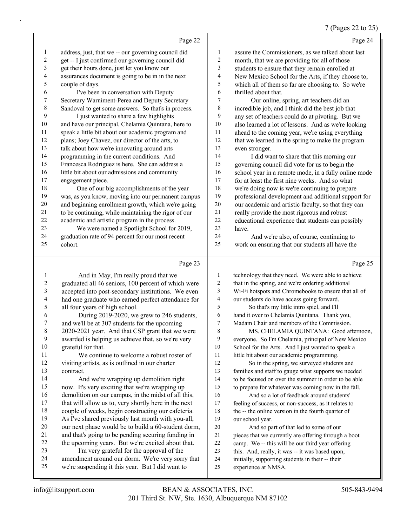#### 7 (Pages 22 to 25)

|    |                                                      |                | $, 1.45$ as $42.6$                                   |
|----|------------------------------------------------------|----------------|------------------------------------------------------|
|    | Page 22                                              |                | Page 24                                              |
| 1  | address, just, that we -- our governing council did  | 1              | assure the Commissioners, as we talked about last    |
| 2  | get -- I just confirmed our governing council did    | 2              | month, that we are providing for all of those        |
| 3  | get their hours done, just let you know our          | 3              | students to ensure that they remain enrolled at      |
| 4  | assurances document is going to be in in the next    | 4              | New Mexico School for the Arts, if they choose to,   |
| 5  | couple of days.                                      | 5              | which all of them so far are choosing to. So we're   |
| 6  | I've been in conversation with Deputy                | 6              | thrilled about that.                                 |
| 7  | Secretary Warniment-Perea and Deputy Secretary       | $\overline{7}$ | Our online, spring, art teachers did an              |
| 8  | Sandoval to get some answers. So that's in process.  | 8              | incredible job, and I think did the best job that    |
| 9  | I just wanted to share a few highlights              | 9              | any set of teachers could do at pivoting. But we     |
| 10 | and have our principal, Chelamia Quintana, here to   | 10             | also learned a lot of lessons. And as we're looking  |
| 11 | speak a little bit about our academic program and    | 11             | ahead to the coming year, we're using everything     |
| 12 | plans; Joey Chavez, our director of the arts, to     | 12             | that we learned in the spring to make the program    |
| 13 | talk about how we're innovating around arts          | 13             | even stronger.                                       |
| 14 | programming in the current conditions. And           | 14             | I did want to share that this morning our            |
| 15 | Francesca Rodriguez is here. She can address a       | 15             | governing council did vote for us to begin the       |
| 16 | little bit about our admissions and community        | 16             | school year in a remote mode, in a fully online mode |
| 17 | engagement piece.                                    | 17             | for at least the first nine weeks. And so what       |
| 18 | One of our big accomplishments of the year           | 18             | we're doing now is we're continuing to prepare       |
| 19 | was, as you know, moving into our permanent campus   | 19             | professional development and additional support for  |
| 20 | and beginning enrollment growth, which we're going   | 20             | our academic and artistic faculty, so that they can  |
| 21 | to be continuing, while maintaining the rigor of our | 21             | really provide the most rigorous and robust          |
| 22 | academic and artistic program in the process.        | 22             | educational experience that students can possibly    |
| 23 | We were named a Spotlight School for 2019,           | 23             | have.                                                |
| 24 | graduation rate of 94 percent for our most recent    | 24             | And we're also, of course, continuing to             |
| 25 | cohort.                                              | 25             | work on ensuring that our students all have the      |
|    | Page 23                                              |                | Page 25                                              |
| 1  | And in May, I'm really proud that we                 | 1              | technology that they need. We were able to achieve   |

|    | And in May, I'm really proud that we                 | 1  | technology that they need. We were able to achieve   |
|----|------------------------------------------------------|----|------------------------------------------------------|
| 2  | graduated all 46 seniors, 100 percent of which were  | 2  | that in the spring, and we're ordering additional    |
| 3  | accepted into post-secondary institutions. We even   | 3  | Wi-Fi hotspots and Chromebooks to ensure that all of |
| 4  | had one graduate who earned perfect attendance for   | 4  | our students do have access going forward.           |
| 5  | all four years of high school.                       | 5  | So that's my little intro spiel, and I'll            |
| 6  | During 2019-2020, we grew to 246 students,           | 6  | hand it over to Chelamia Quintana. Thank you,        |
| 7  | and we'll be at 307 students for the upcoming        | 7  | Madam Chair and members of the Commission.           |
| 8  | 2020-2021 year. And that CSP grant that we were      | 8  | MS. CHELAMIA QUINTANA: Good afternoon,               |
| 9  | awarded is helping us achieve that, so we're very    | 9  | everyone. So I'm Chelamia, principal of New Mexico   |
| 10 | grateful for that.                                   | 10 | School for the Arts. And I just wanted to speak a    |
| 11 | We continue to welcome a robust roster of            | 11 | little bit about our academic programming.           |
| 12 | visiting artists, as is outlined in our charter      | 12 | So in the spring, we surveyed students and           |
| 13 | contract.                                            | 13 | families and staff to gauge what supports we needed  |
| 14 | And we're wrapping up demolition right               | 14 | to be focused on over the summer in order to be able |
| 15 | now. It's very exciting that we're wrapping up       | 15 | to prepare for whatever was coming now in the fall.  |
| 16 | demolition on our campus, in the midst of all this,  | 16 | And so a lot of feedback around students'            |
| 17 | that will allow us to, very shortly here in the next | 17 | feeling of success, or non-success, as it relates to |
| 18 | couple of weeks, begin constructing our cafeteria.   | 18 | the -- the online version in the fourth quarter of   |
| 19 | As I've shared previously last month with you-all,   | 19 | our school year.                                     |
| 20 | our next phase would be to build a 60-student dorm,  | 20 | And so part of that led to some of our               |
| 21 | and that's going to be pending securing funding in   | 21 | pieces that we currently are offering through a boot |
| 22 | the upcoming years. But we're excited about that.    | 22 | camp. We -- this will be our third year offering     |
| 23 | I'm very grateful for the approval of the            | 23 | this. And, really, it was -- it was based upon,      |
| 24 | amendment around our dorm. We're very sorry that     | 24 | initially, supporting students in their -- their     |
| 25 | we're suspending it this year. But I did want to     | 25 | experience at NMSA.                                  |
|    |                                                      |    |                                                      |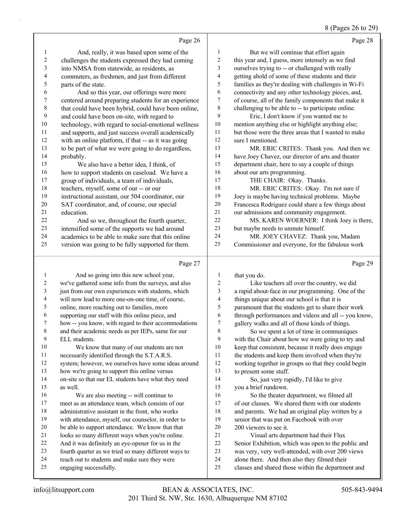#### 8 (Pages 26 to 29)

|                          | Page 26                                              |                         | Page 28                                              |
|--------------------------|------------------------------------------------------|-------------------------|------------------------------------------------------|
| 1                        | And, really, it was based upon some of the           | 1                       | But we will continue that effort again               |
| $\overline{c}$           | challenges the students expressed they had coming    | $\overline{\mathbf{c}}$ | this year and, I guess, more intensely as we find    |
| $\mathfrak{Z}$           | into NMSA from statewide, as residents, as           | 3                       | ourselves trying to -- or challenged with really     |
| $\overline{\mathcal{L}}$ | commuters, as freshmen, and just from different      | $\overline{\mathbf{4}}$ | getting ahold of some of these students and their    |
| 5                        | parts of the state.                                  | 5                       | families as they're dealing with challenges in Wi-Fi |
| 6                        | And so this year, our offerings were more            | 6                       | connectivity and any other technology pieces, and,   |
| $\boldsymbol{7}$         | centered around preparing students for an experience | $\boldsymbol{7}$        | of course, all of the family components that make it |
| $\,$ 8 $\,$              | that could have been hybrid, could have been online, | 8                       | challenging to be able to -- to participate online.  |
| 9                        | and could have been on-site, with regard to          | 9                       | Eric, I don't know if you wanted me to               |
| $10\,$                   | technology, with regard to social-emotional wellness | 10                      | mention anything else or highlight anything else;    |
| 11                       | and supports, and just success overall academically  | 11                      | but those were the three areas that I wanted to make |
| 12                       | with an online platform, if that -- as it was going  | 12                      | sure I mentioned.                                    |
| 13                       | to be part of what we were going to do regardless,   | 13                      | MR. ERIC CRITES: Thank you. And then we              |
| 14                       | probably.                                            | 14                      | have Joey Chavez, our director of arts and theater   |
| 15                       | We also have a better idea, I think, of              | 15                      | department chair, here to say a couple of things     |
| 16                       | how to support students on caseload. We have a       | 16                      | about our arts programming.                          |
| 17                       | group of individuals, a team of individuals,         | 17                      | THE CHAIR: Okay. Thanks.                             |
| 18                       | teachers, myself, some of our -- or our              | 18                      | MR. ERIC CRITES: Okay. I'm not sure if               |
| 19                       | instructional assistant, our 504 coordinator, our    | 19                      | Joey is maybe having technical problems. Maybe       |
| $20\,$                   | SAT coordinator, and, of course, our special         | 20                      | Francesca Rodriguez could share a few things about   |
| 21                       | education.                                           | 21                      | our admissions and community engagement.             |
| 22                       | And so we, throughout the fourth quarter,            | 22                      | MS. KAREN WOERNER: I think Joey is there,            |
| 23                       | intensified some of the supports we had around       | 23                      | but maybe needs to unmute himself.                   |
| 24                       | academics to be able to make sure that this online   | 24                      | MR. JOEY CHAVEZ: Thank you, Madam                    |
| 25                       | version was going to be fully supported for them.    | 25                      | Commissioner and everyone, for the fabulous work     |
|                          | Page 27                                              |                         | Page 29                                              |
| $\mathbf{1}$             | And so going into this new school year,              | $\mathbf{1}$            | that you do.                                         |
| 2                        | we've gathered some info from the surveys, and also  | $\overline{c}$          | Like teachers all over the country, we did           |
| 3                        | just from our own experiences with students, which   | 3                       | a rapid about-face in our programming. One of the    |
| $\overline{4}$           | will now lead to more one-on-one time, of course,    | $\overline{\mathbf{4}}$ | things unique about our school is that it is         |
| 5                        | online, more reaching out to families, more          | 5                       | paramount that the students get to share their work  |

supporting our staff with this online piece, and

how -- you know, with regard to their accommodations

 and their academic needs as per IEPs, same for our ELL students.

10 We know that many of our students are not necessarily identified through the S.T.A.R.S.

system; however, we ourselves have some ideas around

how we're going to support this online versus

 on-site so that our EL students have what they need as well.

16 We are also meeting -- will continue to meet as an attendance team, which consists of our administrative assistant in the front, who works

with attendance, myself, our counselor, in order to

- be able to support attendance. We know that that
- looks so many different ways when you're online.
- And it was definitely an eye-opener for us in the
- fourth quarter as we tried so many different ways to
- reach out to students and make sure they were
- engaging successfully.

 paramount that the students get to share their work through performances and videos and all -- you know,

gallery walks and all of those kinds of things.

8 So we spent a lot of time in communiques with the Chair about how we were going to try and keep that consistent, because it really does engage the students and keep them involved when they're working together in groups so that they could begin to present some stuff.

14 So, just very rapidly, I'd like to give you a brief rundown.

16 So the theater department, we filmed all of our classes. We shared them with our students and parents. We had an original play written by a senior that was put on Facebook with over 200 viewers to see it.

- 21 Visual arts department had their Flux
- Senior Exhibition, which was open to the public and
- was very, very well-attended, with over 200 views
- alone there. And then also they filmed their
- classes and shared those within the department and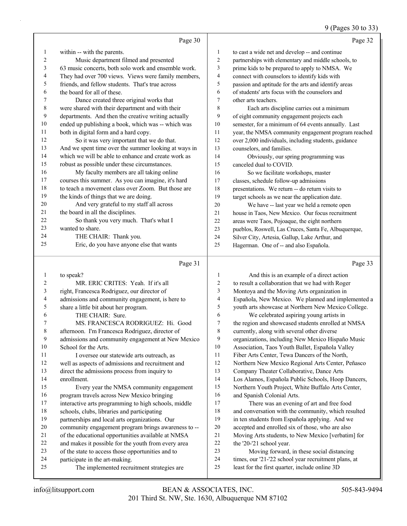#### 9 (Pages 30 to 33)

|    | Page 30                                              |                | Page 32                                              |
|----|------------------------------------------------------|----------------|------------------------------------------------------|
| 1  | within -- with the parents.                          | 1              | to cast a wide net and develop -- and continue       |
| 2  | Music department filmed and presented                | 2              | partnerships with elementary and middle schools, to  |
| 3  | 63 music concerts, both solo work and ensemble work. | 3              | prime kids to be prepared to apply to NMSA. We       |
| 4  | They had over 700 views. Views were family members,  | $\overline{4}$ | connect with counselors to identify kids with        |
| 5  | friends, and fellow students. That's true across     | 5              | passion and aptitude for the arts and identify areas |
| 6  | the board for all of these.                          | 6              | of students' arts focus with the counselors and      |
| 7  | Dance created three original works that              | 7              | other arts teachers.                                 |
| 8  | were shared with their department and with their     | 8              | Each arts discipline carries out a minimum           |
| 9  | departments. And then the creative writing actually  | 9              | of eight community engagement projects each          |
| 10 | ended up publishing a book, which was -- which was   | 10             | semester, for a minimum of 64 events annually. Last  |
| 11 | both in digital form and a hard copy.                | 11             | year, the NMSA community engagement program reached  |
| 12 | So it was very important that we do that.            | 12             | over 2,000 individuals, including students, guidance |
| 13 | And we spent time over the summer looking at ways in | 13             | counselors, and families.                            |
| 14 | which we will be able to enhance and create work as  | 14             | Obviously, our spring programming was                |
| 15 | robust as possible under these circumstances.        | 15             | canceled dual to COVID.                              |
| 16 | My faculty members are all taking online             | 16             | So we facilitate workshops, master                   |
| 17 | courses this summer. As you can imagine, it's hard   | 17             | classes, schedule follow-up admissions               |
| 18 | to teach a movement class over Zoom. But those are   | 18             | presentations. We return -- do return visits to      |
| 19 | the kinds of things that we are doing.               | 19             | target schools as we near the application date.      |
| 20 | And very grateful to my staff all across             | 20             | We have -- last year we held a remote open           |
| 21 | the board in all the disciplines.                    | 21             | house in Taos, New Mexico. Our focus recruitment     |
| 22 | So thank you very much. That's what I                | 22             | areas were Taos, Pojoaque, the eight northern        |
| 23 | wanted to share.                                     | 23             | pueblos, Roswell, Las Cruces, Santa Fe, Albuquerque, |
| 24 | THE CHAIR: Thank you.                                | 24             | Silver City, Artesia, Gallup, Lake Arthur, and       |
| 25 | Eric, do you have anyone else that wants             | 25             | Hagerman. One of -- and also Española.               |
|    | Page 31                                              |                | Page 33                                              |
| 1  | to speak?                                            | $\mathbf{1}$   | And this is an example of a direct action            |

## 2 MR. ERIC CRITES: Yeah. If it's all right, Francesca Rodriguez, our director of

 admissions and community engagement, is here to share a little bit about her program. 6 THE CHAIR: Sure. 7 MS. FRANCESCA RODRIGUEZ: Hi. Good afternoon. I'm Francesca Rodriguez, director of admissions and community engagement at New Mexico School for the Arts. 11 I oversee our statewide arts outreach, as well as aspects of admissions and recruitment and direct the admissions process from inquiry to enrollment. 15 Every year the NMSA community engagement program travels across New Mexico bringing interactive arts programming to high schools, middle schools, clubs, libraries and participating partnerships and local arts organizations. Our community engagement program brings awareness to -- of the educational opportunities available at NMSA and makes it possible for the youth from every area of the state to access those opportunities and to participate in the art-making.

25 The implemented recruitment strategies are

| 1                       | And this is an example of a direct action           |
|-------------------------|-----------------------------------------------------|
| 2                       | to result a collaboration that we had with Roger    |
| 3                       | Montoya and the Moving Arts organization in         |
| $\overline{\mathbf{4}}$ | Española, New Mexico. We planned and implemented a  |
| 5                       | youth arts showcase at Northern New Mexico College. |
| 6                       | We celebrated aspiring young artists in             |
| 7                       | the region and showcased students enrolled at NMSA  |
| 8                       | currently, along with several other diverse         |
| 9                       | organizations, including New Mexico Hispaño Music   |
| 10                      | Association, Taos Youth Ballet, Española Valley     |
| 11                      | Fiber Arts Center, Tewa Dancers of the North,       |
| 12                      | Northern New Mexico Regional Arts Center, Peñasco   |
| 13                      | Company Theater Collaborative, Dance Arts           |
| 14                      | Los Alamos, Española Public Schools, Hoop Dancers,  |
| 15                      | Northern Youth Project, White Buffalo Arts Center,  |
| 16                      | and Spanish Colonial Arts.                          |
| 17                      | There was an evening of art and free food           |
| 18                      | and conversation with the community, which resulted |
| 19                      | in ten students from Española applying. And we      |
| 20                      | accepted and enrolled six of those, who are also    |
| 21                      | Moving Arts students, to New Mexico [verbatim] for  |
| 22                      | the '20-'21 school year.                            |
| วว                      | Moving forward in these social distancing           |

23 Moving forward, in these social distancing times, our '21-'22 school year recruitment plans, at

- 
- least for the first quarter, include online 3D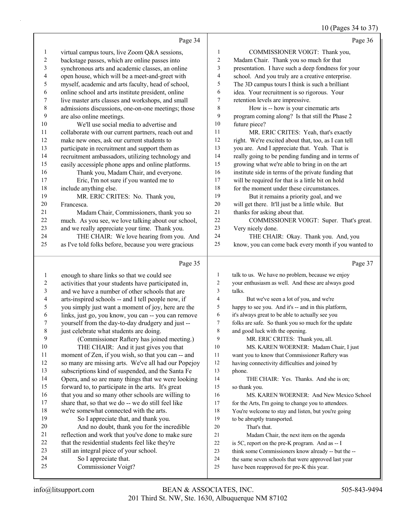## 10 (Pages 34 to 37)

|                          | Page 34                                              |                          | Page 36                                              |
|--------------------------|------------------------------------------------------|--------------------------|------------------------------------------------------|
| $\mathbf{1}$             | virtual campus tours, live Zoom Q&A sessions,        | $\mathbf{1}$             | COMMISSIONER VOIGT: Thank you,                       |
| $\sqrt{2}$               | backstage passes, which are online passes into       | $\sqrt{2}$               | Madam Chair. Thank you so much for that              |
| $\sqrt{3}$               | synchronous arts and academic classes, an online     | $\mathfrak{Z}$           | presentation. I have such a deep fondness for your   |
| $\overline{\mathcal{L}}$ | open house, which will be a meet-and-greet with      | $\overline{4}$           | school. And you truly are a creative enterprise.     |
| 5                        | myself, academic and arts faculty, head of school,   | 5                        | The 3D campus tours I think is such a brilliant      |
| 6                        | online school and arts institute president, online   | 6                        | idea. Your recruitment is so rigorous. Your          |
| 7                        | live master arts classes and workshops, and small    | $\tau$                   | retention levels are impressive.                     |
| $\,$ $\,$                | admissions discussions, one-on-one meetings; those   | $\,$ $\,$                | How is -- how is your cinematic arts                 |
| 9                        | are also online meetings.                            | 9                        | program coming along? Is that still the Phase 2      |
| $10\,$                   | We'll use social media to advertise and              | $10\,$                   | future piece?                                        |
| 11                       | collaborate with our current partners, reach out and | 11                       | MR. ERIC CRITES: Yeah, that's exactly                |
| 12                       | make new ones, ask our current students to           | 12                       | right. We're excited about that, too, as I can tell  |
| 13                       | participate in recruitment and support them as       | 13                       | you are. And I appreciate that. Yeah. That is        |
| 14                       | recruitment ambassadors, utilizing technology and    | 14                       | really going to be pending funding and in terms of   |
| 15                       | easily accessiple phone apps and online platforms.   | 15                       | growing what we're able to bring in on the art       |
| 16                       | Thank you, Madam Chair, and everyone.                | 16                       | institute side in terms of the private funding that  |
| 17                       | Eric, I'm not sure if you wanted me to               | 17                       | will be required for that is a little bit on hold    |
| 18                       | include anything else.                               | 18                       | for the moment under these circumstances.            |
| 19                       | MR. ERIC CRITES: No. Thank you,                      | 19                       | But it remains a priority goal, and we               |
| 20                       | Francesca.                                           | $20\,$                   | will get there. It'll just be a little while. But    |
| 21                       | Madam Chair, Commissioners, thank you so             | $21$                     | thanks for asking about that.                        |
| 22                       | much. As you see, we love talking about our school,  | $22\,$                   | COMMISSIONER VOIGT: Super. That's great.             |
| 23                       | and we really appreciate your time. Thank you.       | 23                       | Very nicely done.                                    |
| 24                       | THE CHAIR: We love hearing from you. And             | 24                       | THE CHAIR: Okay. Thank you. And, you                 |
| 25                       | as I've told folks before, because you were gracious | 25                       | know, you can come back every month if you wanted to |
|                          | Page 35                                              |                          | Page 37                                              |
| $\mathbf{1}$             | enough to share links so that we could see           | $\mathbf{1}$             | talk to us. We have no problem, because we enjoy     |
| $\overline{c}$           | activities that your students have participated in,  | 2                        | your enthusiasm as well. And these are always good   |
| $\sqrt{3}$               | and we have a number of other schools that are       | 3                        | talks.                                               |
| $\overline{\mathcal{A}}$ | arts-inspired schools -- and I tell people now, if   | $\overline{\mathcal{L}}$ | But we've seen a lot of you, and we're               |
| $\sqrt{5}$               | you simply just want a moment of joy, here are the   | 5                        | happy to see you. And it's -- and in this platform,  |
| 6                        | links, just go, you know, you can -- you can remove  | 6                        | it's always great to be able to actually see you     |
| $\boldsymbol{7}$         | yourself from the day-to-day drudgery and just --    | 7                        | folks are safe. So thank you so much for the update  |
| 8                        | just celebrate what students are doing.              | 8                        | and good luck with the opening.                      |
| 9                        | (Commissioner Raftery has joined meeting.)           | 9                        | MR. ERIC CRITES: Thank you, all.                     |
| 10                       | THE CHAIR: And it just gives you that                | 10                       | MS. KAREN WOERNER: Madam Chair, I just               |
| 11                       | moment of Zen, if you wish, so that you can -- and   | 11                       | want you to know that Commissioner Raftery was       |
| 12                       | so many are missing arts. We've all had our Popejoy  | 12                       | having connectivity difficulties and joined by       |
| 13                       | subscriptions kind of suspended, and the Santa Fe    | 13                       | phone.                                               |
| 14                       | Opera, and so are many things that we were looking   | 14                       | THE CHAIR: Yes. Thanks. And she is on;               |
| 15                       | forward to, to participate in the arts. It's great   | 15                       | so thank you.                                        |
| 16                       | that you and so many other schools are willing to    | 16                       | MS. KAREN WOERNER: And New Mexico School             |
| $17\,$                   | share that, so that we do -- we do still feel like   |                          | for the Arts, I'm going to change you to attendees.  |
| 18                       |                                                      | 17                       |                                                      |
|                          | we're somewhat connected with the arts.              | 18                       | You're welcome to stay and listen, but you're going  |
| 19                       | So I appreciate that, and thank you.                 | 19                       | to be abruptly transported.                          |
| $20\,$                   | And no doubt, thank you for the incredible           | 20                       | That's that.                                         |
| 21                       | reflection and work that you've done to make sure    | 21                       | Madam Chair, the next item on the agenda             |
| $22\,$                   | that the residential students feel like they're      | $22\,$                   | is 5C, report on the pre-K program. And as -- I      |
| $23\,$                   | still an integral piece of your school.              | 23                       | think some Commissioners know already -- but the --  |
| 24                       | So I appreciate that.                                | 24                       | the same seven schools that were approved last year  |
| 25                       | Commissioner Voigt?                                  | 25                       | have been reapproved for pre-K this year.            |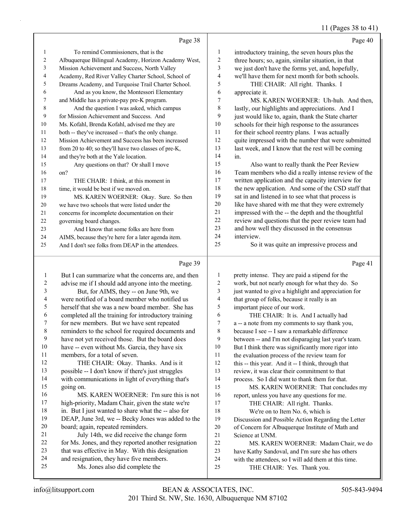## 11 (Pages 38 to 41)

|    | Page 38                                              |    | Page 40                                             |
|----|------------------------------------------------------|----|-----------------------------------------------------|
| 1  | To remind Commissioners, that is the                 | 1  | introductory training, the seven hours plus the     |
| 2  | Albuquerque Bilingual Academy, Horizon Academy West, | 2  | three hours; so, again, similar situation, in that  |
| 3  | Mission Achievement and Success, North Valley        | 3  | we just don't have the forms yet, and, hopefully,   |
| 4  | Academy, Red River Valley Charter School, School of  | 4  | we'll have them for next month for both schools.    |
| 5. | Dreams Academy, and Turquoise Trail Charter School.  | 5  | THE CHAIR: All right. Thanks. I                     |
| 6  | And as you know, the Montessori Elementary           | 6  | appreciate it.                                      |
| 7  | and Middle has a private-pay pre-K program.          | 7  | MS. KAREN WOERNER: Uh-huh. And then.                |
| 8  | And the question I was asked, which campus           | 8  | lastly, our highlights and appreciations. And I     |
| 9  | for Mission Achievement and Success. And             | 9  | just would like to, again, thank the State charter  |
| 10 | Ms. Kofahl, Brenda Kofahl, advised me they are       | 10 | schools for their high response to the assurances   |
| 11 | both -- they've increased -- that's the only change. | 11 | for their school reentry plans. I was actually      |
| 12 | Mission Achievement and Success has been increased   | 12 | quite impressed with the number that were submitted |
| 13 | from 20 to 40; so they'll have two classes of pre-K, | 13 | last week, and I know that the rest will be coming  |
| 14 | and they're both at the Yale location.               | 14 | in.                                                 |
| 15 | Any questions on that? Or shall I move               | 15 | Also want to really thank the Peer Review           |
| 16 | on?                                                  | 16 | Team members who did a really intense review of the |
| 17 | THE CHAIR: I think, at this moment in                | 17 | written application and the capacity interview for  |
| 18 | time, it would be best if we moved on.               | 18 | the new application. And some of the CSD staff that |
| 19 | MS. KAREN WOERNER: Okay. Sure. So then               | 19 | sat in and listened in to see what that process is  |
| 20 | we have two schools that were listed under the       | 20 | like have shared with me that they were extremely   |
| 21 | concerns for incomplete documentation on their       | 21 | impressed with the -- the depth and the thoughtful  |
| 22 | governing board changes.                             | 22 | review and questions that the peer review team had  |
| 23 | And I know that some folks are here from             | 23 | and how well they discussed in the consensus        |
| 24 | AIMS, because they're here for a later agenda item.  | 24 | interview.                                          |
| 25 | And I don't see folks from DEAP in the attendees.    | 25 | So it was quite an impressive process and           |

# $\overline{p_{\text{20}}$  30

|    | Page 39                                              |    | Page 41                                              |
|----|------------------------------------------------------|----|------------------------------------------------------|
| 1  | But I can summarize what the concerns are, and then  | 1  | pretty intense. They are paid a stipend for the      |
| 2  | advise me if I should add anyone into the meeting.   | 2  | work, but not nearly enough for what they do. So     |
| 3  | But, for AIMS, they -- on June 9th, we               | 3  | just wanted to give a highlight and appreciation for |
| 4  | were notified of a board member who notified us      | 4  | that group of folks, because it really is an         |
| 5  | herself that she was a new board member. She has     | 5  | important piece of our work.                         |
| 6  | completed all the training for introductory training | 6  | THE CHAIR: It is. And I actually had                 |
| 7  | for new members. But we have sent repeated           | 7  | a -- a note from my comments to say thank you,       |
| 8  | reminders to the school for required documents and   | 8  | because I see -- I saw a remarkable difference       |
| 9  | have not yet received those. But the board does      | 9  | between -- and I'm not disparaging last year's team. |
| 10 | have -- even without Ms. Garcia, they have six       | 10 | But I think there was significantly more rigor into  |
| 11 | members, for a total of seven.                       | 11 | the evaluation process of the review team for        |
| 12 | THE CHAIR: Okay. Thanks. And is it                   | 12 | this -- this year. And it -- I think, through that   |
| 13 | possible -- I don't know if there's just struggles   | 13 | review, it was clear their commitment to that        |
| 14 | with communications in light of everything that's    | 14 | process. So I did want to thank them for that.       |
| 15 | going on.                                            | 15 | MS. KAREN WOERNER: That concludes my                 |
| 16 | MS. KAREN WOERNER: I'm sure this is not              | 16 | report, unless you have any questions for me.        |
| 17 | high-priority, Madam Chair, given the state we're    | 17 | THE CHAIR: All right. Thanks.                        |
| 18 | in. But I just wanted to share what the -- also for  | 18 | We're on to Item No. 6, which is                     |
| 19 | DEAP, June 3rd, we -- Becky Jones was added to the   | 19 | Discussion and Possible Action Regarding the Letter  |
| 20 | board; again, repeated reminders.                    | 20 | of Concern for Albuquerque Institute of Math and     |
| 21 | July 14th, we did receive the change form            | 21 | Science at UNM.                                      |
| 22 | for Ms. Jones, and they reported another resignation | 22 | MS. KAREN WOERNER: Madam Chair, we do                |
| 23 | that was effective in May. With this designation     | 23 | have Kathy Sandoval, and I'm sure she has others     |
| 24 | and resignation, they have five members.             | 24 | with the attendees, so I will add them at this time. |
| 25 | Ms. Jones also did complete the                      | 25 | THE CHAIR: Yes. Thank you.                           |
|    |                                                      |    |                                                      |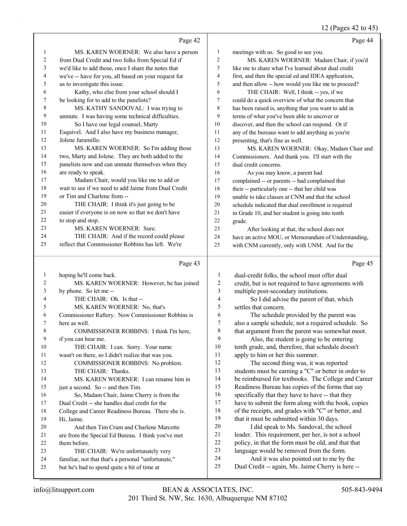#### 12 (Pages  $42$  to  $45$ )

|                |                                                      |                         | $12$ (1 ages $72$ to $79$ )                          |
|----------------|------------------------------------------------------|-------------------------|------------------------------------------------------|
|                | Page 42                                              |                         | Page 44                                              |
| 1              | MS. KAREN WOERNER: We also have a person             | $\mathbf{1}$            | meetings with us. So good to see you.                |
| $\overline{c}$ | from Dual Credit and two folks from Special Ed if    | $\overline{c}$          | MS. KAREN WOERNER: Madam Chair, if you'd             |
| 3              | we'd like to add those, once I share the notes that  | 3                       | like me to share what I've learned about dual credit |
| 4              | we've -- have for you, all based on your request for | $\overline{4}$          | first, and then the special ed and IDEA application, |
| 5              | us to investigate this issue.                        | 5                       | and then allow -- how would you like me to proceed?  |
| 6              | Kathy, who else from your school should I            | 6                       | THE CHAIR: Well, I think -- yes, if we               |
| 7              | be looking for to add to the panelists?              | 7                       | could do a quick overview of what the concern that   |
| 8              | MS. KATHY SANDOVAL: I was trying to                  | 8                       | has been raised is, anything that you want to add in |
| 9              | unmute. I was having some technical difficulties.    | 9                       | terms of what you've been able to uncover or         |
| 10             | So I have our legal counsel, Marty                   | 10                      | discover, and then the school can respond. Or if     |
| 11             | Esquivel. And I also have my business manager,       | 11                      | any of the bureaus want to add anything as you're    |
| 12             | Jolene Jaramillo.                                    | 12                      | presenting, that's fine as well.                     |
| 13             | MS. KAREN WOERNER: So I'm adding those               | 13                      | MS. KAREN WOERNER: Okay, Madam Chair and             |
| 14             | two, Marty and Jolene. They are both added to the    | 14                      | Commissioners. And thank you. I'll start with the    |
| 15             | panelists now and can unmute themselves when they    | 15                      | dual credit concerns.                                |
| $16\,$         | are ready to speak.                                  | 16                      | As you may know, a parent had                        |
| 17             | Madam Chair, would you like me to add or             | 17                      | complained -- or parents -- had complained that      |
| 18             | wait to see if we need to add Jaime from Dual Credit | 18                      | their -- particularly one -- that her child was      |
| 19             | or Tim and Charlene from --                          | 19                      | unable to take classes at CNM and that the school    |
| 20             | THE CHAIR: I think it's just going to be             | 20                      | schedule indicated that dual enrollment is required  |
| 21             | easier if everyone is on now so that we don't have   | 21                      | in Grade 10, and her student is going into tenth     |
| 22             | to stop and stop.                                    | 22                      | grade.                                               |
| 23             | MS. KAREN WOERNER: Sure.                             | 23                      | After looking at that, the school does not           |
| 24             | THE CHAIR: And if the record could please            | 24                      | have an active MOU, or Memorandum of Understanding,  |
| 25             | reflect that Commissioner Robbins has left. We're    | 25                      | with CNM currently, only with UNM. And for the       |
|                | Page 43                                              |                         | Page 45                                              |
| $\mathbf{1}$   | hoping he'll come back.                              | 1                       | dual-credit folks, the school must offer dual        |
| 2              | MS. KAREN WOERNER: However, he has joined            | 2                       | credit, but is not required to have agreements with  |
| 3              | by phone. So let me --                               | 3                       | multiple post-secondary institutions.                |
| 4              | THE CHAIR: Oh. Is that --                            | $\overline{\mathbf{4}}$ | So I did advise the parent of that, which            |
| 5              | MS. KAREN WOERNER: No, that's                        | 5                       | settles that concern.                                |
| 6              | Commissioner Raftery. Now Commissioner Robbins is    | 6                       | The schedule provided by the parent was              |
| 7              | here as well.                                        | $\boldsymbol{7}$        | also a sample schedule, not a required schedule. So  |
| 8              | COMMISSIONER ROBBINS: I think I'm here,              | 8                       | that argument from the parent was somewhat moot.     |

8 COMMISSIONER ROBBINS: I think I'm here, if you can hear me.

10 THE CHAIR: I can. Sorry. Your name

wasn't on there, so I didn't realize that was you.

12 COMMISSIONER ROBBINS: No problem. 13 THE CHAIR: Thanks.

14 MS. KAREN WOERNER: I can rename him in just a second. So -- and then Tim. 16 So, Madam Chair, Jaime Cherry is from the

 Dual Credit -- she handles dual credit for the College and Career Readiness Bureau. There she is.

Hi, Jaime.

- 20 And then Tim Crum and Charlene Marcotte are from the Special Ed Bureau. I think you've met
- them before.
- 23 THE CHAIR: We're unfortunately very familiar, not that that's a personal "unfortunate,"
- but he's had to spend quite a bit of time at

 tenth grade, and, therefore, that schedule doesn't apply to him or her this summer. 12 The second thing was, it was reported students must be earning a "C" or better in order to

9 Also, the student is going to be entering

 be reimbursed for textbooks. The College and Career Readiness Bureau has copies of the forms that say 16 specifically that they have to have -- that they

 have to submit the form along with the book, copies of the receipts, and grades with "C" or better, and 19 that it must be submitted within 30 days.

20 I did speak to Ms. Sandoval, the school leader. This requirement, per her, is not a school policy, in that the form must be old, and that that language would be removed from the form.

- 24 And it was also pointed out to me by the
- Dual Credit -- again, Ms. Jaime Cherry is here --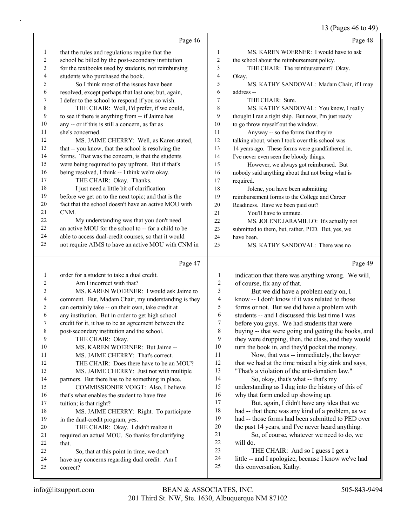## 13 (Pages 46 to 49)

|              | Page 46                                                   |                | Page 48                                                                          |
|--------------|-----------------------------------------------------------|----------------|----------------------------------------------------------------------------------|
| 1            | that the rules and regulations require that the           | $\mathbf{1}$   | MS. KAREN WOERNER: I would have to ask                                           |
| 2            | school be billed by the post-secondary institution        | $\overline{c}$ | the school about the reimbursement policy.                                       |
| 3            | for the textbooks used by students, not reimbursing       | 3              | THE CHAIR: The reimbursement? Okay.                                              |
| 4            | students who purchased the book.                          | $\overline{4}$ | Okay.                                                                            |
| 5            | So I think most of the issues have been                   | 5              | MS. KATHY SANDOVAL: Madam Chair, if I may                                        |
| 6            | resolved, except perhaps that last one; but, again,       | 6              | address-                                                                         |
| 7            | I defer to the school to respond if you so wish.          | 7              | THE CHAIR: Sure.                                                                 |
| $\,$ 8 $\,$  | THE CHAIR: Well, I'd prefer, if we could,                 | 8              | MS. KATHY SANDOVAL: You know, I really                                           |
| 9            | to see if there is anything from -- if Jaime has          | 9              | thought I ran a tight ship. But now, I'm just ready                              |
| 10           | any -- or if this is still a concern, as far as           | 10             | to go throw myself out the window.                                               |
| 11           | she's concerned.                                          | 11             | Anyway -- so the forms that they're                                              |
| 12           | MS. JAIME CHERRY: Well, as Karen stated,                  | 12             | talking about, when I took over this school was                                  |
| 13           | that -- you know, that the school is resolving the        | 13             | 14 years ago. These forms were grandfathered in.                                 |
| 14           | forms. That was the concern, is that the students         | 14             | I've never even seen the bloody things.                                          |
| 15           | were being required to pay upfront. But if that's         | 15             | However, we always got reimbursed. But                                           |
| 16           | being resolved, I think -- I think we're okay.            | 16             | nobody said anything about that not being what is                                |
| 17           | THE CHAIR: Okay. Thanks.                                  | 17             | required.                                                                        |
| 18           | I just need a little bit of clarification                 | 18             | Jolene, you have been submitting                                                 |
| 19           | before we get on to the next topic; and that is the       | 19             | reimbursement forms to the College and Career                                    |
| 20           | fact that the school doesn't have an active MOU with      | 20             | Readiness. Have we been paid out?                                                |
| 21           | CNM.                                                      | 21             | You'll have to unmute.                                                           |
| 22           | My understanding was that you don't need                  | 22             | MS. JOLENE JARAMILLO: It's actually not                                          |
| 23           | an active MOU for the school to -- for a child to be      | 23             | submitted to them, but, rather, PED. But, yes, we                                |
| 24           | able to access dual-credit courses, so that it would      | 24             | have been.                                                                       |
| 25           | not require AIMS to have an active MOU with CNM in        | 25             | MS. KATHY SANDOVAL: There was no                                                 |
|              |                                                           |                |                                                                                  |
|              | Page 47                                                   |                | Page 49                                                                          |
| $\mathbf{1}$ | order for a student to take a dual credit.                | 1              |                                                                                  |
| 2            | Am I incorrect with that?                                 | 2              | indication that there was anything wrong. We will,                               |
| 3            | MS. KAREN WOERNER: I would ask Jaime to                   | 3              | of course, fix any of that.<br>But we did have a problem early on, I             |
| 4            | comment. But, Madam Chair, my understanding is they       | 4              | know -- I don't know if it was related to those                                  |
| 5            | can certainly take -- on their own, take credit at        | 5              | forms or not. But we did have a problem with                                     |
| 6            | any institution. But in order to get high school          | 6              | students -- and I discussed this last time I was                                 |
| 7            | credit for it, it has to be an agreement between the      | 7              | before you guys. We had students that were                                       |
| 8            | post-secondary institution and the school.                | 8              | buying -- that were going and getting the books, and                             |
| 9            | THE CHAIR: Okay.                                          | 9              | they were dropping, then, the class, and they would                              |
| 10           | MS. KAREN WOERNER: But Jaime --                           | 10             | turn the book in, and they'd pocket the money.                                   |
| 11           | MS. JAIME CHERRY: That's correct.                         | 11             | Now, that was -- immediately, the lawyer                                         |
| 12           | THE CHAIR: Does there have to be an MOU?                  | 12             | that we had at the time raised a big stink and says,                             |
| 13           | MS. JAIME CHERRY: Just not with multiple                  | 13             | "That's a violation of the anti-donation law."                                   |
| 14           | partners. But there has to be something in place.         | 14             | So, okay, that's what -- that's my                                               |
| 15           | COMMISSIONER VOIGT: Also, I believe                       | 15             | understanding as I dug into the history of this of                               |
| 16           | that's what enables the student to have free              | 16             | why that form ended up showing up.                                               |
| 17           | tuition; is that right?                                   | 17             | But, again, I didn't have any idea that we                                       |
| 18           | MS. JAIME CHERRY: Right. To participate                   | 18             | had -- that there was any kind of a problem, as we                               |
| 19           | in the dual-credit program, yes.                          | 19             | had -- those forms had been submitted to PED over                                |
| 20           | THE CHAIR: Okay. I didn't realize it                      | 20             | the past 14 years, and I've never heard anything.                                |
| 21           | required an actual MOU. So thanks for clarifying          | 21             | So, of course, whatever we need to do, we                                        |
| 22           | that.                                                     | 22             | will do.                                                                         |
| 23           | So, that at this point in time, we don't                  | 23             | THE CHAIR: And so I guess I get a                                                |
| 24<br>25     | have any concerns regarding dual credit. Am I<br>correct? | 24<br>25       | little -- and I apologize, because I know we've had<br>this conversation, Kathy. |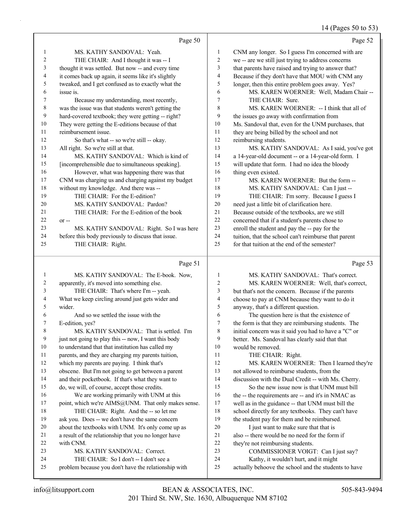## 14 (Pages 50 to 53)

| $_{\alpha\beta}$ C <sub>3</sub> J <sub>V</sub> | $\mathbf{v}$<br>◡<br>J. |
|------------------------------------------------|-------------------------|
|                                                |                         |

|          | Page 50                                                                |              | Page 52                                                                      |
|----------|------------------------------------------------------------------------|--------------|------------------------------------------------------------------------------|
| 1        | MS. KATHY SANDOVAL: Yeah.                                              | $\mathbf{1}$ | CNM any longer. So I guess I'm concerned with are                            |
| 2        | THE CHAIR: And I thought it was -- I                                   | 2            | we -- are we still just trying to address concerns                           |
| 3        | thought it was settled. But now -- and every time                      | 3            | that parents have raised and trying to answer that?                          |
| 4        | it comes back up again, it seems like it's slightly                    | 4            | Because if they don't have that MOU with CNM any                             |
| 5        | tweaked, and I get confused as to exactly what the                     | 5            | longer, then this entire problem goes away. Yes?                             |
| 6        | issue is.                                                              | 6            | MS. KAREN WOERNER: Well, Madam Chair --                                      |
| 7        | Because my understanding, most recently,                               | 7            | THE CHAIR: Sure.                                                             |
| 8        | was the issue was that students weren't getting the                    | 8            | MS. KAREN WOERNER: -- I think that all of                                    |
| 9        | hard-covered textbook; they were getting -- right?                     | 9            | the issues go away with confirmation from                                    |
| 10       | They were getting the E-editions because of that                       | 10           | Ms. Sandoval that, even for the UNM purchases, that                          |
| 11       | reimbursement issue.                                                   | 11           | they are being billed by the school and not                                  |
| 12       | So that's what -- so we're still -- okay.                              | 12           | reimbursing students.                                                        |
| 13       | All right. So we're still at that.                                     | 13           | MS. KATHY SANDOVAL: As I said, you've got                                    |
| 14       | MS. KATHY SANDOVAL: Which is kind of                                   | 14           | a 14-year-old document -- or a 14-year-old form. I                           |
| 15       | [incomprehensible due to simultaneous speaking].                       | 15           | will update that form. I had no idea the bloody                              |
| 16       | However, what was happening there was that                             | 16           | thing even existed.                                                          |
| 17       | CNM was charging us and charging against my budget                     | 17           | MS. KAREN WOERNER: But the form --                                           |
| 18       | without my knowledge. And there was --                                 | 18           | MS. KATHY SANDOVAL: Can I just --                                            |
| 19       | THE CHAIR: For the E-edition?                                          | 19           | THE CHAIR: I'm sorry. Because I guess I                                      |
| 20       | MS. KATHY SANDOVAL: Pardon?                                            | 20           | need just a little bit of clarification here.                                |
| 21       | THE CHAIR: For the E-edition of the book                               | 21           | Because outside of the textbooks, are we still                               |
| 22       | $or -$                                                                 | 22           | concerned that if a student's parents chose to                               |
| 23       | MS. KATHY SANDOVAL: Right. So I was here                               | $23\,$       | enroll the student and pay the -- pay for the                                |
| 24       | before this body previously to discuss that issue.                     | 24           | tuition, that the school can't reimburse that parent                         |
| 25       | THE CHAIR: Right.                                                      | 25           | for that tuition at the end of the semester?                                 |
|          |                                                                        |              |                                                                              |
|          | Page 51                                                                |              | Page 53                                                                      |
| 1        | MS. KATHY SANDOVAL: The E-book. Now,                                   | 1            | MS. KATHY SANDOVAL: That's correct.                                          |
| 2        | apparently, it's moved into something else.                            | 2            | MS. KAREN WOERNER: Well, that's correct,                                     |
| 3        | THE CHAIR: That's where I'm -- yeah.                                   | 3            | but that's not the concern. Because if the parents                           |
| 4        | What we keep circling around just gets wider and                       | 4            | choose to pay at CNM because they want to do it                              |
| 5        | wider.                                                                 | 5            | anyway, that's a different question.                                         |
| 6        | And so we settled the issue with the                                   | 6            | The question here is that the existence of                                   |
| 7        | E-edition, yes?                                                        | 7            | the form is that they are reimbursing students. The                          |
| 8        | MS. KATHY SANDOVAL: That is settled. I'm                               | 8            | initial concern was it said you had to have a "C" or                         |
| 9        | just not going to play this -- now, I want this body                   | 9            | better. Ms. Sandoval has clearly said that that                              |
| 10       | to understand that that institution has called my                      | 10           | would be removed.                                                            |
| 11       | parents, and they are charging my parents tuition,                     | 11           | THE CHAIR: Right.                                                            |
| 12       | which my parents are paying. I think that's                            | 12           | MS. KAREN WOERNER: Then I learned they're                                    |
| 13       | obscene. But I'm not going to get between a parent                     | 13           | not allowed to reimburse students, from the                                  |
| 14       | and their pocketbook. If that's what they want to                      | 14           | discussion with the Dual Credit -- with Ms. Cherry.                          |
| 15       | do, we will, of course, accept those credits.                          | 15           | So the new issue now is that UNM must bill                                   |
| 16       | We are working primarily with UNM at this                              | 16           | the -- the requirements are -- and it's in NMAC as                           |
| 17       | point, which we're AIMS@UNM. That only makes sense.                    | 17           | well as in the guidance -- that UNM must bill the                            |
| 18       | THE CHAIR: Right. And the -- so let me                                 | 18           | school directly for any textbooks. They can't have                           |
| 19       | ask you. Does -- we don't have the same concern                        | 19           | the student pay for them and be reimbursed.                                  |
| 20       | about the textbooks with UNM. It's only come up as                     | 20           | I just want to make sure that that is                                        |
| 21       | a result of the relationship that you no longer have                   | 21           | also -- there would be no need for the form if                               |
| 22       | with CNM.                                                              | 22           | they're not reimbursing students.                                            |
| 23<br>24 | MS. KATHY SANDOVAL: Correct.<br>THE CHAIR: So I don't -- I don't see a | 23<br>24     | COMMISSIONER VOIGT: Can I just say?<br>Kathy, it wouldn't hurt, and it might |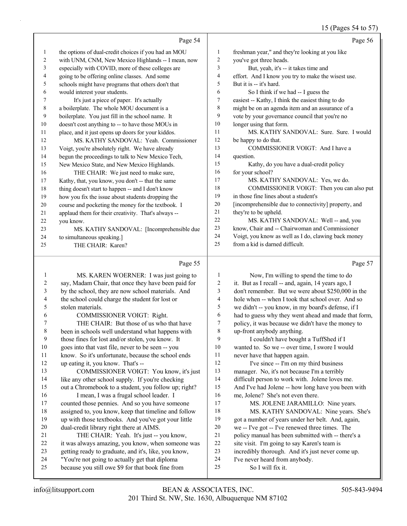#### 15 (Pages 54 to 57)

|                          |                                                      |                  | 15 (rages 54 to $37$ )                               |
|--------------------------|------------------------------------------------------|------------------|------------------------------------------------------|
|                          | Page 54                                              |                  | Page 56                                              |
| 1                        | the options of dual-credit choices if you had an MOU | $\mathbf{1}$     | freshman year," and they're looking at you like      |
| $\overline{c}$           | with UNM, CNM, New Mexico Highlands -- I mean, now   | $\sqrt{2}$       | you've got three heads.                              |
| 3                        | especially with COVID, more of these colleges are    | 3                | But, yeah, it's -- it takes time and                 |
| 4                        | going to be offering online classes. And some        | $\overline{4}$   | effort. And I know you try to make the wisest use.   |
| 5                        | schools might have programs that others don't that   | 5                | But it is -- it's hard.                              |
| 6                        | would interest your students.                        | 6                | So I think if we had -- I guess the                  |
| 7                        | It's just a piece of paper. It's actually            | $\boldsymbol{7}$ | easiest -- Kathy, I think the easiest thing to do    |
| $\,$ $\,$                | a boilerplate. The whole MOU document is a           | $\,$ 8 $\,$      | might be on an agenda item and an assurance of a     |
| 9                        | boilerplate. You just fill in the school name. It    | 9                | vote by your governance council that you're no       |
| 10                       | doesn't cost anything to -- to have those MOUs in    | 10               | longer using that form.                              |
| 11                       | place, and it just opens up doors for your kiddos.   | 11               | MS. KATHY SANDOVAL: Sure. Sure. I would              |
| 12                       | MS. KATHY SANDOVAL: Yeah. Commissioner               | 12               | be happy to do that.                                 |
| 13                       | Voigt, you're absolutely right. We have already      | 13               | COMMISSIONER VOIGT: And I have a                     |
| 14                       | begun the proceedings to talk to New Mexico Tech,    | 14               | question.                                            |
| 15                       | New Mexico State, and New Mexico Highlands.          | 15               | Kathy, do you have a dual-credit policy              |
| 16                       | THE CHAIR: We just need to make sure,                | 16               | for your school?                                     |
| 17                       | Kathy, that, you know, you don't -- that the same    | 17               | MS. KATHY SANDOVAL: Yes, we do.                      |
| 18                       | thing doesn't start to happen -- and I don't know    | 18               | COMMISSIONER VOIGT: Then you can also put            |
| 19                       | how you fix the issue about students dropping the    | 19               | in those fine lines about a student's                |
| 20                       | course and pocketing the money for the textbook. I   | 20               | [incomprehensible due to connectivity] property, and |
| 21                       | applaud them for their creativity. That's always --  | 21               | they're to be upheld.                                |
| 22                       | you know.                                            | 22               | MS. KATHY SANDOVAL: Well -- and, you                 |
| 23                       | MS. KATHY SANDOVAL: [Incomprehensible due            | 23               | know, Chair and -- Chairwoman and Commissioner       |
| 24                       | to simultaneous speaking.]                           | 24               | Voigt, you know as well as I do, clawing back money  |
| 25                       | THE CHAIR: Karen?                                    | 25               | from a kid is darned difficult.                      |
|                          |                                                      |                  |                                                      |
|                          | Page 55                                              |                  | Page 57                                              |
| $\mathbf{1}$             | MS. KAREN WOERNER: I was just going to               | $\mathbf{1}$     | Now, I'm willing to spend the time to do             |
| $\boldsymbol{2}$         | say, Madam Chair, that once they have been paid for  | $\boldsymbol{2}$ | it. But as I recall -- and, again, 14 years ago, I   |
| $\mathfrak{Z}$           | by the school, they are now school materials. And    | $\mathfrak{Z}$   | don't remember. But we were about \$250,000 in the   |
| $\overline{\mathcal{A}}$ | the school could charge the student for lost or      | 4                | hole when -- when I took that school over. And so    |
| 5                        | stolen materials.                                    | 5                | we didn't -- you know, in my board's defense, if I   |
| 6                        | COMMISSIONER VOIGT: Right.                           | 6                | had to guess why they went ahead and made that form, |
| 7                        | THE CHAIR: But those of us who that have             | 7                | policy, it was because we didn't have the money to   |
| $\,$ 8 $\,$              | been in schools well understand what happens with    | $\,$ 8 $\,$      | up-front anybody anything.                           |
| $\boldsymbol{9}$         | those fines for lost and/or stolen, you know. It     | 9                | I couldn't have bought a TuffShed if I               |
| $10\,$                   | goes into that vast file, never to be seen -- you    | 10               | wanted to. So we -- over time, I swore I would       |
| 11                       | know. So it's unfortunate, because the school ends   | 11               | never have that happen again.                        |
| 12                       | up eating it, you know. That's --                    | 12               | I've since -- I'm on my third business               |
| 13                       | COMMISSIONER VOIGT: You know, it's just              | 13               | manager. No, it's not because I'm a terribly         |
| 14                       | like any other school supply. If you're checking     | 14               | difficult person to work with. Jolene loves me.      |
| 15                       | out a Chromebook to a student, you follow up; right? | 15               | And I've had Jolene -- how long have you been with   |
| 16                       | I mean, I was a frugal school leader. I              | 16               | me, Jolene? She's not even there.                    |
| 17                       | counted those pennies. And so you have someone       | 17               | MS. JOLENE JARAMILLO: Nine years.                    |
| $18\,$                   | assigned to, you know, keep that timeline and follow | 18               | MS. KATHY SANDOVAL: Nine years. She's                |
| 19                       | up with those textbooks. And you've got your little  | 19               | got a number of years under her belt. And, again,    |
| $20\,$                   | dual-credit library right there at AIMS.             | 20               | we -- I've got -- I've renewed three times. The      |

- it was always amazing, you know, when someone was getting ready to graduate, and it's, like, you know, "You're not going to actually get that diploma site visit. I'm going to say Karen's team is incredibly thorough. And it's just never come up. I've never heard from anybody.
- because you still owe \$9 for that book fine from

21 THE CHAIR: Yeah. It's just -- you know,

policy manual has been submitted with -- there's a

25 So I will fix it.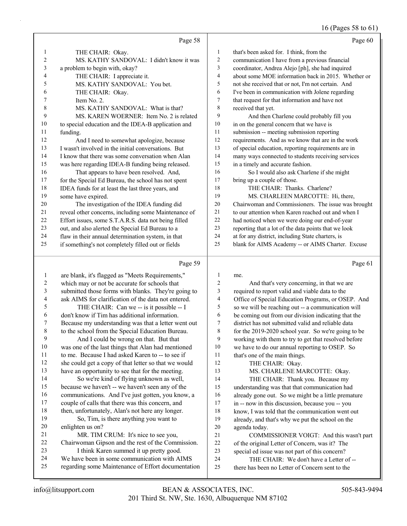16 (Pages 58 to 61)

|                | Page 58                                              |                | Page 60                                              |
|----------------|------------------------------------------------------|----------------|------------------------------------------------------|
| 1              | THE CHAIR: Okay.                                     | 1              | that's been asked for. I think, from the             |
| $\overline{2}$ | MS. KATHY SANDOVAL: I didn't know it was             | 2              | communication I have from a previous financial       |
| 3              | a problem to begin with, okay?                       | 3              | coordinator, Andrea Alejo [ph], she had inquired     |
| 4              | THE CHAIR: I appreciate it.                          | $\overline{4}$ | about some MOE information back in 2015. Whether or  |
| 5              | MS. KATHY SANDOVAL: You bet.                         | 5              | not she received that or not, I'm not certain. And   |
| 6              | THE CHAIR: Okay.                                     | 6              | I've been in communication with Jolene regarding     |
| 7              | Item No. 2.                                          | 7              | that request for that information and have not       |
| 8              | MS. KATHY SANDOVAL: What is that?                    | 8              | received that yet.                                   |
| 9              | MS. KAREN WOERNER: Item No. 2 is related             | 9              | And then Charlene could probably fill you            |
| 10             | to special education and the IDEA-B application and  | 10             | in on the general concern that we have is            |
| 11             | funding.                                             | 11             | submission -- meeting submission reporting           |
| 12             | And I need to somewhat apologize, because            | 12             | requirements. And as we know that are in the work    |
| 13             | I wasn't involved in the initial conversations. But  | 13             | of special education, reporting requirements are in  |
| 14             | I know that there was some conversation when Alan    | 14             | many ways connected to students receiving services   |
| 15             | was here regarding IDEA-B funding being released.    | 15             | in a timely and accurate fashion.                    |
| 16             | That appears to have been resolved. And,             | 16             | So I would also ask Charlene if she might            |
| 17             | for the Special Ed Bureau, the school has not spent  | 17             | bring up a couple of those.                          |
| 18             | IDEA funds for at least the last three years, and    | 18             | THE CHAIR: Thanks. Charlene?                         |
| 19             | some have expired.                                   | 19             | MS. CHARLEEN MARCOTTE: Hi, there,                    |
| 20             | The investigation of the IDEA funding did            | 20             | Chairwoman and Commissioners. The issue was brought  |
| 21             | reveal other concerns, including some Maintenance of | 21             | to our attention when Karen reached out and when I   |
| 22             | Effort issues, some S.T.A.R.S. data not being filled | 22             | had noticed when we were doing our end-of-year       |
| 23             | out, and also alerted the Special Ed Bureau to a     | 23             | reporting that a lot of the data points that we look |
| 24             | flaw in their annual determination system, in that   | 24             | at for any district, including State charters, is    |
| 25             | if something's not completely filled out or fields   | 25             | blank for AIMS Academy -- or AIMS Charter. Excuse    |
|                | Page 59                                              |                | Page 61                                              |

#### Page 59  $\vert$

|    | are blank, it's flagged as "Meets Requirements,"     | 1              | me.                                                  |
|----|------------------------------------------------------|----------------|------------------------------------------------------|
| 2  | which may or not be accurate for schools that        | $\overline{c}$ | And that's very concerning, in that we are           |
| 3  | submitted those forms with blanks. They're going to  | 3              | required to report valid and viable data to the      |
| 4  | ask AIMS for clarification of the data not entered.  | $\overline{4}$ | Office of Special Education Programs, or OSEP. And   |
| 5  | THE CHAIR: Can we -- is it possible -- I             | 5              | so we will be reaching out -- a communication will   |
| 6  | don't know if Tim has additional information.        | 6              | be coming out from our division indicating that the  |
| 7  | Because my understanding was that a letter went out  | 7              | district has not submitted valid and reliable data   |
| 8  | to the school from the Special Education Bureau.     | 8              | for the 2019-2020 school year. So we're going to be  |
| 9  | And I could be wrong on that. But that               | 9              | working with them to try to get that resolved before |
| 10 | was one of the last things that Alan had mentioned   | 10             | we have to do our annual reporting to OSEP. So       |
| 11 | to me. Because I had asked Karen to -- to see if     | 11             | that's one of the main things.                       |
| 12 | she could get a copy of that letter so that we would | 12             | THE CHAIR: Okay.                                     |
| 13 | have an opportunity to see that for the meeting.     | 13             | MS. CHARLENE MARCOTTE: Okay.                         |
| 14 | So we're kind of flying unknown as well,             | 14             | THE CHAIR: Thank you. Because my                     |
| 15 | because we haven't -- we haven't seen any of the     | 15             | understanding was that that communication had        |
| 16 | communications. And I've just gotten, you know, a    | 16             | already gone out. So we might be a little premature  |
| 17 | couple of calls that there was this concern, and     | 17             | in -- now in this discussion, because you -- you     |
| 18 | then, unfortunately, Alan's not here any longer.     | 18             | know, I was told that the communication went out     |
| 19 | So, Tim, is there anything you want to               | 19             | already, and that's why we put the school on the     |
| 20 | enlighten us on?                                     | 20             | agenda today.                                        |
| 21 | MR. TIM CRUM: It's nice to see you,                  | 21             | COMMISSIONER VOIGT: And this wasn't part             |
| 22 | Chairwoman Gipson and the rest of the Commission.    | 22             | of the original Letter of Concern, was it? The       |
| 23 | I think Karen summed it up pretty good.              | 23             | special ed issue was not part of this concern?       |
| 24 | We have been in some communication with AIMS         | 24             | THE CHAIR: We don't have a Letter of --              |
| 25 | regarding some Maintenance of Effort documentation   | 25             | there has been no Letter of Concern sent to the      |
|    |                                                      |                |                                                      |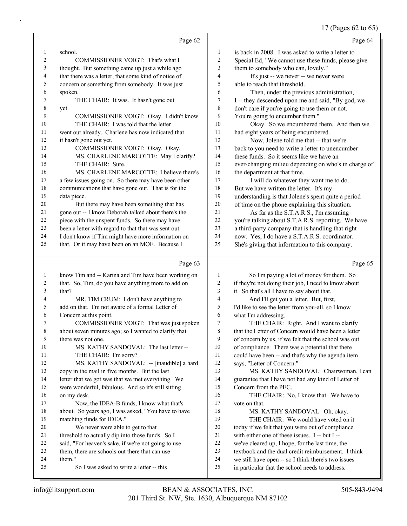17 (Pages 62 to 65)

|    | Page 62                                              |                | Page 64                                              |
|----|------------------------------------------------------|----------------|------------------------------------------------------|
|    | school.                                              | 1              | is back in 2008. I was asked to write a letter to    |
| 2  | COMMISSIONER VOIGT: That's what I                    | $\overline{2}$ | Special Ed, "We cannot use these funds, please give  |
| 3  | thought. But something came up just a while ago      | 3              | them to somebody who can, lovely."                   |
| 4  | that there was a letter, that some kind of notice of | $\overline{4}$ | It's just -- we never -- we never were               |
| 5  | concern or something from somebody. It was just      | 5              | able to reach that threshold.                        |
| 6  | spoken.                                              | 6              | Then, under the previous administration,             |
| 7  | THE CHAIR: It was. It hasn't gone out                | 7              | I -- they descended upon me and said, "By god, we    |
| 8  | yet.                                                 | 8              | don't care if you're going to use them or not.       |
| 9  | COMMISSIONER VOIGT: Okay. I didn't know.             | 9              | You're going to encumber them."                      |
| 10 | THE CHAIR: I was told that the letter                | 10             | Okay. So we encumbered them. And then we             |
| 11 | went out already. Charlene has now indicated that    | 11             | had eight years of being encumbered.                 |
| 12 | it hasn't gone out yet.                              | 12             | Now, Jolene told me that -- that we're               |
| 13 | COMMISSIONER VOIGT: Okay. Okay.                      | 13             | back to you need to write a letter to unencumber     |
| 14 | MS. CHARLENE MARCOTTE: May I clarify?                | 14             | these funds. So it seems like we have an             |
| 15 | THE CHAIR: Sure.                                     | 15             | ever-changing milieu depending on who's in charge of |
| 16 | MS. CHARLENE MARCOTTE: I believe there's             | 16             | the department at that time.                         |
| 17 | a few issues going on. So there may have been other  | 17             | I will do whatever they want me to do.               |
| 18 | communications that have gone out. That is for the   | 18             | But we have written the letter. It's my              |
| 19 | data piece.                                          | 19             | understanding is that Jolene's spent quite a period  |
| 20 | But there may have been something that has           | 20             | of time on the phone explaining this situation.      |
| 21 | gone out -- I know Deborah talked about there's the  | 2.1            | As far as the S.T.A.R.S., I'm assuming               |
| 22 | piece with the unspent funds. So there may have      | 22             | you're talking about S.T.A.R.S. reporting. We have   |
| 23 | been a letter with regard to that that was sent out. | 23             | a third-party company that is handling that right    |
| 24 | I don't know if Tim might have more information on   | 24             | now. Yes, I do have a S.T.A.R.S. coordinator.        |
| 25 | that. Or it may have been on an MOE. Because I       | 25             | She's giving that information to this company.       |
|    | Page 63                                              |                | Page 65                                              |

#### Page

| 1  | know Tim and -- Karina and Tim have been working on  | 1  | So I'm paying a lot of money for them. So            |
|----|------------------------------------------------------|----|------------------------------------------------------|
| 2  | that. So, Tim, do you have anything more to add on   | 2  | if they're not doing their job, I need to know about |
| 3  | that?                                                | 3  | it. So that's all I have to say about that.          |
| 4  | MR. TIM CRUM: I don't have anything to               | 4  | And I'll get you a letter. But, first,               |
| 5  | add on that. I'm not aware of a formal Letter of     | 5  | I'd like to see the letter from you-all, so I know   |
| 6  | Concern at this point.                               | 6  | what I'm addressing.                                 |
| 7  | COMMISSIONER VOIGT: That was just spoken             | 7  | THE CHAIR: Right. And I want to clarify              |
| 8  | about seven minutes ago; so I wanted to clarify that | 8  | that the Letter of Concern would have been a letter  |
| 9  | there was not one.                                   | 9  | of concern by us, if we felt that the school was out |
| 10 | MS. KATHY SANDOVAL: The last letter --               | 10 | of compliance. There was a potential that there      |
| 11 | THE CHAIR: I'm sorry?                                | 11 | could have been -- and that's why the agenda item    |
| 12 | MS. KATHY SANDOVAL: -- [inaudible] a hard            | 12 | says, "Letter of Concern."                           |
| 13 | copy in the mail in five months. But the last        | 13 | MS. KATHY SANDOVAL: Chairwoman, I can                |
| 14 | letter that we got was that we met everything. We    | 14 | guarantee that I have not had any kind of Letter of  |
| 15 | were wonderful, fabulous. And so it's still sitting  | 15 | Concern from the PEC.                                |
| 16 | on my desk.                                          | 16 | THE CHAIR: No, I know that. We have to               |
| 17 | Now, the IDEA-B funds, I know what that's            | 17 | vote on that.                                        |
| 18 | about. So years ago, I was asked, "You have to have  | 18 | MS. KATHY SANDOVAL: Oh, okay.                        |
| 19 | matching funds for IDEA."                            | 19 | THE CHAIR: We would have voted on it                 |
| 20 | We never were able to get to that                    | 20 | today if we felt that you were out of compliance     |
| 21 | threshold to actually dip into those funds. So I     | 21 | with either one of these issues. I -- but I --       |
| 22 | said, "For heaven's sake, if we're not going to use  | 22 | we've cleared up, I hope, for the last time, the     |
| 23 | them, there are schools out there that can use       | 23 | textbook and the dual credit reimbursement. I think  |
| 24 | them."                                               | 24 | we still have open -- so I think there's two issues  |
| 25 | So I was asked to write a letter -- this             | 25 | in particular that the school needs to address.      |
|    |                                                      |    |                                                      |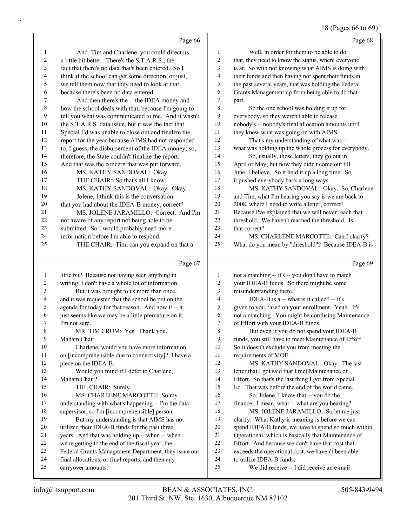## 18 (Pages 66 to 69)

|                  | Page 66                                                                 |                  | Page 68                                                               |
|------------------|-------------------------------------------------------------------------|------------------|-----------------------------------------------------------------------|
| 1                | And, Tim and Charlene, you could direct us                              | $\mathbf{1}$     | Well, in order for them to be able to do                              |
| $\boldsymbol{2}$ | a little bit better. There's the S.T.A.R.S., the                        | $\overline{c}$   | that, they need to know the status, where everyone                    |
| 3                | fact that there's no data that's been entered. So I                     | 3                | is at. So with not knowing what AIMS is doing with                    |
| 4                | think if the school can get some direction, or just,                    | $\overline{4}$   | their funds and then having not spent their funds in                  |
| 5                | we tell them now that they need to look at that,                        | 5                | the past several years, that was holding the Federal                  |
| 6                | because there's been no data entered.                                   | 6                | Grants Management up from being able to do that                       |
| 7                | And then there's the -- the IDEA money and                              | $\tau$           | part.                                                                 |
| 8                | how the school deals with that, because I'm going to                    | $\,8\,$          | So the one school was holding it up for                               |
| 9                | tell you what was communicated to me. And it wasn't                     | 9                | everybody, so they weren't able to release                            |
| 10               | the S.T.A.R.S. data issue, but it was the fact that                     | 10               | nobody's -- nobody's final allocation amounts until                   |
| 11               | Special Ed was unable to close out and finalize the                     | $11\,$           | they knew what was going on with AIMS.                                |
| 12               | report for the year because AIMS had not responded                      | 12               | That's my understanding of what was --                                |
| 13               | to, I guess, the disbursement of the IDEA money; so,                    | 13               | what was holding up the whole process for everybody.                  |
| 14               | therefore, the State couldn't finalize the report.                      | 14               | So, usually, those letters, they go out in                            |
| 15               | And that was the concern that was put forward.                          | 15               | April or May; but now they didn't come out till                       |
| 16               | MS. KATHY SANDOVAL: Okay.                                               | 16               | June, I believe. So it held it up a long time. So                     |
| 17               | THE CHAIR: So that's all I know.                                        | 17               | it pushed everybody back a long ways.                                 |
| 18               | MS. KATHY SANDOVAL: Okay. Okay.                                         | 18               | MS. KATHY SANDOVAL: Okay. So, Charlene                                |
| 19               | Jolene, I think this is the conversation                                | 19               | and Tim, what I'm hearing you say is we are back to                   |
| 20               | that you had about the IDEA-B money, correct?                           | 20               | 2008, where I need to write a letter, correct?                        |
| 21               | MS. JOLENE JARAMILLO: Correct. And I'm                                  | 21               | Because I've explained that we will never reach that                  |
| 22               | not aware of any report not being able to be                            | 22               | threshold. We haven't reached the threshold. Is                       |
| 23               | submitted. So I would probably need more                                | 23               | that correct?                                                         |
| 24               | information before I'm able to respond.                                 | 24               | MS. CHARLENE MARCOTTE: Can I clarify?                                 |
| 25               | THE CHAIR: Tim, can you expand on that a                                | 25               | What do you mean by "threshold"? Because IDEA-B is                    |
|                  |                                                                         |                  |                                                                       |
|                  | Page 67                                                                 |                  | Page 69                                                               |
| $\mathbf{1}$     | little bit? Because not having seen anything in                         | $\mathbf{1}$     | not a matching -- it's -- you don't have to match                     |
| 2                | writing, I don't have a whole lot of information.                       | $\boldsymbol{2}$ | your IDEA-B funds. So there might be some                             |
| 3                | But it was brought to us more than once,                                | 3                | misunderstanding there.                                               |
| 4                | and it was requested that the school be put on the                      | $\overline{4}$   | IDEA-B is a -- what is it called? -- it's                             |
| 5                | agenda for today for that reason. And now it -- it                      | 5                | given to you based on your enrollment. Yeah. It's                     |
| 6                | just seems like we may be a little premature on it.                     | 6                | not a matching. You might be confusing Maintenance                    |
| 7                | I'm not sure.                                                           | $\boldsymbol{7}$ | of Effort with your IDEA-B funds.                                     |
| 8                | MR. TIM CRUM: Yes. Thank you,                                           | 8                | But even if you do not spend your IDEA-B                              |
| 9                | Madam Chair.                                                            | 9                | funds, you still have to meet Maintenance of Effort.                  |
| 10               | Charlene, would you have more information                               | 10               | So it doesn't exclude you from meeting the                            |
| 11               | on [incomprehensible due to connectivity]? I have a                     | 11               | requirements of MOE.                                                  |
| 12               | piece on the IDEA-B.                                                    | 12               | MS. KATHY SANDOVAL: Okay. The last                                    |
| 13               | Would you mind if I defer to Charlene,                                  | 13               | letter that I got said that I met Maintenance of                      |
| 14               | Madam Chair?                                                            | 14               | Effort. So that's the last thing I got from Special                   |
| 15               | THE CHAIR: Surely.                                                      | 15               | Ed. That was before the end of the world came.                        |
| 16               | MS. CHARLENE MARCOTTE: So my                                            | 16               | So, Jolene, I know that -- you do the                                 |
| 17               | understanding with what's happening -- I'm the data                     | 17               | finance. I mean, what -- what are you hearing?                        |
| 18               | supervisor, so I'm [incomprehensible] person.                           | 18               | MS. JOLENE JARAMILLO: So let me just                                  |
| 19               | But my understanding is that AIMS has not                               | 19               | clarify. What Kathy is meaning is before we can                       |
| 20               | utilized their IDEA-B funds for the past three                          | 20               | spend IDEA-B funds, we have to spend so much within                   |
| 21               | years. And that was holding up -- when -- when                          | 21               | Operational, which is basically that Maintenance of                   |
| 22               | we're getting to the end of the fiscal year, the                        | 22               | Effort. And because we don't have that cost that                      |
| 23               | Federal Grants Management Department, they issue out                    | 23               | exceeds the operational cost, we haven't been able                    |
| 24<br>25         | final allocations, or final reports, and then any<br>carryover amounts. | 24<br>25         | to utilize IDEA-B funds.<br>We did receive -- I did receive an e-mail |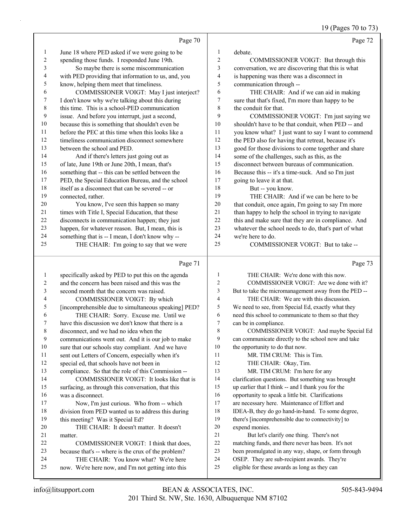19 (Pages 70 to 73)

|    | Page 70                                             |                | Page 72                                              |
|----|-----------------------------------------------------|----------------|------------------------------------------------------|
| 1  | June 18 where PED asked if we were going to be      | 1              | debate.                                              |
| 2  | spending those funds. I responded June 19th.        | $\overline{2}$ | COMMISSIONER VOIGT: But through this                 |
| 3  | So maybe there is some miscommunication             | $\overline{3}$ | conversation, we are discovering that this is what   |
| 4  | with PED providing that information to us, and, you | 4              | is happening was there was a disconnect in           |
| 5  | know, helping them meet that timeliness.            | 5              | communication through --                             |
| 6  | COMMISSIONER VOIGT: May I just interject?           | 6              | THE CHAIR: And if we can aid in making               |
| 7  | I don't know why we're talking about this during    | 7              | sure that that's fixed, I'm more than happy to be    |
| 8  | this time. This is a school-PED communication       | 8              | the conduit for that.                                |
| 9  | issue. And before you interrupt, just a second,     | 9              | COMMISSIONER VOIGT: I'm just saying we               |
| 10 | because this is something that shouldn't even be    | 10             | shouldn't have to be that conduit, when PED -- and   |
| 11 | before the PEC at this time when this looks like a  | 11             | you know what? I just want to say I want to commend  |
| 12 | timeliness communication disconnect somewhere       | 12             | the PED also for having that retreat, because it's   |
| 13 | between the school and PED.                         | 13             | good for those divisions to come together and share  |
| 14 | And if there's letters just going out as            | 14             | some of the challenges, such as this, as the         |
| 15 | of late, June 19th or June 20th, I mean, that's     | 15             | disconnect between bureaus of communication.         |
| 16 | something that -- this can be settled between the   | 16             | Because this -- it's a time-suck. And so I'm just    |
| 17 | PED, the Special Education Bureau, and the school   | 17             | going to leave it at that.                           |
| 18 | itself as a disconnect that can be severed -- or    | 18             | But -- you know.                                     |
| 19 | connected, rather.                                  | 19             | THE CHAIR: And if we can be here to be               |
| 20 | You know, I've seen this happen so many             | 20             | that conduit, once again, I'm going to say I'm more  |
| 21 | times with Title I, Special Education, that these   | 21             | than happy to help the school in trying to navigate  |
| 22 | disconnects in communication happen; they just      | 22             | this and make sure that they are in compliance. And  |
| 23 | happen, for whatever reason. But, I mean, this is   | 23             | whatever the school needs to do, that's part of what |
| 24 | something that is -- I mean, I don't know why --    | 24             | we're here to do.                                    |
| 25 | THE CHAIR: I'm going to say that we were            | 25             | COMMISSIONER VOIGT: But to take --                   |
|    |                                                     |                |                                                      |

## Page 71

| 1              | specifically asked by PED to put this on the agenda  | 1  | THE CHAIR: We're done with this now.                 |
|----------------|------------------------------------------------------|----|------------------------------------------------------|
| 2              | and the concern has been raised and this was the     | 2  | COMMISSIONER VOIGT: Are we done with it?             |
| 3              | second month that the concern was raised.            | 3  | But to take the micromanagement away from the PED -- |
| $\overline{4}$ | COMMISSIONER VOIGT: By which                         | 4  | THE CHAIR: We are with this discussion.              |
| 5              | [incomprehensible due to simultaneous speaking] PED? | 5  | We need to see, from Special Ed, exactly what they   |
| 6              | THE CHAIR: Sorry. Excuse me. Until we                | 6  | need this school to communicate to them so that they |
| 7              | have this discussion we don't know that there is a   | 7  | can be in compliance.                                |
| 8              | disconnect, and we had no idea when the              | 8  | COMMISSIONER VOIGT: And maybe Special Ed             |
| 9              | communications went out. And it is our job to make   | 9  | can communicate directly to the school now and take  |
| 10             | sure that our schools stay compliant. And we have    | 10 | the opportunity to do that now.                      |
| 11             | sent out Letters of Concern, especially when it's    | 11 | MR. TIM CRUM: This is Tim.                           |
| 12             | special ed, that schools have not been in            | 12 | THE CHAIR: Okay, Tim.                                |
| 13             | compliance. So that the role of this Commission --   | 13 | MR. TIM CRUM: I'm here for any                       |
| 14             | COMMISSIONER VOIGT: It looks like that is            | 14 | clarification questions. But something was brought   |
| 15             | surfacing, as through this conversation, that this   | 15 | up earlier that I think -- and I thank you for the   |
| 16             | was a disconnect.                                    | 16 | opportunity to speak a little bit. Clarifications    |
| 17             | Now, I'm just curious. Who from -- which             | 17 | are necessary here. Maintenance of Effort and        |
| 18             | division from PED wanted us to address this during   | 18 | IDEA-B, they do go hand-in-hand. To some degree,     |
| 19             | this meeting? Was it Special Ed?                     | 19 | there's [incomprehensible due to connectivity] to    |
| 20             | THE CHAIR: It doesn't matter. It doesn't             | 20 | expend monies.                                       |
| 21             | matter.                                              | 21 | But let's clarify one thing. There's not             |
| 22             | COMMISSIONER VOIGT: I think that does.               | 22 | matching funds, and there never has been. It's not   |
| 23             | because that's -- where is the crux of the problem?  | 23 | been promulgated in any way, shape, or form through  |
| 24             | THE CHAIR: You know what? We're here                 | 24 | OSEP. They are sub-recipient awards. They're         |
| 25             | now. We're here now, and I'm not getting into this   | 25 | eligible for these awards as long as they can        |
|                |                                                      |    |                                                      |

Page 73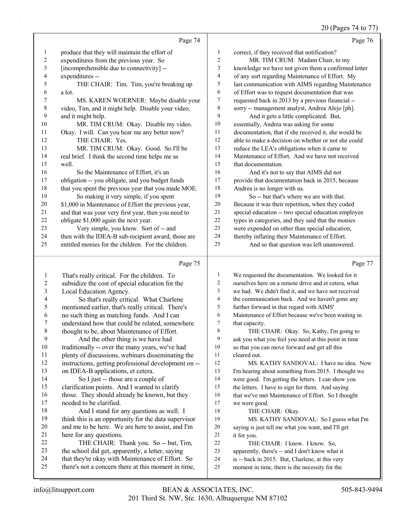## 20 (Pages 74 to 77)

|                | Page 74                                             |                | Page 76                                              |
|----------------|-----------------------------------------------------|----------------|------------------------------------------------------|
| 1              | produce that they will maintain the effort of       | 1              | correct, if they received that notification?         |
| $\overline{c}$ | expenditures from the previous year. So             | $\overline{2}$ | MR. TIM CRUM: Madam Chair, to my                     |
| 3              | [incomprehensible due to connectivity] --           | 3              | knowledge we have not given them a confirmed letter  |
| 4              | expenditures --                                     | $\overline{4}$ | of any sort regarding Maintenance of Effort. My      |
| 5              | THE CHAIR: Tim. Tim, you're breaking up             | 5              | last communication with AIMS regarding Maintenance   |
| 6              | a lot.                                              | 6              | of Effort was to request documentation that was      |
| 7              | MS. KAREN WOERNER: Maybe disable your               | 7              | requested back in 2013 by a previous financial --    |
| $\,$ 8 $\,$    | video, Tim, and it might help. Disable your video,  | 8              | sorry -- management analyst, Andrea Alejo [ph].      |
| 9              | and it might help.                                  | 9              | And it gets a little complicated. But,               |
| 10             | MR. TIM CRUM: Okay. Disable my video.               | 10             | essentially, Andrea was asking for some              |
| 11             | Okay. I will. Can you hear me any better now?       | 11             | documentation, that if she received it, she would be |
| 12             | THE CHAIR: Yes.                                     | 12             | able to make a decision on whether or not she could  |
| 13             | MR. TIM CRUM: Okay. Good. So I'll be                | 13             | reduce the LEA's obligations when it came to         |
| 14             | real brief. I think the second time helps me as     | 14             | Maintenance of Effort. And we have not received      |
| 15             | well.                                               | 15             | that documentation.                                  |
| 16             | So the Maintenance of Effort, it's an               | 16             | And it's not to say that AIMS did not                |
| 17             | obligation -- you obligate, and you budget funds    | 17             | provide that documentation back in 2015, because     |
| 18             | that you spent the previous year that you made MOE. | 18             | Andrea is no longer with us.                         |
| 19             | So making it very simple, if you spent              | 19             | So -- but that's where we are with that.             |
| 20             | \$1,000 in Maintenance of Effort the previous year, | 20             | Because it was their repetition, when they coded     |
| 21             | and that was your very first year, then you need to | 21             | special education -- two special education employee  |
| 22             | obligate \$1,000 again the next year.               | 22             | types in categories, and they said that the monies   |
| 23             | Very simple, you know. Sort of -- and               | 23             | were expended on other than special education,       |
| 24             | then with the IDEA-B sub-recipient award, those are | 24             | thereby inflating their Maintenance of Effort.       |
| 25             | entitled monies for the children. For the children. | 25             | And so that question was left unanswered.            |
|                | Page 75                                             |                | Page 77                                              |

## Page 75 |

| -1             | That's really critical. For the children. To         | 1  | We requested the documentation. We looked for it     |
|----------------|------------------------------------------------------|----|------------------------------------------------------|
| 2              | subsidize the cost of special education for the      | 2  | ourselves here on a remote drive and et cetera, what |
| 3              | Local Education Agency.                              | 3  | we had. We didn't find it, and we have not received  |
| $\overline{4}$ | So that's really critical. What Charlene             | 4  | the communication back. And we haven't gone any      |
| 5              | mentioned earlier, that's really critical. There's   | 5  | further forward in that regard with AIMS'            |
| 6              | no such thing as matching funds. And I can           | 6  | Maintenance of Effort because we've been waiting in  |
| 7              | understand how that could be related, somewhere      | 7  | that capacity.                                       |
| 8              | thought to be, about Maintenance of Effort.          | 8  | THE CHAIR: Okay. So, Kathy, I'm going to             |
| 9              | And the other thing is we have had                   | 9  | ask you what you feel you need at this point in time |
| 10             | traditionally -- over the many years, we've had      | 10 | so that you can move forward and get all this        |
| 11             | plenty of discussions, webinars disseminating the    | 11 | cleared out.                                         |
| 12             | instructions, getting professional development on -- | 12 | MS. KATHY SANDOVAL: I have no idea. Now              |
| 13             | on IDEA-B applications, et cetera.                   | 13 | I'm hearing about something from 2015. I thought we  |
| 14             | So I just -- those are a couple of                   | 14 | were good. I'm getting the letters. I can show you   |
| 15             | clarification points. And I wanted to clarify        | 15 | the letters. I have to sign for them. And saying     |
| 16             | those. They should already be known, but they        | 16 | that we've met Maintenance of Effort. So I thought   |
| 17             | needed to be clarified.                              | 17 | we were good.                                        |
| 18             | And I stand for any questions as well. I             | 18 | THE CHAIR: Okay.                                     |
| 19             | think this is an opportunity for the data supervisor | 19 | MS. KATHY SANDOVAL: So I guess what I'm              |
| 20             | and me to be here. We are here to assist, and I'm    | 20 | saying is just tell me what you want, and I'll get   |
| 21             | here for any questions.                              | 21 | it for you.                                          |
| 22             | THE CHAIR: Thank you. So -- but, Tim,                | 22 | THE CHAIR: I know. I know. So,                       |
| 23             | the school did get, apparently, a letter, saying     | 23 | apparently, there's -- and I don't know what it      |
| 24             | that they're okay with Maintenance of Effort. So     | 24 | is -- back in 2015. But, Charlene, at this very      |
| 25             | there's not a concern there at this moment in time,  | 25 | moment in time, there is the necessity for the       |
|                |                                                      |    |                                                      |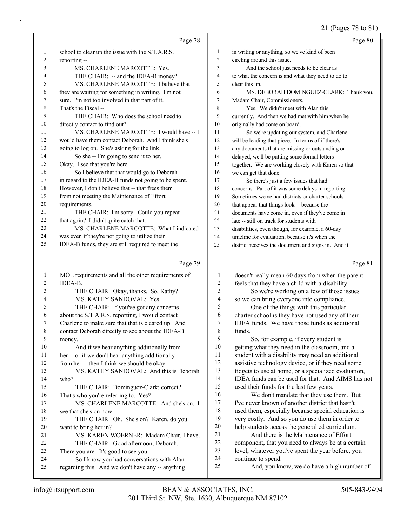## 21 (Pages 78 to 81)

|                | Page 78                                                                                        |                         | Page 80                                                                 |
|----------------|------------------------------------------------------------------------------------------------|-------------------------|-------------------------------------------------------------------------|
| $\mathbf{1}$   | school to clear up the issue with the S.T.A.R.S.                                               | $\mathbf{1}$            | in writing or anything, so we've kind of been                           |
| $\overline{c}$ | reporting --                                                                                   | $\overline{c}$          | circling around this issue.                                             |
| 3              | MS. CHARLENE MARCOTTE: Yes.                                                                    | 3                       | And the school just needs to be clear as                                |
| 4              | THE CHAIR: -- and the IDEA-B money?                                                            | 4                       | to what the concern is and what they need to do to                      |
| 5              | MS. CHARLENE MARCOTTE: I believe that                                                          | 5                       | clear this up.                                                          |
| 6              | they are waiting for something in writing. I'm not                                             | 6                       | MS. DEBORAH DOMINGUEZ-CLARK: Thank you,                                 |
| 7              | sure. I'm not too involved in that part of it.                                                 | 7                       | Madam Chair, Commissioners.                                             |
| $\,$ 8 $\,$    | That's the Fiscal --                                                                           | $\,$ 8 $\,$             | Yes. We didn't meet with Alan this                                      |
| 9              | THE CHAIR: Who does the school need to                                                         | 9                       | currently. And then we had met with him when he                         |
| 10             | directly contact to find out?                                                                  | 10                      | originally had come on board.                                           |
| 11             | MS. CHARLENE MARCOTTE: I would have -- I                                                       | 11                      | So we're updating our system, and Charlene                              |
| 12             | would have them contact Deborah. And I think she's                                             | 12                      | will be leading that piece. In terms of if there's                      |
| 13             | going to log on. She's asking for the link.                                                    | 13                      | any documents that are missing or outstanding or                        |
| 14             | So she -- I'm going to send it to her.                                                         | 14                      | delayed, we'll be putting some formal letters                           |
| 15             | Okay. I see that you're here.                                                                  | 15                      | together. We are working closely with Karen so that                     |
| 16             | So I believe that that would go to Deborah                                                     | 16                      | we can get that done.                                                   |
| 17             | in regard to the IDEA-B funds not going to be spent.                                           | 17                      | So there's just a few issues that had                                   |
| $18\,$         | However, I don't believe that -- that frees them                                               | 18                      | concerns. Part of it was some delays in reporting.                      |
| 19             | from not meeting the Maintenance of Effort                                                     | 19                      | Sometimes we've had districts or charter schools                        |
| 20             | requirements.                                                                                  | 20                      | that appear that things look -- because the                             |
| 21             | THE CHAIR: I'm sorry. Could you repeat                                                         | 21                      | documents have come in, even if they've come in                         |
| 22             | that again? I didn't quite catch that.                                                         | $22\,$                  | late -- still on track for students with                                |
| 23             | MS. CHARLENE MARCOTTE: What I indicated                                                        | 23                      | disabilities, even though, for example, a 60-day                        |
| 24             | was even if they're not going to utilize their                                                 | 24                      | timeline for evaluation, because it's when the                          |
| 25             | IDEA-B funds, they are still required to meet the                                              | 25                      | district receives the document and signs in. And it                     |
|                |                                                                                                |                         |                                                                         |
|                | Page 79                                                                                        |                         | Page 81                                                                 |
| $\mathbf{1}$   | MOE requirements and all the other requirements of                                             | 1                       | doesn't really mean 60 days from when the parent                        |
| 2              | IDEA-B.                                                                                        | $\overline{\mathbf{c}}$ | feels that they have a child with a disability.                         |
| 3              | THE CHAIR: Okay, thanks. So, Kathy?                                                            | 3                       | So we're working on a few of those issues                               |
| 4              | MS. KATHY SANDOVAL: Yes.                                                                       | 4                       | so we can bring everyone into compliance.                               |
| 5              | THE CHAIR: If you've got any concerns                                                          | 5                       | One of the things with this particular                                  |
| 6              | about the S.T.A.R.S. reporting, I would contact                                                | 6                       | charter school is they have not used any of their                       |
| 7              | Charlene to make sure that that is cleared up. And                                             | 7                       | IDEA funds. We have those funds as additional                           |
| $\,$ 8 $\,$    | contact Deborah directly to see about the IDEA-B                                               | 8                       | funds.                                                                  |
| 9              | money.                                                                                         | 9                       | So, for example, if every student is                                    |
| $10\,$         | And if we hear anything additionally from                                                      | 10                      | getting what they need in the classroom, and a                          |
| 11             | her -- or if we don't hear anything additionally                                               | 11                      | student with a disability may need an additional                        |
| 12             | from her -- then I think we should be okay.                                                    | 12                      | assistive technology device, or if they need some                       |
| 13             | MS. KATHY SANDOVAL: And this is Deborah                                                        | 13                      | fidgets to use at home, or a specialized evaluation,                    |
| 14             | who?                                                                                           | 14                      | IDEA funds can be used for that. And AIMS has not                       |
| 15             | THE CHAIR: Dominguez-Clark; correct?                                                           | 15                      | used their funds for the last few years.                                |
| 16             | That's who you're referring to. Yes?                                                           | 16                      | We don't mandate that they use them. But                                |
| 17             | MS. CHARLENE MARCOTTE: And she's on. I                                                         | 17                      | I've never known of another district that hasn't                        |
| 18             | see that she's on now.                                                                         | 18                      | used them, especially because special education is                      |
| 19             | THE CHAIR: Oh. She's on? Karen, do you                                                         | 19                      | very costly. And so you do use them in order to                         |
| 20             | want to bring her in?                                                                          | $20\,$<br>21            | help students access the general ed curriculum.                         |
| 21             | MS. KAREN WOERNER: Madam Chair, I have.                                                        | $22\,$                  | And there is the Maintenance of Effort                                  |
| 22             | THE CHAIR: Good afternoon, Deborah.                                                            | 23                      | component, that you need to always be at a certain                      |
| 23<br>24       | There you are. It's good to see you.                                                           | 24                      | level; whatever you've spent the year before, you<br>continue to spend. |
| 25             | So I know you had conversations with Alan<br>regarding this. And we don't have any -- anything | 25                      | And, you know, we do have a high number of                              |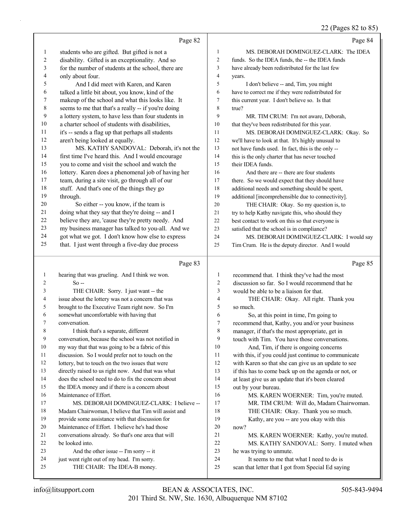#### 22 (Pages 82 to 85)

|                |                                                                                                           |                | $22$ (rages oz to ob)                                                    |
|----------------|-----------------------------------------------------------------------------------------------------------|----------------|--------------------------------------------------------------------------|
|                | Page 82                                                                                                   |                | Page 84                                                                  |
| $\mathbf{1}$   | students who are gifted. But gifted is not a                                                              | $\mathbf{1}$   | MS. DEBORAH DOMINGUEZ-CLARK: The IDEA                                    |
| 2              | disability. Gifted is an exceptionality. And so                                                           | $\overline{c}$ | funds. So the IDEA funds, the -- the IDEA funds                          |
| $\mathfrak{Z}$ | for the number of students at the school, there are                                                       | 3              | have already been redistributed for the last few                         |
| 4              | only about four.                                                                                          | $\overline{4}$ | years.                                                                   |
| 5              | And I did meet with Karen, and Karen                                                                      | 5              | I don't believe -- and, Tim, you might                                   |
| 6              | talked a little bit about, you know, kind of the                                                          | 6              | have to correct me if they were redistributed for                        |
| 7              | makeup of the school and what this looks like. It                                                         | $\tau$         | this current year. I don't believe so. Is that                           |
| 8              | seems to me that that's a really -- if you're doing                                                       | 8              | true?                                                                    |
| 9              | a lottery system, to have less than four students in                                                      | 9              | MR. TIM CRUM: I'm not aware, Deborah,                                    |
| 10             | a charter school of students with disabilities,                                                           | 10             | that they've been redistributed for this year.                           |
| 11             | it's -- sends a flag up that perhaps all students                                                         | 11             | MS. DEBORAH DOMINGUEZ-CLARK: Okay. So                                    |
| 12             | aren't being looked at equally.                                                                           | 12             | we'll have to look at that. It's highly unusual to                       |
| 13             | MS. KATHY SANDOVAL: Deborah, it's not the                                                                 | 13             | not have funds used. In fact, this is the only --                        |
| 14             | first time I've heard this. And I would encourage                                                         | 14             | this is the only charter that has never touched                          |
| 15             | you to come and visit the school and watch the                                                            | 15             | their IDEA funds.                                                        |
| 16             | lottery. Karen does a phenomenal job of having her                                                        | 16             | And there are -- there are four students                                 |
| 17             | team, during a site visit, go through all of our                                                          | 17             | there. So we would expect that they should have                          |
| 18             | stuff. And that's one of the things they go                                                               | 18             | additional needs and something should be spent,                          |
| 19             | through.                                                                                                  | 19             | additional [incomprehensible due to connectivity].                       |
| 20             | So either -- you know, if the team is                                                                     | 20             | THE CHAIR: Okay. So my question is, to                                   |
| 21             | doing what they say that they're doing -- and I                                                           | 21             | try to help Kathy navigate this, who should they                         |
| 22             | believe they are, 'cause they're pretty needy. And                                                        | 22             | best contact to work on this so that everyone is                         |
| 23             | my business manager has talked to you-all. And we                                                         | 23             | satisfied that the school is in compliance?                              |
| 24             | got what we got. I don't know how else to express                                                         | 24             | MS. DEBORAH DOMINGUEZ-CLARK: I would say                                 |
| 25             | that. I just went through a five-day due process                                                          | 25             | Tim Crum. He is the deputy director. And I would                         |
|                |                                                                                                           |                |                                                                          |
|                |                                                                                                           |                |                                                                          |
|                | Page 83                                                                                                   |                | Page 85                                                                  |
| 1              | hearing that was grueling. And I think we won.                                                            | $\mathbf{1}$   | recommend that. I think they've had the most                             |
| 2              | $So -$                                                                                                    | 2              | discussion so far. So I would recommend that he                          |
| 3              | THE CHAIR: Sorry. I just want -- the                                                                      | $\mathfrak{Z}$ | would be able to be a liaison for that.                                  |
| 4              | issue about the lottery was not a concern that was                                                        | 4              | THE CHAIR: Okay. All right. Thank you                                    |
| 5              | brought to the Executive Team right now. So I'm                                                           | 5              | so much.                                                                 |
| 6              | somewhat uncomfortable with having that                                                                   | 6              | So, at this point in time, I'm going to                                  |
| 7              | conversation.                                                                                             | $\tau$         | recommend that, Kathy, you and/or your business                          |
| 8              | I think that's a separate, different                                                                      | 8<br>9         | manager, if that's the most appropriate, get in                          |
| 9<br>10        | conversation, because the school was not notified in                                                      |                | touch with Tim. You have those conversations.                            |
| 11             | my way that that was going to be a fabric of this                                                         | 10<br>11       | And, Tim, if there is ongoing concerns                                   |
| 12             | discussion. So I would prefer not to touch on the                                                         | 12             | with this, if you could just continue to communicate                     |
| 13             | lottery, but to touch on the two issues that were                                                         | 13             | with Karen so that she can give us an update to see                      |
| 14             | directly raised to us right now. And that was what<br>does the school need to do to fix the concern about | 14             | if this has to come back up on the agenda or not, or                     |
| 15             | the IDEA money and if there is a concern about                                                            | 15             | at least give us an update that it's been cleared<br>out by your bureau. |
| 16             | Maintenance of Effort.                                                                                    | 16             | MS. KAREN WOERNER: Tim, you're muted.                                    |
| 17             | MS. DEBORAH DOMINGUEZ-CLARK: I believe --                                                                 | 17             | MR. TIM CRUM: Will do, Madam Chairwoman.                                 |
| 18             | Madam Chairwoman, I believe that Tim will assist and                                                      | 18             | THE CHAIR: Okay. Thank you so much.                                      |
| 19             | provide some assistance with that discussion for                                                          | 19             | Kathy, are you -- are you okay with this                                 |
| 20             | Maintenance of Effort. I believe he's had those                                                           | 20             | now?                                                                     |
| 21             | conversations already. So that's one area that will                                                       | 21             | MS. KAREN WOERNER: Kathy, you're muted.                                  |
| 22             | be looked into.                                                                                           | 22             | MS. KATHY SANDOVAL: Sorry. I muted when                                  |
| 23             | And the other issue -- I'm sorry -- it                                                                    | 23             | he was trying to unmute.                                                 |
| 24             | just went right out of my head. I'm sorry.                                                                | 24             | It seems to me that what I need to do is                                 |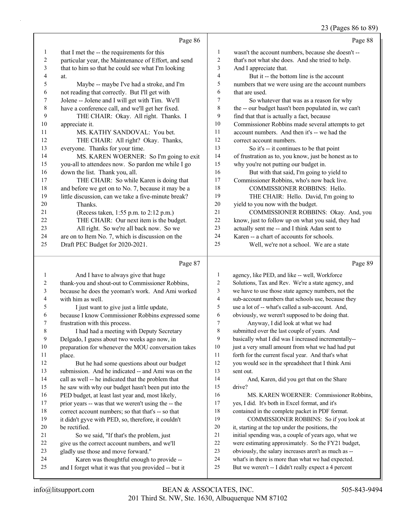## 23 (Pages 86 to 89)

|    | Page 86                                              |    | Page 88                                              |
|----|------------------------------------------------------|----|------------------------------------------------------|
| 1  | that I met the -- the requirements for this          | 1  | wasn't the account numbers, because she doesn't --   |
| 2  | particular year, the Maintenance of Effort, and send | 2  | that's not what she does. And she tried to help.     |
| 3  | that to him so that he could see what I'm looking    | 3  | And I appreciate that.                               |
| 4  | at.                                                  | 4  | But it -- the bottom line is the account             |
| 5  | Maybe -- maybe I've had a stroke, and I'm            | 5  | numbers that we were using are the account numbers   |
| 6  | not reading that correctly. But I'll get with        | 6  | that are used.                                       |
| 7  | Jolene -- Jolene and I will get with Tim. We'll      | 7  | So whatever that was as a reason for why             |
| 8  | have a conference call, and we'll get her fixed.     | 8  | the -- our budget hasn't been populated in, we can't |
| 9  | THE CHAIR: Okay. All right. Thanks. I                | 9  | find that that is actually a fact, because           |
| 10 | appreciate it.                                       | 10 | Commissioner Robbins made several attempts to get    |
| 11 | MS. KATHY SANDOVAL: You bet.                         | 11 | account numbers. And then it's -- we had the         |
| 12 | THE CHAIR: All right? Okay. Thanks,                  | 12 | correct account numbers.                             |
| 13 | everyone. Thanks for your time.                      | 13 | So it's -- it continues to be that point             |
| 14 | MS. KAREN WOERNER: So I'm going to exit              | 14 | of frustration as to, you know, just be honest as to |
| 15 | you-all to attendees now. So pardon me while I go    | 15 | why you're not putting our budget in.                |
| 16 | down the list. Thank you, all.                       | 16 | But with that said, I'm going to yield to            |
| 17 | THE CHAIR: So while Karen is doing that              | 17 | Commissioner Robbins, who's now back live.           |
| 18 | and before we get on to No. 7, because it may be a   | 18 | <b>COMMISSIONER ROBBINS: Hello.</b>                  |
| 19 | little discussion, can we take a five-minute break?  | 19 | THE CHAIR: Hello. David, I'm going to                |
| 20 | Thanks.                                              | 20 | yield to you now with the budget.                    |
| 21 | (Recess taken, 1:55 p.m. to 2:12 p.m.)               | 21 | COMMISSIONER ROBBINS: Okay. And, you                 |
| 22 | THE CHAIR: Our next item is the budget.              | 22 | know, just to follow up on what you said, they had   |
| 23 | All right. So we're all back now. So we              | 23 | actually sent me -- and I think Adan sent to         |
| 24 | are on to Item No. 7, which is discussion on the     | 24 | Karen -- a chart of accounts for schools.            |
| 25 | Draft PEC Budget for 2020-2021.                      | 25 | Well, we're not a school. We are a state             |
|    | Page 87                                              |    | Page 89                                              |

#### Page

|    | $1 \mu \leqslant c$ $\sigma$                         |    | $\frac{1}{2}$ ugu $\frac{1}{2}$                      |
|----|------------------------------------------------------|----|------------------------------------------------------|
| 1  | And I have to always give that huge                  | 1  | agency, like PED, and like -- well, Workforce        |
| 2  | thank-you and shout-out to Commissioner Robbins,     | 2  | Solutions, Tax and Rev. We're a state agency, and    |
| 3  | because he does the yeoman's work. And Ami worked    | 3  | we have to use those state agency numbers, not the   |
| 4  | with him as well.                                    | 4  | sub-account numbers that schools use, because they   |
| 5  | I just want to give just a little update,            | 5  | use a lot of -- what's called a sub-account. And,    |
| 6  | because I know Commissioner Robbins expressed some   | 6  | obviously, we weren't supposed to be doing that.     |
| 7  | frustration with this process.                       | 7  | Anyway, I did look at what we had                    |
| 8  | I had had a meeting with Deputy Secretary            | 8  | submitted over the last couple of years. And         |
| 9  | Delgado, I guess about two weeks ago now, in         | 9  | basically what I did was I increased incrementally-- |
| 10 | preparation for whenever the MOU conversation takes  | 10 | just a very small amount from what we had had put    |
| 11 | place.                                               | 11 | forth for the current fiscal year. And that's what   |
| 12 | But he had some questions about our budget           | 12 | you would see in the spreadsheet that I think Ami    |
| 13 | submission. And he indicated -- and Ami was on the   | 13 | sent out.                                            |
| 14 | call as well -- he indicated that the problem that   | 14 | And, Karen, did you get that on the Share            |
| 15 | he saw with why our budget hasn't been put into the  | 15 | drive?                                               |
| 16 | PED budget, at least last year and, most likely,     | 16 | MS. KAREN WOERNER: Commissioner Robbins,             |
| 17 | prior years -- was that we weren't using the -- the  | 17 | yes, I did. It's both in Excel format, and it's      |
| 18 | correct account numbers; so that that's -- so that   | 18 | contained in the complete packet in PDF format.      |
| 19 | it didn't gyve with PED, so, therefore, it couldn't  | 19 | COMMISSIONER ROBBINS: So if you look at              |
| 20 | be rectified.                                        | 20 | it, starting at the top under the positions, the     |
| 21 | So we said, "If that's the problem, just             | 21 | initial spending was, a couple of years ago, what we |
| 22 | give us the correct account numbers, and we'll       | 22 | were estimating approximately. So the FY21 budget,   |
| 23 | gladly use those and move forward."                  | 23 | obviously, the salary increases aren't as much as -- |
| 24 | Karen was thoughtful enough to provide --            | 24 | what's in there is more than what we had expected.   |
| 25 | and I forget what it was that you provided -- but it | 25 | But we weren't -- I didn't really expect a 4 percent |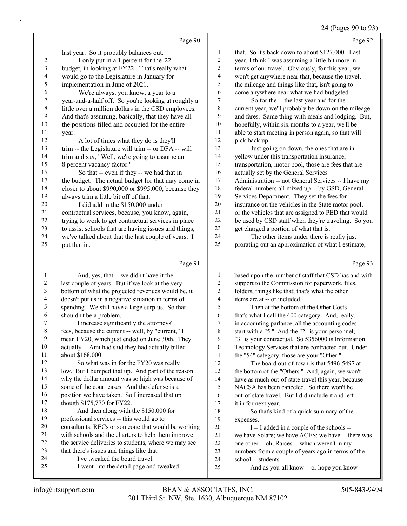#### 24 (Pages 90 to 93)

|                | Page 90                                              |                  | Page 92                                              |
|----------------|------------------------------------------------------|------------------|------------------------------------------------------|
| $\mathbf{1}$   | last year. So it probably balances out.              | 1                | that. So it's back down to about \$127,000. Last     |
| $\overline{c}$ | I only put in a 1 percent for the '22                | $\mathbf{2}$     | year, I think I was assuming a little bit more in    |
| $\mathfrak{Z}$ | budget, in looking at FY22. That's really what       | 3                | terms of our travel. Obviously, for this year, we    |
| 4              | would go to the Legislature in January for           | 4                | won't get anywhere near that, because the travel,    |
| 5              | implementation in June of 2021.                      | 5                | the mileage and things like that, isn't going to     |
| 6              | We're always, you know, a year to a                  | 6                | come anywhere near what we had budgeted.             |
| $\overline{7}$ | year-and-a-half off. So you're looking at roughly a  | $\boldsymbol{7}$ | So for the -- the last year and for the              |
| $\,8\,$        | little over a million dollars in the CSD employees.  | 8                | current year, we'll probably be down on the mileage  |
| 9              | And that's assuming, basically, that they have all   | 9                | and fares. Same thing with meals and lodging. But,   |
| 10             | the positions filled and occupied for the entire     | $10\,$           | hopefully, within six months to a year, we'll be     |
| 11             | year.                                                | 11               | able to start meeting in person again, so that will  |
| 12             | A lot of times what they do is they'll               | 12               | pick back up.                                        |
| 13             | trim -- the Legislature will trim -- or DFA -- will  | 13               | Just going on down, the ones that are in             |
| 14             | trim and say, "Well, we're going to assume an        | 14               | yellow under this transportation insurance,          |
| 15             | 8 percent vacancy factor."                           | 15               | transportation, motor pool, those are fees that are  |
| 16             | So that -- even if they -- we had that in            | 16               | actually set by the General Services                 |
| 17             | the budget. The actual budget for that may come in   | $17$             | Administration -- not General Services -- I have my  |
| 18             | closer to about \$990,000 or \$995,000, because they | 18               | federal numbers all mixed up -- by GSD, General      |
| 19             | always trim a little bit off of that.                | 19               | Services Department. They set the fees for           |
| 20             | I did add in the \$150,000 under                     | $20\,$           | insurance on the vehicles in the State motor pool,   |
| 21             | contractual services, because, you know, again,      | 21               | or the vehicles that are assigned to PED that would  |
| 22             | trying to work to get contractual services in place  | $22\,$           | be used by CSD staff when they're traveling. So you  |
| 23             | to assist schools that are having issues and things, | 23               | get charged a portion of what that is.               |
| 24             | we've talked about that the last couple of years. I  | 24               | The other items under there is really just           |
| 25             | put that in.                                         | 25               | prorating out an approximation of what I estimate,   |
|                | Page 91                                              |                  | Page 93                                              |
| $\mathbf{1}$   | And, yes, that -- we didn't have it the              | $\mathbf{1}$     | based upon the number of staff that CSD has and with |
| $\overline{c}$ | last couple of years. But if we look at the very     | $\sqrt{2}$       | support to the Commission for paperwork, files,      |
| $\mathfrak{Z}$ | bottom of what the projected revenues would be, it   | 3                | folders, things like that; that's what the other     |
| $\overline{4}$ | doesn't put us in a negative situation in terms of   | $\overline{4}$   | items are at -- or included.                         |
| $\mathfrak s$  | spending. We still have a large surplus. So that     | 5                | Then at the bottom of the Other Costs --             |
| 6              | shouldn't be a problem.                              | 6                | that's what I call the 400 category. And, really,    |
| 7              | I increase significantly the attorneys'              | $\boldsymbol{7}$ | in accounting parlance, all the accounting codes     |
| $\,$ 8 $\,$    | fees, because the current -- well, by "current," I   | $\,$ 8 $\,$      | start with a "5." And the "2" is your personnel;     |
| 9              | mean FY20, which just ended on June 30th. They       | 9                | "3" is your contractual. So 5356000 is Information   |
| 10             | actually -- Ami had said they had actually billed    | 10               | Technology Services that are contracted out. Under   |
| 11             | about \$168,000.                                     | 11               | the "54" category, those are your "Other."           |
| 12             | So what was in for the FY20 was really               | 12               | The board out-of-town is that 5496-5497 at           |

- 13 low. But I bumped that up. And part of the reason why the dollar amount was so high was because of some of the court cases. And the defense is a
- 16 position we have taken. So I increased that up
- though \$175,770 for FY22. 18 And then along with the \$150,000 for professional services -- this would go to consultants, RECs or someone that would be working
- with schools and the charters to help them improve
- 22 the service deliveries to students, where we may see
- that there's issues and things like that.
- 24 I've tweaked the board travel.
- 25 I went into the detail page and tweaked

 the bottom of the "Others." And, again, we won't have as much out-of-state travel this year, because NACSA has been canceled. So there won't be out-of-state travel. But I did include it and left it in for next year.

18 So that's kind of a quick summary of the expenses.

- 20 I -- I added in a couple of the schools -- we have Solare; we have ACES; we have -- there was one other -- oh, Raíces -- which weren't in my
- numbers from a couple of years ago in terms of the
- school -- students.
- 25 And as you-all know -- or hope you know --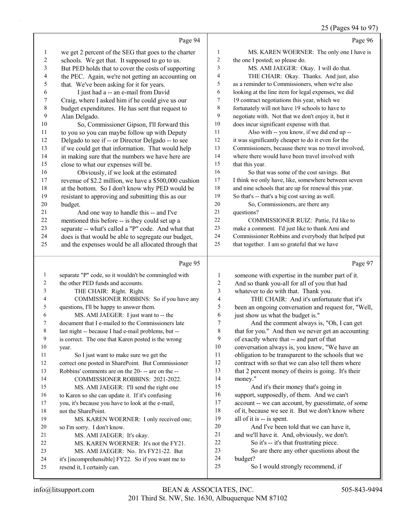## 25 (Pages 94 to 97)

|                  | Page 94                                                                                                     |                          | Page 96                                                                                              |
|------------------|-------------------------------------------------------------------------------------------------------------|--------------------------|------------------------------------------------------------------------------------------------------|
| $\mathbf{1}$     | we get 2 percent of the SEG that goes to the charter                                                        | 1                        | MS. KAREN WOERNER: The only one I have is                                                            |
| $\boldsymbol{2}$ | schools. We get that. It supposed to go to us.                                                              | $\sqrt{2}$               | the one I posted; so please do.                                                                      |
| 3                | But PED holds that to cover the costs of supporting                                                         | 3                        | MS. AMI JAEGER: Okay. I will do that.                                                                |
| 4                | the PEC. Again, we're not getting an accounting on                                                          | $\overline{\mathcal{A}}$ | THE CHAIR: Okay. Thanks. And just, also                                                              |
| 5                | that. We've been asking for it for years.                                                                   | 5                        | as a reminder to Commissioners, when we're also                                                      |
| 6                | I just had a -- an e-mail from David                                                                        | 6                        | looking at the line item for legal expenses, we did                                                  |
| 7                | Craig, where I asked him if he could give us our                                                            | $\tau$                   | 19 contract negotiations this year, which we                                                         |
| 8                | budget expenditures. He has sent that request to                                                            | $\,$ 8 $\,$              | fortunately will not have 19 schools to have to                                                      |
| 9                | Alan Delgado.                                                                                               | 9                        | negotiate with. Not that we don't enjoy it, but it                                                   |
| 10               | So, Commissioner Gipson, I'll forward this                                                                  | 10                       | does incur significant expense with that.                                                            |
| 11               | to you so you can maybe follow up with Deputy                                                               | 11                       | Also with -- you know, if we did end up --                                                           |
| 12               | Delgado to see if -- or Director Delgado -- to see                                                          | 12                       | it was significantly cheaper to do it even for the                                                   |
| 13               | if we could get that information. That would help                                                           | 13                       | Commissioners, because there was no travel involved,                                                 |
| 14               | in making sure that the numbers we have here are                                                            | 14                       | where there would have been travel involved with                                                     |
| 15               | close to what our expenses will be.                                                                         | 15                       | that this year.                                                                                      |
| 16               | Obviously, if we look at the estimated                                                                      | 16                       | So that was some of the cost savings. But                                                            |
| 17               | revenue of \$2.2 million, we have a \$500,000 cushion                                                       | 17                       | I think we only have, like, somewhere between seven                                                  |
| 18               | at the bottom. So I don't know why PED would be                                                             | 18                       | and nine schools that are up for renewal this year.                                                  |
| 19               | resistant to approving and submitting this as our                                                           | 19                       | So that's -- that's a big cost saving as well.                                                       |
| $20\,$           | budget.                                                                                                     | 20                       | So, Commissioners, are there any                                                                     |
| 21               | And one way to handle this -- and I've                                                                      | 21                       | questions?                                                                                           |
| 22               | mentioned this before -- is they could set up a                                                             | 22                       | COMMISSIONER RUIZ: Pattie, I'd like to                                                               |
| 23<br>24         | separate -- what's called a "P" code. And what that                                                         | 23<br>24                 | make a comment. I'd just like to thank Ami and<br>Commissioner Robbins and everybody that helped put |
| 25               | does is that would be able to segregate our budget,<br>and the expenses would be all allocated through that | 25                       | that together. I am so grateful that we have                                                         |
|                  |                                                                                                             |                          |                                                                                                      |
|                  |                                                                                                             |                          |                                                                                                      |
|                  | Page 95                                                                                                     |                          | Page 97                                                                                              |
| $\mathbf{1}$     | separate "P" code, so it wouldn't be commingled with                                                        | $\mathbf{1}$             | someone with expertise in the number part of it.                                                     |
| 2                | the other PED funds and accounts.                                                                           | 2                        | And so thank you-all for all of you that had                                                         |
| 3                | THE CHAIR: Right. Right.                                                                                    | 3                        | whatever to do with that. Thank you.                                                                 |
| 4                | COMMISSIONER ROBBINS: So if you have any                                                                    | 4                        | THE CHAIR: And it's unfortunate that it's                                                            |
| 5                | questions, I'll be happy to answer them.                                                                    | 5                        | been an ongoing conversation and request for, "Well,                                                 |
| 6                | MS. AMI JAEGER: I just want to -- the                                                                       | 6                        | just show us what the budget is."                                                                    |
| 7                | document that I e-mailed to the Commissioners late                                                          | 7                        | And the comment always is, "Oh, I can get                                                            |
|                  | last night -- because I had e-mail problems, but --                                                         | 8                        | that for you." And then we never get an accounting                                                   |
| 9                | is correct. The one that Karen posted is the wrong                                                          | 9                        | of exactly where that -- and part of that                                                            |
| 10               | year.                                                                                                       | 10                       | conversation always is, you know, "We have an                                                        |
| 11               | So I just want to make sure we get the                                                                      | 11                       | obligation to be transparent to the schools that we                                                  |
| 12               | correct one posted in SharePoint. But Commissioner                                                          | 12                       | contract with so that we can also tell them where                                                    |
| 13               | Robbins' comments are on the 20--- are on the --                                                            | 13                       | that 2 percent money of theirs is going. It's their                                                  |
| 14               | COMMISSIONER ROBBINS: 2021-2022.                                                                            | 14                       | money."                                                                                              |
| 15               | MS. AMI JAEGER: I'll send the right one                                                                     | 15                       | And it's their money that's going in                                                                 |
| 16               | to Karen so she can update it. If it's confusing                                                            | 16                       | support, supposedly, of them. And we can't                                                           |
| 17<br>18         | you, it's because you have to look at the e-mail,                                                           | 17<br>18                 | account -- we can account, by guesstimate, of some                                                   |
| 19               | not the SharePoint.                                                                                         | 19                       | of it, because we see it. But we don't know where<br>all of it is -- is spent.                       |
| 20               | MS. KAREN WOERNER: I only received one;                                                                     | 20                       | And I've been told that we can have it,                                                              |
| 21               | so I'm sorry. I don't know.<br>MS. AMI JAEGER: It's okay.                                                   | 21                       | and we'll have it. And, obviously, we don't.                                                         |
| 22               | MS. KAREN WOERNER: It's not the FY21.                                                                       | $22\,$                   | So it's -- it's that frustrating piece.                                                              |
| 23               | MS. AMI JAEGER: No. It's FY21-22. But                                                                       | 23                       | So are there any other questions about the                                                           |
| 24               | it's [incomprehensible] FY22. So if you want me to<br>resend it, I certainly can.                           | 24<br>25                 | budget?<br>So I would strongly recommend, if                                                         |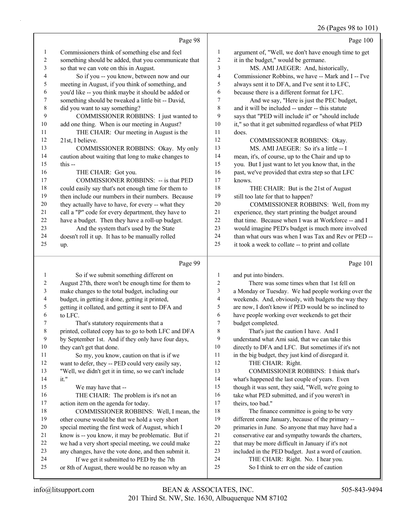|               |                                                      |                | 26 (Pages 98 to 101                                  |
|---------------|------------------------------------------------------|----------------|------------------------------------------------------|
|               | Page 98                                              |                | Page 100                                             |
| $\mathbf{1}$  | Commissioners think of something else and feel       | 1              | argument of, "Well, we don't have enough time to get |
| 2             | something should be added, that you communicate that | 2              | it in the budget," would be germane.                 |
| 3             | so that we can vote on this in August.               | 3              | MS. AMI JAEGER: And, historically,                   |
| 4             | So if you -- you know, between now and our           | $\overline{4}$ | Commissioner Robbins, we have -- Mark and I -- I've  |
| 5             | meeting in August, if you think of something, and    | 5              | always sent it to DFA, and I've sent it to LFC,      |
| 6             | you'd like -- you think maybe it should be added or  | 6              | because there is a different format for LFC.         |
| 7             | something should be tweaked a little bit -- David,   | 7              | And we say, "Here is just the PEC budget,            |
| 8             | did you want to say something?                       | 8              | and it will be included -- under -- this statute     |
| 9             | COMMISSIONER ROBBINS: I just wanted to               | 9              | says that "PED will include it" or "should include   |
| 10            | add one thing. When is our meeting in August?        | 10             | it," so that it get submitted regardless of what PED |
| 11            | THE CHAIR: Our meeting in August is the              | 11             | does.                                                |
| 12            | 21st, I believe.                                     | 12             | COMMISSIONER ROBBINS: Okay.                          |
| 13            | COMMISSIONER ROBBINS: Okay. My only                  | 13             | MS. AMI JAEGER: So it's a little -- I                |
| 14            | caution about waiting that long to make changes to   | 14             | mean, it's, of course, up to the Chair and up to     |
| 15            | this --                                              | 15             | you. But I just want to let you know that, in the    |
| 16            | THE CHAIR: Got you.                                  | 16             | past, we've provided that extra step so that LFC     |
| 17            | <b>COMMISSIONER ROBBINS: -- is that PED</b>          | 17             | knows.                                               |
| 18            | could easily say that's not enough time for them to  | 18             | THE CHAIR: But is the 21st of August                 |
| 19            | then include our numbers in their numbers. Because   | 19             | still too late for that to happen?                   |
| 20            | they actually have to have, for every -- what they   | 20             | COMMISSIONER ROBBINS: Well, from my                  |
| 21            | call a "P" code for every department, they have to   | 21             | experience, they start printing the budget around    |
| 22            | have a budget. Then they have a roll-up budget.      | 22             | that time. Because when I was at Workforce -- and I  |
| 23            | And the system that's used by the State              | 23             | would imagine PED's budget is much more involved     |
| 24            | doesn't roll it up. It has to be manually rolled     | 24             | than what ours was when I was Tax and Rev or PED --  |
| 25            | up.                                                  | 25             | it took a week to collate -- to print and collate    |
|               | Page 99                                              |                | Page 101                                             |
| $\mathbf{1}$  | So if we submit something different on               | 1              | and put into binders.                                |
| 2             | August 27th, there won't be enough time for them to  | $\overline{c}$ | There was some times when that 1st fell on           |
| 3             | make changes to the total budget, including our      | 3              | a Monday or Tuesday. We had people working over the  |
| 4             | budget, in getting it done, getting it printed,      | 4              | weekends. And, obviously, with budgets the way they  |
| 5             | getting it collated, and getting it sent to DFA and  | 5              | are now, I don't know if PED would be so inclined to |
| 6             | to LFC.                                              | 6              | have people working over weekends to get their       |
| $\mathcal{L}$ | That's statutory requirements that a                 | $\mathcal{L}$  | budget completed.                                    |
| 8             | printed, collated copy has to go to both LFC and DFA | $\,8\,$        | That's just the caution I have. And I                |
| 9             | by September 1st. And if they only have four days,   | 9              | understand what Ami said, that we can take this      |
| 10            | they can't get that done.                            | 10             | directly to DFA and LFC. But sometimes if it's not   |
| 11            | So my, you know, caution on that is if we            | 11             | in the big budget, they just kind of disregard it.   |
| 12            | want to defer, they -- PED could very easily say,    | 12             | THE CHAIR: Right.                                    |
| 13            | "Well, we didn't get it in time, so we can't include | 13             | COMMISSIONER ROBBINS: I think that's                 |
| 14            | it."                                                 | 14             | what's happened the last couple of years. Even       |
| 15            | We may have that --                                  | 15             | though it was sent, they said, "Well, we're going to |
| 16            | THE CHAIR: The problem is it's not an                | 16             | take what PED submitted, and if you weren't in       |
| 17            | action item on the agenda for today.                 | 17             | theirs, too bad."                                    |
| 18            | COMMISSIONER ROBBINS: Well, I mean, the              | 18             | The finance committee is going to be very            |
| 19            | other course would be that we hold a very short      | 19             | different come January, because of the primary --    |
| 20            | special meeting the first week of August, which I    | 20             | primaries in June. So anyone that may have had a     |
| 21            | know is -- you know, it may be problematic. But if   | $21\,$         | conservative ear and sympathy towards the charters,  |
| 22            | we had a very short special meeting, we could make   | $22\,$         | that may be more difficult in January if it's not    |
| 23            | any changes, have the vote done, and then submit it. | 23             | included in the PED budget. Just a word of caution.  |
| 24            | If we get it submitted to PED by the 7th             | 24             | THE CHAIR: Right. No. I hear you.                    |

or 8th of August, there would be no reason why an

25 So I think to err on the side of caution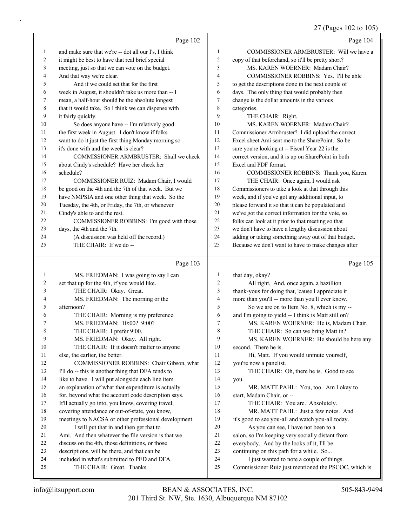27 (Pages 102 to 105)

|                  |                                                      |                | $27$ (Pages $102$ to $105$ )                        |
|------------------|------------------------------------------------------|----------------|-----------------------------------------------------|
|                  | Page 102                                             |                | Page 104                                            |
| $\mathbf{1}$     | and make sure that we're -- dot all our I's, I think | 1              | COMMISSIONER ARMBRUSTER: Will we have a             |
| $\boldsymbol{2}$ | it might be best to have that real brief special     | $\overline{c}$ | copy of that beforehand, so it'll be pretty short?  |
| 3                | meeting, just so that we can vote on the budget.     | 3              | MS. KAREN WOERNER: Madam Chair?                     |
| 4                | And that way we're clear.                            | 4              | COMMISSIONER ROBBINS: Yes. I'll be able             |
| 5                | And if we could set that for the first               | 5              | to get the descriptions done in the next couple of  |
| 6                | week in August, it shouldn't take us more than -- I  | 6              | days. The only thing that would probably then       |
| 7                | mean, a half-hour should be the absolute longest     | 7              | change is the dollar amounts in the various         |
| 8                | that it would take. So I think we can dispense with  | 8              | categories.                                         |
| 9                | it fairly quickly.                                   | 9              | THE CHAIR: Right.                                   |
| 10               | So does anyone have -- I'm relatively good           | 10             | MS. KAREN WOERNER: Madam Chair?                     |
| 11               | the first week in August. I don't know if folks      | 11             | Commissioner Armbruster? I did upload the correct   |
| 12               | want to do it just the first thing Monday morning so | 12             | Excel sheet Ami sent me to the SharePoint. So be    |
| 13               | it's done with and the week is clear?                | 13             | sure you're looking at -- Fiscal Year 22 is the     |
| 14               | COMMISSIONER ARMBRUSTER: Shall we check              | 14             | correct version, and it is up on SharePoint in both |
| 15               | about Cindy's schedule? Have her check her           | 15             | Excel and PDF format.                               |
| 16               | schedule?                                            | 16             | COMMISSIONER ROBBINS: Thank you, Karen.             |
| 17               | COMMISSIONER RUIZ: Madam Chair, I would              | 17             | THE CHAIR: Once again, I would ask                  |
| 18               | be good on the 4th and the 7th of that week. But we  | 18             | Commissioners to take a look at that through this   |
| 19               | have NMPSIA and one other thing that week. So the    | 19             | week, and if you've got any additional input, to    |
| 20               | Tuesday, the 4th, or Friday, the 7th, or whenever    | 20             | please forward it so that it can be populated and   |
| 21               | Cindy's able to and the rest.                        | 21             | we've got the correct information for the vote, so  |
| 22               | COMMISSIONER ROBBINS: I'm good with those            | 22             | folks can look at it prior to that meeting so that  |
| 23               | days, the 4th and the 7th.                           | 23             | we don't have to have a lengthy discussion about    |
| 24               | (A discussion was held off the record.)              | 24             | adding or taking something away out of that budget. |
| 25               | THE CHAIR: If we do --                               | 25             | Because we don't want to have to make changes after |
|                  | Page 103                                             |                | Page 105                                            |
| $\mathbf{1}$     | MS. FRIEDMAN: I was going to say I can               | 1              | that day, okay?                                     |
| $\overline{c}$   | set that up for the 4th, if you would like.          | $\mathbf{2}$   | All right. And, once again, a bazillion             |
| 3                | THE CHAIR: Okay. Great.                              | 3              | thank-yous for doing that, 'cause I appreciate it   |
| 4                | MS. FRIEDMAN: The morning or the                     | $\overline{4}$ | more than you'll -- more than you'll ever know.     |
| 5                | afternoon?                                           | 5              | So we are on to Item No. 8, which is my --          |
| 6                | THE CHAIR: Morning is my preference.                 | 6              | and I'm going to yield -- I think is Matt still on? |
| 7                | MS. FRIEDMAN: 10:00? 9:00?                           | 7              | MS. KAREN WOERNER: He is, Madam Chair.              |
| 8                | THE CHAIR: I prefer 9:00.                            | 8              | THE CHAIR: So can we bring Matt in?                 |
| 9                | MS. FRIEDMAN: Okay. All right.                       | 9              | MS. KAREN WOERNER: He should be here any            |
| 10               | THE CHAIR: If it doesn't matter to anyone            | 10             | second. There he is.                                |
| 11               | else, the earlier, the better.                       | 11             | Hi, Matt. If you would unmute yourself,             |
| 12               | COMMISSIONER ROBBINS: Chair Gibson, what             | 12             | you're now a panelist.                              |
| 13               | I'll do -- this is another thing that DFA tends to   | 13             | THE CHAIR: Oh, there he is. Good to see             |
| 14               | like to have. I will put alongside each line item    | 14             | you.                                                |
| 15               | an explanation of what that expenditure is actually  | 15             | MR. MATT PAHL: You, too. Am I okay to               |
| 16               | for, beyond what the account code description says.  | 16             | start, Madam Chair, or --                           |
| 17               | It'll actually go into, you know, covering travel,   | 17             | THE CHAIR: You are. Absolutely.                     |
| 18               | covering attendance or out-of-state, you know,       | 18             | MR. MATT PAHL: Just a few notes. And                |
| 19               | meetings to NACSA or other professional development. | 19             | it's good to see you-all and watch you-all today.   |

20 I will put that in and then get that to Ami. And then whatever the file version is that we discuss on the 4th, those definitions, or those descriptions, will be there, and that can be included in what's submitted to PED and DFA.

25 THE CHAIR: Great. Thanks.

20 As you can see, I have not been to a 21 salon, so I'm keeping very socially distant from 22 everybody. And by the looks of it, I'll be 23 continuing on this path for a while. So... 24 I just wanted to note a couple of things.

25 Commissioner Ruiz just mentioned the PSCOC, which is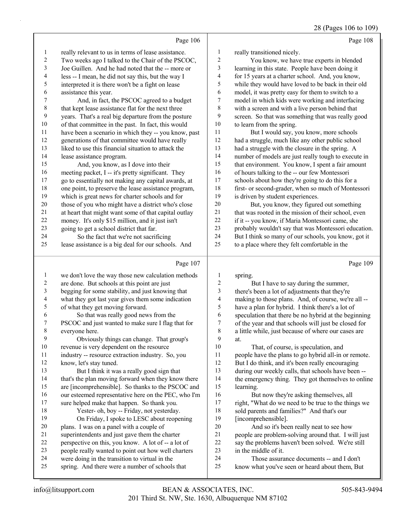#### 28 (Pages 106 to 109)

|        | Page 106                                             |                | Page 108                                             |
|--------|------------------------------------------------------|----------------|------------------------------------------------------|
| 1      | really relevant to us in terms of lease assistance.  | 1              | really transitioned nicely.                          |
| 2      | Two weeks ago I talked to the Chair of the PSCOC,    | $\overline{2}$ | You know, we have true experts in blended            |
| 3      | Joe Guillen. And he had noted that the -- more or    | 3              | learning in this state. People have been doing it    |
| 4      | less -- I mean, he did not say this, but the way I   | 4              | for 15 years at a charter school. And, you know,     |
| 5      | interpreted it is there won't be a fight on lease    | 5              | while they would have loved to be back in their old  |
| 6      | assistance this year.                                | 6              | model, it was pretty easy for them to switch to a    |
| 7      | And, in fact, the PSCOC agreed to a budget           | 7              | model in which kids were working and interfacing     |
| 8      | that kept lease assistance flat for the next three   | 8              | with a screen and with a live person behind that     |
| 9      | years. That's a real big departure from the posture  | 9              | screen. So that was something that was really good   |
| 10     | of that committee in the past. In fact, this would   | 10             | to learn from the spring.                            |
| 11     | have been a scenario in which they -- you know, past | 11             | But I would say, you know, more schools              |
| 12     | generations of that committee would have really      | 12             | had a struggle, much like any other public school    |
| 13     | liked to use this financial situation to attack the  | 13             | had a struggle with the closure in the spring. A     |
| 14     | lease assistance program.                            | 14             | number of models are just really tough to execute in |
| 15     | And, you know, as I dove into their                  | 15             | that environment. You know, I spent a fair amount    |
| 16     | meeting packet, I -- it's pretty significant. They   | 16             | of hours talking to the -- our few Montessori        |
| 17     | go to essentially not making any capital awards, at  | 17             | schools about how they're going to do this for a     |
| 18     | one point, to preserve the lease assistance program, | 18             | first- or second-grader, when so much of Montessori  |
| 19     | which is great news for charter schools and for      | 19             | is driven by student experiences.                    |
| $20\,$ | those of you who might have a district who's close   | 20             | But, you know, they figured out something            |
| 21     | at heart that might want some of that capital outlay | 21             | that was rooted in the mission of their school, even |
| 22     | money. It's only \$15 million, and it just isn't     | 22             | if it -- you know, if Maria Montessori came, she     |
| 23     | going to get a school district that far.             | 23             | probably wouldn't say that was Montessori education. |
| 24     | So the fact that we're not sacrificing               | 24             | But I think so many of our schools, you know, got it |
| 25     | lease assistance is a big deal for our schools. And  | 25             | to a place where they felt comfortable in the        |
|        | Page 107                                             |                | Page 109                                             |
| 1      | we don't love the way those new calculation methods  | 1              | spring.                                              |
| 2      | are done. But schools at this point are just         | $\overline{2}$ | But I have to say during the summer,                 |

| $\mathfrak{D}$ | are done. But schools at this point are just       |    |
|----------------|----------------------------------------------------|----|
|                | begging for some stability, and just knowing that  | 3  |
| 4              | what they got last year gives them some indication | 4  |
| 5              | of what they get moving forward.                   | 5  |
| 6              | So that was really good news from the              | 6  |
|                | PSCOC and just wanted to make sure I flag that for | 7  |
| 8              | everyone here.                                     | 8  |
| 9              | Obviously things can change. That group's          | 9  |
| 10             | revenue is very dependent on the resource          | 10 |
| 11             | industry -- resource extraction industry. So, you  | 11 |
| 12             | know, let's stay tuned.                            | 12 |
| 13             | But I think it was a really good sign that         | 13 |

 that's the plan moving forward when they know there are [incomprehensible]. So thanks to the PSCOC and 16 our esteemed representative here on the PEC, who I'm sure helped make that happen. So thank you. 18 Yester- oh, boy -- Friday, not yesterday. 19 On Friday, I spoke to LESC about reopening

 plans. I was on a panel with a couple of superintendents and just gave them the charter perspective on this, you know. A lot of -- a lot of people really wanted to point out how well charters were doing in the transition to virtual in the spring. And there were a number of schools that

at. That, of course, is speculation, and people have the plans to go hybrid all-in or remote. But I do think, and it's been really encouraging during our weekly calls, that schools have been -- the emergency thing. They got themselves to online learning. 16 But now they're asking themselves, all right, "What do we need to be true to the things we sold parents and families?" And that's our [incomprehensible]. 20 And so it's been really neat to see how people are problem-solving around that. I will just say the problems haven't been solved. We're still in the middle of it.

there's been a lot of adjustments that they're making to those plans. And, of course, we're all -have a plan for hybrid. I think there's a lot of speculation that there be no hybrid at the beginning of the year and that schools will just be closed for a little while, just because of where our cases are

24 Those assurance documents -- and I don't know what you've seen or heard about them, But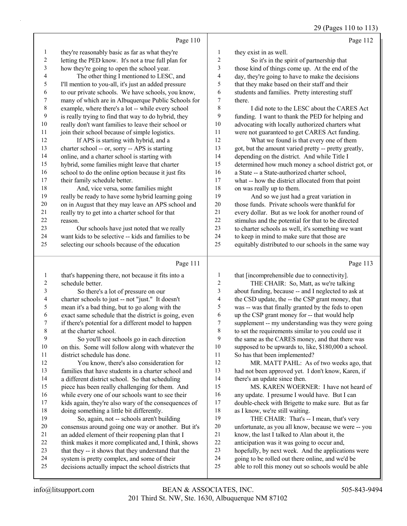29 (Pages 110 to 113)

|                | Page 110                                                                                           |                          | Page 112                                                                                                 |
|----------------|----------------------------------------------------------------------------------------------------|--------------------------|----------------------------------------------------------------------------------------------------------|
| 1              | they're reasonably basic as far as what they're                                                    | 1                        | they exist in as well.                                                                                   |
| $\sqrt{2}$     | letting the PED know. It's not a true full plan for                                                | $\sqrt{2}$               | So it's in the spirit of partnership that                                                                |
| 3              | how they're going to open the school year.                                                         | 3                        | those kind of things come up. At the end of the                                                          |
| $\overline{4}$ | The other thing I mentioned to LESC, and                                                           | $\overline{\mathcal{A}}$ | day, they're going to have to make the decisions                                                         |
| 5              | I'll mention to you-all, it's just an added pressure                                               | 5                        | that they make based on their staff and their                                                            |
| 6              | to our private schools. We have schools, you know,                                                 | 6                        | students and families. Pretty interesting stuff                                                          |
| 7              | many of which are in Albuquerque Public Schools for                                                | 7                        | there.                                                                                                   |
| 8              | example, where there's a lot -- while every school                                                 | $\,$ $\,$                | I did note to the LESC about the CARES Act                                                               |
| 9              | is really trying to find that way to do hybrid, they                                               | 9                        | funding. I want to thank the PED for helping and                                                         |
| 10             | really don't want families to leave their school or                                                | $10\,$                   | advocating with locally authorized charters what                                                         |
| 11             | join their school because of simple logistics.                                                     | 11                       | were not guaranteed to get CARES Act funding.                                                            |
| 12             | If APS is starting with hybrid, and a                                                              | 12                       | What we found is that every one of them                                                                  |
| 13             | charter school -- or, sorry -- APS is starting                                                     | 13                       | got, but the amount varied pretty -- pretty greatly,                                                     |
| 14             | online, and a charter school is starting with                                                      | 14                       | depending on the district. And while Title I                                                             |
| 15             | hybrid, some families might leave that charter                                                     | 15                       | determined how much money a school district got, or                                                      |
| 16             | school to do the online option because it just fits                                                | 16                       | a State -- a State-authorized charter school,                                                            |
| 17             | their family schedule better.                                                                      | 17                       | what -- how the district allocated from that point                                                       |
| 18             | And, vice versa, some families might                                                               | 18                       | on was really up to them.                                                                                |
| 19             | really be ready to have some hybrid learning going                                                 | 19                       | And so we just had a great variation in                                                                  |
| 20             | on in August that they may leave an APS school and                                                 | $20\,$                   | those funds. Private schools were thankful for                                                           |
| 21             | really try to get into a charter school for that                                                   | 21                       | every dollar. But as we look for another round of                                                        |
| 22             | reason.                                                                                            | 22                       | stimulus and the potential for that to be directed                                                       |
| 23             | Our schools have just noted that we really                                                         | 23                       | to charter schools as well, it's something we want                                                       |
| 24             | want kids to be selective -- kids and families to be                                               | 24                       | to keep in mind to make sure that those are                                                              |
| 25             | selecting our schools because of the education                                                     | 25                       | equitably distributed to our schools in the same way                                                     |
|                | Page 111                                                                                           |                          | Page 113                                                                                                 |
| $\mathbf{1}$   | that's happening there, not because it fits into a                                                 | 1                        | that [incomprehensible due to connectivity].                                                             |
| $\overline{c}$ | schedule better.                                                                                   | $\sqrt{2}$               | THE CHAIR: So, Matt, as we're talking                                                                    |
| 3              | So there's a lot of pressure on our                                                                | 3                        | about funding, because -- and I neglected to ask at                                                      |
| 4              | charter schools to just -- not "just." It doesn't                                                  | $\overline{\mathbf{4}}$  | the CSD update, the -- the CSP grant money, that                                                         |
| 5              | mean it's a bad thing, but to go along with the                                                    | 5                        | was -- was that finally granted by the feds to open                                                      |
| 6              | exact same schedule that the district is going, even                                               | 6                        | up the CSP grant money for -- that would help                                                            |
| 7              | if there's potential for a different model to happen                                               | 7                        | supplement -- my understanding was they were going                                                       |
| 8              | at the charter school.                                                                             | $\,$ $\,$                | to set the requirements similar to you could use it                                                      |
| $\mathbf{9}$   | So you'll see schools go in each direction                                                         | 9                        | the same as the CARES money, and that there was                                                          |
| $10\,$         | on this. Some will follow along with whatever the                                                  | $10\,$                   | supposed to be upwards to, like, \$180,000 a school.                                                     |
| 11             | district schedule has done.                                                                        | 11                       | So has that been implemented?                                                                            |
| 12             | You know, there's also consideration for                                                           | 12                       | MR. MATT PAHL: As of two weeks ago, that                                                                 |
| 13             | families that have students in a charter school and                                                | 13                       | had not been approved yet. I don't know, Karen, if                                                       |
| 14             | a different district school. So that scheduling                                                    | 14                       | there's an update since then.                                                                            |
| 15             | piece has been really challenging for them. And                                                    | 15                       | MS. KAREN WOERNER: I have not heard of                                                                   |
| 16             | while every one of our schools want to see their                                                   | 16                       | any update. I presume I would have. But I can                                                            |
| 17             | kids again, they're also wary of the consequences of                                               | 17                       | double-check with Brigette to make sure. But as far                                                      |
| 18             | doing something a little bit differently.                                                          | 18                       | as I know, we're still waiting.                                                                          |
| 19             | So, again, not -- schools aren't building                                                          | 19                       | THE CHAIR: That's -- I mean, that's very                                                                 |
| 20             | consensus around going one way or another. But it's                                                | $20\,$                   | unfortunate, as you all know, because we were -- you                                                     |
| 21             | an added element of their reopening plan that I                                                    | $21\,$                   | know, the last I talked to Alan about it, the                                                            |
| 22             | think makes it more complicated and, I think, shows                                                | 22                       | anticipation was it was going to occur and,                                                              |
| 23             | that they -- it shows that they understand that the                                                | 23                       | hopefully, by next week. And the applications were                                                       |
|                |                                                                                                    |                          |                                                                                                          |
| 24<br>25       | system is pretty complex, and some of their<br>decisions actually impact the school districts that | 24<br>25                 | going to be rolled out there online, and we'd be<br>able to roll this money out so schools would be able |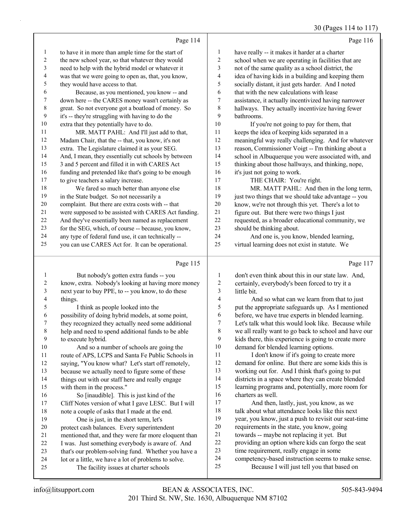#### 30 (Pages 114 to 117)

|                          | Page 114                                             |                         | Page 116                                             |
|--------------------------|------------------------------------------------------|-------------------------|------------------------------------------------------|
| 1                        | to have it in more than ample time for the start of  | $\mathbf{1}$            | have really -- it makes it harder at a charter       |
| 2                        | the new school year, so that whatever they would     | 2                       | school when we are operating in facilities that are  |
| 3                        | need to help with the hybrid model or whatever it    | 3                       | not of the same quality as a school district, the    |
| $\overline{\mathcal{A}}$ | was that we were going to open as, that, you know,   | $\overline{\mathbf{4}}$ | idea of having kids in a building and keeping them   |
| 5                        | they would have access to that.                      | 5                       | socially distant, it just gets harder. And I noted   |
| 6                        | Because, as you mentioned, you know -- and           | 6                       | that with the new calculations with lease            |
| 7                        | down here -- the CARES money wasn't certainly as     | 7                       | assistance, it actually incentivized having narrower |
| 8                        | great. So not everyone got a boatload of money. So   | 8                       | hallways. They actually incentivize having fewer     |
| 9                        | it's -- they're struggling with having to do the     | 9                       | bathrooms.                                           |
| 10                       | extra that they potentially have to do.              | 10                      | If you're not going to pay for them, that            |
| 11                       | MR. MATT PAHL: And I'll just add to that,            | 11                      | keeps the idea of keeping kids separated in a        |
| 12                       | Madam Chair, that the -- that, you know, it's not    | 12                      | meaningful way really challenging. And for whatever  |
| 13                       | extra. The Legislature claimed it as your SEG.       | 13                      | reason, Commissioner Voigt -- I'm thinking about a   |
| 14                       | And, I mean, they essentially cut schools by between | 14                      | school in Albuquerque you were associated with, and  |
| 15                       | 3 and 5 percent and filled it in with CARES Act      | 15                      | thinking about those hallways, and thinking, nope,   |
| 16                       | funding and pretended like that's going to be enough | 16                      | it's just not going to work.                         |
| 17                       | to give teachers a salary increase.                  | 17                      | THE CHAIR: You're right.                             |
| $18\,$                   | We fared so much better than anyone else             | 18                      | MR. MATT PAHL: And then in the long term,            |
| 19                       | in the State budget. So not necessarily a            | 19                      | just two things that we should take advantage -- you |
| 20                       | complaint. But there are extra costs with -- that    | 20                      | know, we're not through this yet. There's a lot to   |
| 21                       | were supposed to be assisted with CARES Act funding. | 21                      | figure out. But there were two things I just         |
| 22                       | And they've essentially been named as replacement    | 22                      | requested, as a broader educational community, we    |
| 23                       | for the SEG, which, of course -- because, you know,  | 23                      | should be thinking about.                            |
| 24                       | any type of federal fund use, it can technically --  | 24                      | And one is, you know, blended learning,              |
| 25                       | you can use CARES Act for. It can be operational.    | 25                      | virtual learning does not exist in statute. We       |
|                          | Page 115                                             |                         | Page 117                                             |
| 1                        | But nobody's gotten extra funds -- you               | 1                       | don't even think about this in our state law. And,   |
| $\overline{c}$           | know, extra. Nobody's looking at having more money   | $\overline{c}$          | certainly, everybody's been forced to try it a       |
| 3                        | next year to buy PPE, to -- you know, to do these    | $\mathfrak{Z}$          | little bit.                                          |
| 4                        | things.                                              | $\overline{4}$          | And so what can we learn from that to just           |

5 I think as people looked into the possibility of doing hybrid models, at some point, they recognized they actually need some additional help and need to spend additional funds to be able to execute hybrid. 10 And so a number of schools are going the 11 route of APS, LCPS and Santa Fe Public Schools in saying, "You know what? Let's start off remotely, because we actually need to figure some of these 14 things out with our staff here and really engage with them in the process." 16 So [inaudible]. This is just kind of the Cliff Notes version of what I gave LESC. But I will note a couple of asks that I made at the end. 19 One is just, in the short term, let's protect cash balances. Every superintendent mentioned that, and they were far more eloquent than I was. Just something everybody is aware of. And

- that's our problem-solving fund. Whether you have a
- lot or a little, we have a lot of problems to solve.
- 25 The facility issues at charter schools

4 And so what can we learn from that to just put the appropriate safeguards up. As I mentioned before, we have true experts in blended learning. Let's talk what this would look like. Because while we all really want to go back to school and have our kids there, this experience is going to create more demand for blended learning options.

11 I don't know if it's going to create more demand for online. But there are some kids this is working out for. And I think that's going to put districts in a space where they can create blended learning programs and, potentially, more room for charters as well.

17 And then, lastly, just, you know, as we 18 talk about what attendance looks like this next year, you know, just a push to revisit our seat-time requirements in the state, you know, going towards -- maybe not replacing it yet. But

- providing an option where kids can forgo the seat
- time requirement, really engage in some
- competency-based instruction seems to make sense.
- 25 Because I will just tell you that based on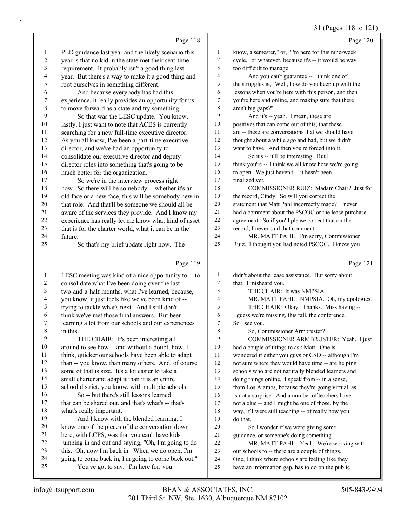## 31 (Pages 118 to 121)

|                          | Page 118                                                                                       |                         | Page 120                                                                                              |
|--------------------------|------------------------------------------------------------------------------------------------|-------------------------|-------------------------------------------------------------------------------------------------------|
| 1                        | PED guidance last year and the likely scenario this                                            | $\mathbf{1}$            | know, a semester," or, "I'm here for this nine-week                                                   |
| $\overline{\mathbf{c}}$  | year is that no kid in the state met their seat-time                                           | $\overline{\mathbf{c}}$ | cycle," or whatever, because it's -- it would be way                                                  |
| 3                        | requirement. It probably isn't a good thing last                                               | 3                       | too difficult to manage.                                                                              |
| $\overline{\mathcal{A}}$ | year. But there's a way to make it a good thing and                                            | 4                       | And you can't guarantee -- I think one of                                                             |
| 5                        | root ourselves in something different.                                                         | 5                       | the struggles is, "Well, how do you keep up with the                                                  |
| 6                        | And because everybody has had this                                                             | 6                       | lessons when you're here with this person, and then                                                   |
| $\overline{7}$           | experience, it really provides an opportunity for us                                           | 7                       | you're here and online, and making sure that there                                                    |
| $\,$ $\,$                | to move forward as a state and try something.                                                  | 8                       | aren't big gaps?"                                                                                     |
| 9                        | So that was the LESC update. You know,                                                         | 9                       | And it's -- yeah. I mean, these are                                                                   |
| 10                       | lastly, I just want to note that ACES is currently                                             | 10                      | positives that can come out of this, that these                                                       |
| 11                       | searching for a new full-time executive director.                                              | 11                      | are -- these are conversations that we should have                                                    |
| 12                       | As you all know, I've been a part-time executive                                               | 12                      | thought about a while ago and had, but we didn't                                                      |
| 13                       | director, and we've had an opportunity to                                                      | 13                      | want to have. And then you're forced into it.                                                         |
| 14                       | consolidate our executive director and deputy                                                  | 14                      | So it's -- it'll be interesting. But I                                                                |
| 15                       | director roles into something that's going to be                                               | 15                      | think you're -- I think we all know how we're going                                                   |
| 16                       | much better for the organization.                                                              | 16                      | to open. We just haven't -- it hasn't been                                                            |
| 17                       | So we're in the interview process right                                                        | 17                      | finalized yet.                                                                                        |
| 18                       | now. So there will be somebody -- whether it's an                                              | 18                      | COMMISSIONER RUIZ: Madam Chair? Just for                                                              |
| 19                       | old face or a new face, this will be somebody new in                                           | 19                      | the record, Cindy. So will you correct the                                                            |
| $20\,$                   | that role. And that'll be someone we should all be                                             | 20                      | statement that Matt Pahl incorrectly made? I never                                                    |
| 21                       | aware of the services they provide. And I know my                                              | 21                      | had a comment about the PSCOC or the lease purchase                                                   |
| $22\,$                   | experience has really let me know what kind of asset                                           | $22\,$                  | agreement. So if you'll please correct that on the                                                    |
| 23                       | that is for the charter world, what it can be in the                                           | 23<br>24                | record, I never said that comment.                                                                    |
| 24<br>25                 | future.                                                                                        | 25                      | MR. MATT PAHL: I'm sorry, Commissioner                                                                |
|                          | So that's my brief update right now. The                                                       |                         | Ruiz. I thought you had noted PSCOC. I know you                                                       |
|                          |                                                                                                |                         |                                                                                                       |
|                          | Page 119                                                                                       |                         | Page 121                                                                                              |
| $\mathbf{1}$             | LESC meeting was kind of a nice opportunity to -- to                                           | 1                       | didn't about the lease assistance. But sorry about                                                    |
| 2                        | consolidate what I've been doing over the last                                                 | 2                       | that. I misheard you.                                                                                 |
| 3                        | two-and-a-half months, what I've learned, because,                                             | 3                       | THE CHAIR: It was NMPSIA.                                                                             |
| $\overline{\mathcal{A}}$ | you know, it just feels like we've been kind of --                                             | 4                       | MR. MATT PAHL: NMPSIA. Oh, my apologies.                                                              |
| 5                        | trying to tackle what's next. And I still don't                                                | 5                       | THE CHAIR: Okay. Thanks. Miss having --                                                               |
| 6                        | think we've met those final answers. But been                                                  | 6                       | I guess we're missing, this fall, the conference.                                                     |
| 7                        | learning a lot from our schools and our experiences                                            | 7                       | So I see you.                                                                                         |
| 8                        | in this.                                                                                       | 8                       | So, Commissioner Armbruster?                                                                          |
| 9                        | THE CHAIR: It's been interesting all                                                           | 9                       | COMMISSIONER ARMBRUSTER: Yeah. I just                                                                 |
| 10                       | around to see how -- and without a doubt, how, I                                               | 10                      | had a couple of things to ask Matt. One is I                                                          |
| 11                       | think, quicker our schools have been able to adapt                                             | 11                      | wondered if either you guys or CSD -- although I'm                                                    |
| 12                       | than -- you know, than many others. And, of course                                             | 12                      | not sure where they would have time -- are helping                                                    |
| 13                       | some of that is size. It's a lot easier to take a                                              | 13                      | schools who are not naturally blended learners and                                                    |
| 14<br>15                 | small charter and adapt it than it is an entire                                                | 14<br>15                | doing things online. I speak from -- in a sense,                                                      |
| 16                       | school district, you know, with multiple schools.                                              | 16                      | from Los Alamos, because they're going virtual, as                                                    |
| 17                       | So -- but there's still lessons learned<br>that can be shared out, and that's what's -- that's | 17                      | is not a surprise. And a number of teachers have<br>not a clue -- and I might be one of those, by the |
| 18                       | what's really important.                                                                       | 18                      | way, if I were still teaching -- of really how you                                                    |
| 19                       | And I know with the blended learning, I                                                        | 19                      | do that.                                                                                              |
| 20                       | know one of the pieces of the conversation down                                                | 20                      | So I wonder if we were giving some                                                                    |
| 21                       | here, with LCPS, was that you can't have kids                                                  | 21                      | guidance, or someone's doing something.                                                               |
| 22                       | jumping in and out and saying, "Oh, I'm going to do                                            | 22                      | MR. MATT PAHL: Yeah. We're working with                                                               |
| 23                       | this. Oh, now I'm back in. When we do open, I'm                                                | 23                      | our schools to -- there are a couple of things.                                                       |
| 24<br>25                 | going to come back in, I'm going to come back out."<br>You've got to say, "I'm here for, you   | 24<br>25                | One, I think where schools are feeling like they<br>have an information gap, has to do on the public  |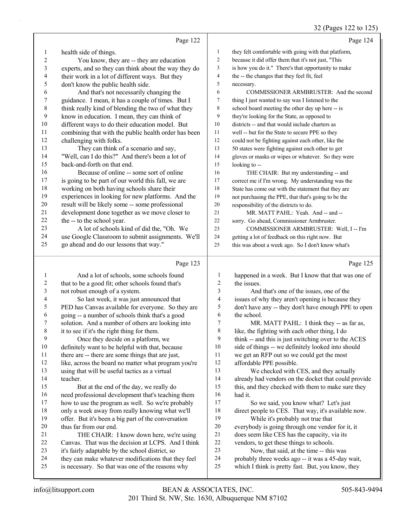## 32 (Pages 122 to 125)

|                | Page 122                                                                                       |                  | Page 124                                                                                 |
|----------------|------------------------------------------------------------------------------------------------|------------------|------------------------------------------------------------------------------------------|
| 1              | health side of things.                                                                         | $\mathbf{1}$     | they felt comfortable with going with that platform,                                     |
| $\overline{c}$ | You know, they are -- they are education                                                       | $\overline{c}$   | because it did offer them that it's not just, "This                                      |
| 3              | experts, and so they can think about the way they do                                           | 3                | is how you do it." There's that opportunity to make                                      |
| 4              | their work in a lot of different ways. But they                                                | 4                | the -- the changes that they feel fit, feel                                              |
| 5              | don't know the public health side.                                                             | 5                | necessary.                                                                               |
| 6              | And that's not necessarily changing the                                                        | 6                | COMMISSIONER ARMBRUSTER: And the second                                                  |
| 7              | guidance. I mean, it has a couple of times. But I                                              | 7                | thing I just wanted to say was I listened to the                                         |
| $\,$ $\,$      | think really kind of blending the two of what they                                             | 8                | school board meeting the other day up here -- is                                         |
| 9              | know in education. I mean, they can think of                                                   | 9                | they're looking for the State, as opposed to                                             |
| 10             | different ways to do their education model. But                                                | 10               | districts -- and that would include charters as                                          |
| 11             | combining that with the public health order has been                                           | 11               | well -- but for the State to secure PPE so they                                          |
| 12             | challenging with folks.                                                                        | 12               | could not be fighting against each other, like the                                       |
| 13             | They can think of a scenario and say,                                                          | 13               | 50 states were fighting against each other to get                                        |
| 14             | "Well, can I do this?" And there's been a lot of                                               | 14               | gloves or masks or wipes or whatever. So they were                                       |
| 15             | back-and-forth on that end.                                                                    | 15               | looking to --                                                                            |
| 16             | Because of online -- some sort of online                                                       | 16               | THE CHAIR: But my understanding -- and                                                   |
| 17             | is going to be part of our world this fall, we are                                             | 17               | correct me if I'm wrong. My understanding was the                                        |
| 18             | working on both having schools share their                                                     | 18               | State has come out with the statement that they are                                      |
| 19             | experiences in looking for new platforms. And the                                              | 19               | not purchasing the PPE, that that's going to be the                                      |
| $20\,$         | result will be likely some -- some professional                                                | 20               | responsibility of the districts to do.                                                   |
| 21             | development done together as we move closer to                                                 | 21               | MR. MATT PAHL: Yeah. And -- and --                                                       |
| $22\,$         | the -- to the school year.                                                                     | 22               | sorry. Go ahead, Commissioner Armbruster.                                                |
| 23             | A lot of schools kind of did the, "Oh. We                                                      | 23               | COMMISSIONER ARMBRUSTER: Well, I -- I'm                                                  |
| 24             | use Google Classroom to submit assignments. We'll                                              | 24               | getting a lot of feedback on this right now. But                                         |
| 25             | go ahead and do our lessons that way."                                                         | 25               | this was about a week ago. So I don't know what's                                        |
|                |                                                                                                |                  |                                                                                          |
|                | Page 123                                                                                       |                  | Page 125                                                                                 |
| 1              | And a lot of schools, some schools found                                                       | $\mathbf{1}$     | happened in a week. But I know that that was one of                                      |
| 2              | that to be a good fit; other schools found that's                                              | $\overline{c}$   | the issues.                                                                              |
| 3              | not robust enough of a system.                                                                 | 3                | And that's one of the issues, one of the                                                 |
| 4              | So last week, it was just announced that                                                       | $\overline{4}$   | issues of why they aren't opening is because they                                        |
| 5              | PED has Canvas available for everyone. So they are                                             | 5                | don't have any -- they don't have enough PPE to open                                     |
| 6              | going -- a number of schools think that's a good                                               | 6                | the school.                                                                              |
| 7              | solution. And a number of others are looking into                                              | $\boldsymbol{7}$ | MR. MATT PAHL: I think they -- as far as,                                                |
| 8              | it to see if it's the right thing for them.                                                    | 8                | like, the fighting with each other thing, I do                                           |
| 9              | Once they decide on a platform, we                                                             | 9                | think -- and this is just switching over to the ACES                                     |
| 10             | definitely want to be helpful with that, because                                               | 10               | side of things -- we definitely looked into should                                       |
| 11             | there are -- there are some things that are just,                                              | 11               | we get an RFP out so we could get the most                                               |
| 12             | like, across the board no matter what program you're                                           | 12               | affordable PPE possible.                                                                 |
| 13             | using that will be useful tactics as a virtual                                                 | 13               | We checked with CES, and they actually                                                   |
| 14             | teacher.                                                                                       | 14               | already had vendors on the docket that could provide                                     |
| 15             | But at the end of the day, we really do                                                        | 15               | this, and they checked with them to make sure they                                       |
| 16             | need professional development that's teaching them                                             | 16               | had it.                                                                                  |
| 17             | how to use the program as well. So we're probably                                              | 17               | So we said, you know what? Let's just                                                    |
| 18             | only a week away from really knowing what we'll                                                | 18               | direct people to CES. That way, it's available now.                                      |
| 19             | offer. But it's been a big part of the conversation                                            | 19<br>20         | While it's probably not true that                                                        |
| 20<br>21       | thus far from our end.                                                                         | 21               | everybody is going through one vendor for it, it                                         |
| 22             | THE CHAIR: I know down here, we're using<br>Canvas. That was the decision at LCPS. And I think | $22\,$           | does seem like CES has the capacity, via its<br>vendors, to get these things to schools. |
| 23             | it's fairly adaptable by the school district, so                                               | 23               | Now, that said, at the time -- this was                                                  |
| 24             | they can make whatever modifications that they feel                                            | 24               | probably three weeks ago -- it was a 45-day wait,                                        |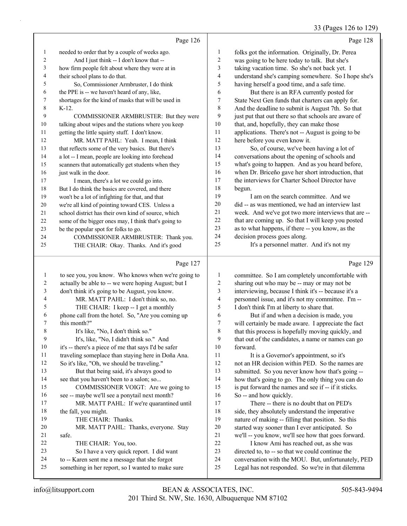## 33 (Pages 126 to 129)

|    | Page 126                                             |                | Page 128                                             |
|----|------------------------------------------------------|----------------|------------------------------------------------------|
| 1  | needed to order that by a couple of weeks ago.       | $\mathbf{1}$   | folks got the information. Originally, Dr. Perea     |
| 2  | And I just think -- I don't know that --             | $\overline{c}$ | was going to be here today to talk. But she's        |
| 3  | how firm people felt about where they were at in     | 3              | taking vacation time. So she's not back yet. I       |
| 4  | their school plans to do that.                       | 4              | understand she's camping somewhere. So I hope she's  |
| 5  | So, Commissioner Armbruster, I do think              | 5              | having herself a good time, and a safe time.         |
| 6  | the PPE is -- we haven't heard of any, like,         | 6              | But there is an RFA currently posted for             |
| 7  | shortages for the kind of masks that will be used in | 7              | State Next Gen funds that charters can apply for.    |
| 8  | $K-12$ .                                             | 8              | And the deadline to submit is August 7th. So that    |
| 9  | COMMISSIONER ARMBRUSTER: But they were               | 9              | just put that out there so that schools are aware of |
| 10 | talking about wipes and the stations where you keep  | 10             | that, and, hopefully, they can make those            |
| 11 | getting the little squirty stuff. I don't know.      | 11             | applications. There's not -- August is going to be   |
| 12 | MR. MATT PAHL: Yeah. I mean, I think                 | 12             | here before you even know it.                        |
| 13 | that reflects some of the very basics. But there's   | 13             | So, of course, we've been having a lot of            |
| 14 | a lot -- I mean, people are looking into forehead    | 14             | conversations about the opening of schools and       |
| 15 | scanners that automatically get students when they   | 15             | what's going to happen. And as you heard before,     |
| 16 | just walk in the door.                               | 16             | when Dr. Briceño gave her short introduction, that   |
| 17 | I mean, there's a lot we could go into.              | 17             | the interviews for Charter School Director have      |
| 18 | But I do think the basics are covered, and there     | 18             | begun.                                               |
| 19 | won't be a lot of infighting for that, and that      | 19             | I am on the search committee. And we                 |
| 20 | we're all kind of pointing toward CES. Unless a      | 20             | did -- as was mentioned, we had an interview last    |
| 21 | school district has their own kind of source, which  | 21             | week. And we've got two more interviews that are --  |
| 22 | some of the bigger ones may, I think that's going to | 22             | that are coming up. So that I will keep you posted   |
| 23 | be the popular spot for folks to go.                 | 23             | as to what happens, if there -- you know, as the     |
| 24 | COMMISSIONER ARMBRUSTER: Thank you.                  | 24             | decision process goes along.                         |
| 25 | THE CHAIR: Okay. Thanks. And it's good               | 25             | It's a personnel matter. And it's not my             |
|    | Page 127                                             |                | Page 129                                             |

#### Page 127 |

| 1              | to see you, you know. Who knows when we're going to  | 1              | committee. So I am completely uncomfortable with     |
|----------------|------------------------------------------------------|----------------|------------------------------------------------------|
| $\overline{2}$ | actually be able to -- we were hoping August; but I  | $\overline{2}$ | sharing out who may be -- may or may not be          |
| 3              | don't think it's going to be August, you know.       | 3              | interviewing, because I think it's -- because it's a |
| $\overline{4}$ | MR. MATT PAHL: I don't think so, no.                 | 4              | personnel issue, and it's not my committee. I'm --   |
| 5              | THE CHAIR: I keep -- I get a monthly                 | 5              | I don't think I'm at liberty to share that.          |
| 6              | phone call from the hotel. So, "Are you coming up    | 6              | But if and when a decision is made, you              |
| 7              | this month?"                                         | 7              | will certainly be made aware. I appreciate the fact  |
| 8              | It's like, "No, I don't think so."                   | 8              | that this process is hopefully moving quickly, and   |
| 9              | It's, like, "No, I didn't think so." And             | 9              | that out of the candidates, a name or names can go   |
| 10             | it's -- there's a piece of me that says I'd be safer | 10             | forward.                                             |
| 11             | traveling someplace than staying here in Doña Ana.   | 11             | It is a Governor's appointment, so it's              |
| 12             | So it's like, "Oh, we should be traveling."          | 12             | not an HR decision within PED. So the names are      |
| 13             | But that being said, it's always good to             | 13             | submitted. So you never know how that's going --     |
| 14             | see that you haven't been to a salon; so             | 14             | how that's going to go. The only thing you can do    |
| 15             | COMMISSIONER VOIGT: Are we going to                  | 15             | is put forward the names and see if -- if it sticks. |
| 16             | see -- maybe we'll see a ponytail next month?        | 16             | So -- and how quickly.                               |
| 17             | MR. MATT PAHL: If we're quarantined until            | 17             | There -- there is no doubt that on PED's             |
| 18             | the fall, you might.                                 | 18             | side, they absolutely understand the imperative      |
| 19             | THE CHAIR: Thanks.                                   | 19             | nature of making -- filling that position. So this   |
| 20             | MR. MATT PAHL: Thanks, everyone. Stay                | 20             | started way sooner than I ever anticipated. So       |
| 21             | safe.                                                | 21             | we'll -- you know, we'll see how that goes forward.  |
| 22             | THE CHAIR: You, too.                                 | 22             | I know Ami has reached out, as she was               |
| 23             | So I have a very quick report. I did want            | 23             | directed to, to -- so that we could continue the     |
| 24             | to -- Karen sent me a message that she forgot        | 24             | conversation with the MOU. But, unfortunately, PED   |
| 25             | something in her report, so I wanted to make sure    | 25             | Legal has not responded. So we're in that dilemma    |
|                |                                                      |                |                                                      |
|                |                                                      |                |                                                      |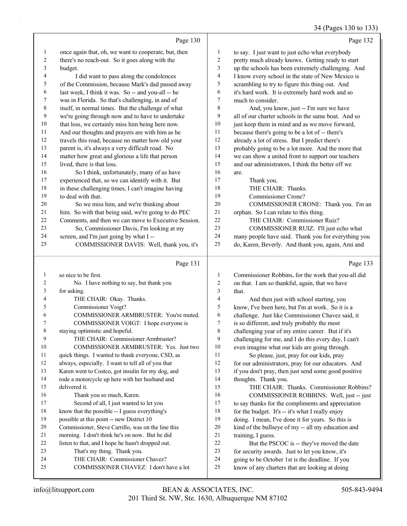#### 34 (Pages 130 to 133)

|    |                                                      |              | $3 + (1 \text{ uS} \text{v} \text{)} \text{ to } 133$ |
|----|------------------------------------------------------|--------------|-------------------------------------------------------|
|    | Page 130                                             |              | Page 132                                              |
| 1  | once again that, oh, we want to cooperate, but, then | $\mathbf{1}$ | to say. I just want to just echo what everybody       |
| 2  | there's no reach-out. So it goes along with the      | 2            | pretty much already knows. Getting ready to start     |
| 3  | budget.                                              | 3            | up the schools has been extremely challenging. And    |
| 4  | I did want to pass along the condolences             | 4            | I know every school in the state of New Mexico is     |
| 5  | of the Commission, because Mark's dad passed away    | 5            | scrambling to try to figure this thing out. And       |
| 6  | last week, I think it was. So -- and you-all -- he   | 6            | it's hard work. It is extremely hard work and so      |
| 7  | was in Florida. So that's challenging, in and of     | 7            | much to consider.                                     |
| 8  | itself, in normal times. But the challenge of what   | 8            | And, you know, just -- I'm sure we have               |
| 9  | we're going through now and to have to undertake     | 9            | all of our charter schools in the same boat. And so   |
| 10 | that loss, we certainly miss him being here now.     | 10           | just keep them in mind and as we move forward,        |
| 11 | And our thoughts and prayers are with him as he      | 11           | because there's going to be a lot of -- there's       |
| 12 | travels this road, because no matter how old your    | 12           | already a lot of stress. But I predict there's        |
| 13 | parent is, it's always a very difficult road. No     | 13           | probably going to be a lot more. And the more that    |
| 14 | matter how great and glorious a life that person     | 14           | we can show a united front to support our teachers    |
| 15 | lived, there is that loss.                           | 15           | and our administrators, I think the better off we     |
| 16 | So I think, unfortunately, many of us have           | 16           | are.                                                  |
| 17 | experienced that, so we can identify with it. But    | 17           | Thank you.                                            |
| 18 | in these challenging times, I can't imagine having   | 18           | THE CHAIR: Thanks.                                    |
| 19 | to deal with that.                                   | 19           | Commissioner Crone?                                   |
| 20 | So we miss him, and we're thinking about             | 20           | COMMISSIONER CRONE: Thank you. I'm an                 |
| 21 | him. So with that being said, we're going to do PEC  | $21\,$       | orphan. So I can relate to this thing.                |
| 22 | Comments, and then we can move to Executive Session. | 22           | THE CHAIR: Commissioner Ruiz?                         |
| 23 | So, Commissioner Davis, I'm looking at my            | 23           | COMMISSIONER RUIZ: I'll just echo what                |
| 24 | screen, and I'm just going by what I --              | 24           | many people have said. Thank you for everything you   |
| 25 | COMMISSIONER DAVIS: Well, thank you, it's            | 25           | do, Karen, Beverly. And thank you, again, Ami and     |
|    |                                                      |              |                                                       |
|    | Page 131                                             |              | Page 133                                              |
| 1  | so nice to be first.                                 | 1            | Commissioner Robbins, for the work that you-all did   |
| 2  | No. I have nothing to say, but thank you             | 2            | on that. I am so thankful, again, that we have        |
| 3  | for asking.                                          | 3            | that.                                                 |
| 4  | THE CHAIR: Okay. Thanks.                             | 4            | And then just with school starting, you               |
| 5  | Commissioner Voigt?                                  | 5            | know, I've been here, but I'm at work. So it is a     |
| 6  | COMMISSIONER ARMBRUSTER: You're muted.               | 6            | challenge. Just like Commissioner Chavez said, it     |
| 7  | COMMISSIONER VOIGT: I hope everyone is               | 7            | is so different, and truly probably the most          |
| 8  | staying optimistic and hopeful.                      | 8            | challenging year of my entire career. But if it's     |
| 9  | THE CHAIR: Commissioner Armbruster?                  | 9            | challenging for me, and I do this every day, I can't  |
| 10 | COMMISSIONER ARMBRUSTER: Yes. Just two               | 10           | even imagine what our kids are going through.         |
| 11 | quick things. I wanted to thank everyone, CSD, as    | 11           | So please, just, pray for our kids, pray              |
| 12 | always, especially. I want to tell all of you that   | 12           | for our administrators, pray for our educators. And   |
| 13 | Karen went to Costco, got insulin for my dog, and    | 13           | if you don't pray, then just send some good positive  |
|    |                                                      |              |                                                       |

 rode a motorcycle up here with her husband and delivered it. 16 Thank you so much, Karen.

- 17 Second of all, I just wanted to let you know that the possible -- I guess everything's possible at this point -- new District 10
- Commissioner, Steve Carrillo, was on the line this
- morning. I don't think he's on now. But he did
- listen to that, and I hope he hasn't dropped out.
- 23 That's my thing. Thank you.
- 24 THE CHAIR: Commissioner Chavez?
- 25 COMMISSIONER CHAVEZ: I don't have a lot
- thoughts. Thank you. 15 THE CHAIR: Thanks. Commissioner Robbins? 16 COMMISSIONER ROBBINS: Well, just -- just
- to say thanks for the compliments and appreciation 18 for the budget. It's -- it's what I really enjoy doing. I mean, I've done it for years. So this is
- kind of the bullseye of my -- all my education and 21 training, I guess.
- 22 But the PSCOC is -- they've moved the date
- for security awards. Just to let you know, it's
- going to be October 1st is the deadline. If you
- know of any charters that are looking at doing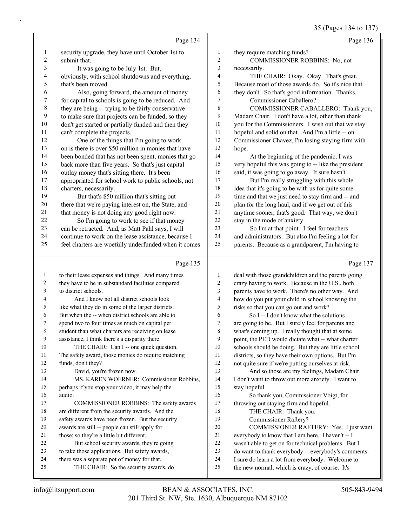|                  |                                                      |                          | 35 (Pages 134 to 137)                                |
|------------------|------------------------------------------------------|--------------------------|------------------------------------------------------|
|                  | Page 134                                             |                          | Page 136                                             |
| $\mathbf{1}$     | security upgrade, they have until October 1st to     | 1                        | they require matching funds?                         |
| 2                | submit that.                                         | $\sqrt{2}$               | COMMISSIONER ROBBINS: No, not                        |
| 3                | It was going to be July 1st. But,                    | $\overline{\mathbf{3}}$  | necessarily.                                         |
| 4                | obviously, with school shutdowns and everything,     | $\overline{4}$           | THE CHAIR: Okay. Okay. That's great.                 |
| 5                | that's been moved.                                   | 5                        | Because most of those awards do. So it's nice that   |
| 6                | Also, going forward, the amount of money             | 6                        | they don't. So that's good information. Thanks.      |
| $\boldsymbol{7}$ | for capital to schools is going to be reduced. And   | $\tau$                   | Commissioner Caballero?                              |
| $\,$ $\,$        | they are being -- trying to be fairly conservative   | $\,$ 8 $\,$              | COMMISSIONER CABALLERO: Thank you,                   |
| 9                | to make sure that projects can be funded, so they    | 9                        | Madam Chair. I don't have a lot, other than thank    |
| $10\,$           | don't get started or partially funded and then they  | 10                       | you for the Commissioners. I wish out that we stay   |
| 11               | can't complete the projects.                         | 11                       | hopeful and solid on that. And I'm a little -- on    |
| 12               | One of the things that I'm going to work             | 12                       | Commissioner Chavez, I'm losing staying firm with    |
| 13               | on is there is over \$50 million in monies that have | 13                       | hope.                                                |
| 14               | been bonded that has not been spent, monies that go  | 14                       | At the beginning of the pandemic, I was              |
| 15               | back more than five years. So that's just capital    | 15                       | very hopeful this was going to -- like the president |
| 16               | outlay money that's sitting there. It's been         | 16                       | said, it was going to go away. It sure hasn't.       |
| 17               | appropriated for school work to public schools, not  | 17                       | But I'm really struggling with this whole            |
| 18               | charters, necessarily.                               | 18                       | idea that it's going to be with us for quite some    |
| 19               | But that's \$50 million that's sitting out           | 19                       | time and that we just need to stay firm and -- and   |
| 20               | there that we're paying interest on, the State, and  | 20                       | plan for the long haul, and if we get out of this    |
| 21               | that money is not doing any good right now.          | 21                       | anytime sooner, that's good. That way, we don't      |
| 22               | So I'm going to work to see if that money            | 22                       | stay in the mode of anxiety.                         |
| 23               | can be retracted. And, as Matt Pahl says, I will     | 23                       | So I'm at that point. I feel for teachers            |
| 24               | continue to work on the lease assistance, because I  | 24                       | and administrators. But also I'm feeling a lot for   |
| 25               | feel charters are woefully underfunded when it comes | 25                       | parents. Because as a grandparent, I'm having to     |
|                  | Page 135                                             |                          | Page 137                                             |
| $\mathbf{1}$     | to their lease expenses and things. And many times   | $\mathbf{1}$             | deal with those grandchildren and the parents going  |
| 2                | they have to be in substandard facilities compared   | $\boldsymbol{2}$         | crazy having to work. Because in the U.S., both      |
| 3                | to district schools.                                 | 3                        | parents have to work. There's no other way. And      |
| 4                | And I know not all district schools look             | $\overline{\mathcal{L}}$ | how do you put your child in school knowing the      |
| 5                | like what they do in some of the larger districts.   | 5                        | risks so that you can go out and work?               |
| 6                | But when the -- when district schools are able to    | 6                        | So I -- I don't know what the solutions              |
| 7                | spend two to four times as much on capital per       | 7                        | are going to be. But I surely feel for parents and   |
| 8                | student than what charters are receiving on lease    | 8                        | what's coming up. I really thought that at some      |
| 9                | assistance, I think there's a disparity there.       | 9                        | point, the PED would dictate what -- what charter    |
| 10               | THE CHAIR: Can I -- one quick question.              | 10                       | schools should be doing. But they are little school  |
| 11               | The safety award, those monies do require matching   | 11                       | districts, so they have their own options. But I'm   |
| 12               | funds, don't they?                                   | 12                       | not quite sure if we're putting ourselves at risk.   |
| 13               | David, you're frozen now.                            | 13                       | And so those are my feelings, Madam Chair.           |
| 14               | MS. KAREN WOERNER: Commissioner Robbins,             | 14                       | I don't want to throw out more anxiety. I want to    |
| 15               | perhaps if you stop your video, it may help the      | 15                       | stay hopeful.                                        |
| 16               | audio.                                               | 16                       | So thank you, Commissioner Voigt, for                |
| 17               | COMMISSIONER ROBBINS: The safety awards              | 17                       | throwing out staying firm and hopeful.               |
| 18               | are different from the security awards. And the      | 18                       | THE CHAIR: Thank you.                                |
| 19               | safety awards have been frozen. But the security     | 19                       | Commissioner Raftery?                                |
| 20               | awards are still -- people can still apply for       | 20                       | COMMISSIONER RAFTERY: Yes. I just want               |
| 21               | those; so they're a little bit different.            | 21                       | everybody to know that I am here. I haven't -- I     |
| 22               | But school security awards, they're going            | $22\,$                   | wasn't able to get on for technical problems. But I  |
| 23               | to take those applications. But safety awards,       | 23                       | do want to thank everybody -- everybody's comments.  |
| 24               | there was a separate pot of money for that.          | 24                       | I sure do learn a lot from everybody. Welcome to     |

I sure do learn a lot from everybody. Welcome to

25 THE CHAIR: So the security awards, do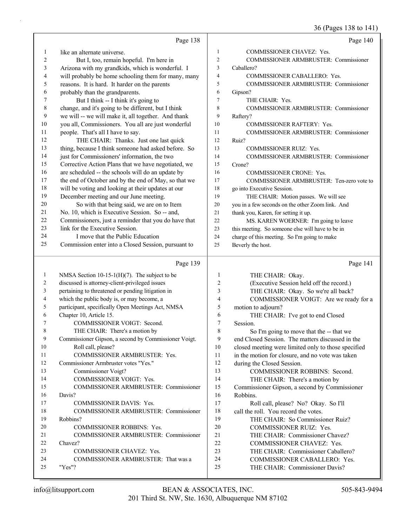36 (Pages 138 to 141)

|              | Page 138                                             |              | Page 140                                                       |
|--------------|------------------------------------------------------|--------------|----------------------------------------------------------------|
| 1            | like an alternate universe.                          | $\mathbf{1}$ | COMMISSIONER CHAVEZ: Yes.                                      |
| 2            | But I, too, remain hopeful. I'm here in              | 2            | COMMISSIONER ARMBRUSTER: Commissioner                          |
| 3            | Arizona with my grandkids, which is wonderful. I     | 3            | Caballero?                                                     |
| 4            | will probably be home schooling them for many, many  | 4            | COMMISSIONER CABALLERO: Yes.                                   |
| 5            | reasons. It is hard. It harder on the parents        | 5            | COMMISSIONER ARMBRUSTER: Commissioner                          |
| 6            | probably than the grandparents.                      | 6            | Gipson?                                                        |
| 7            | But I think -- I think it's going to                 | 7            | THE CHAIR: Yes.                                                |
| $\,8\,$      | change, and it's going to be different, but I think  | 8            | COMMISSIONER ARMBRUSTER: Commissioner                          |
| 9            | we will -- we will make it, all together. And thank  | 9            | Raftery?                                                       |
| 10           | you all, Commissioners. You all are just wonderful   | 10           | COMMISSIONER RAFTERY: Yes.                                     |
| 11           | people. That's all I have to say.                    | 11           | COMMISSIONER ARMBRUSTER: Commissioner                          |
| 12           | THE CHAIR: Thanks. Just one last quick               | 12           | Ruiz?                                                          |
| 13           | thing, because I think someone had asked before. So  | 13           | COMMISSIONER RUIZ: Yes.                                        |
| 14           | just for Commissioners' information, the two         | 14           | COMMISSIONER ARMBRUSTER: Commissioner                          |
| 15           | Corrective Action Plans that we have negotiated, we  | 15           | Crone?                                                         |
| 16           | are scheduled -- the schools will do an update by    | 16           | COMMISSIONER CRONE: Yes.                                       |
| 17           | the end of October and by the end of May, so that we | 17           | COMMISSIONER ARMBRUSTER: Ten-zero vote to                      |
| $18\,$       | will be voting and looking at their updates at our   | 18           | go into Executive Session.                                     |
| 19           | December meeting and our June meeting.               | 19           | THE CHAIR: Motion passes. We will see                          |
| 20           | So with that being said, we are on to Item           | 20           | you in a few seconds on the other Zoom link. And               |
| 21           | No. 10, which is Executive Session. So -- and,       | 21           | thank you, Karen, for setting it up.                           |
| 22           | Commissioners, just a reminder that you do have that | 22           | MS. KAREN WOERNER: I'm going to leave                          |
| 23           | link for the Executive Session.                      | 23           | this meeting. So someone else will have to be in               |
| 24           | I move that the Public Education                     | 24           | charge of this meeting. So I'm going to make                   |
| 25           | Commission enter into a Closed Session, pursuant to  | 25           | Beverly the host.                                              |
|              | Page 139                                             |              | Page 141                                                       |
| $\mathbf{1}$ | NMSA Section $10-15-1(H)(7)$ . The subject to be     | 1            | THE CHAIR: Okay.                                               |
| 2            | discussed is attorney-client-privileged issues       | 2            | (Executive Session held off the record.)                       |
| 3            | pertaining to threatened or pending litigation in    | 3            | THE CHAIR: Okay. So we're all back?                            |
| 4            | which the public body is, or may become, a           | 4            | COMMISSIONER VOIGT: Are we ready for a                         |
| 5            | participant, specifically Open Meetings Act, NMSA    | 5            |                                                                |
| 6            | Chapter 10, Article 15.                              |              | motion to adjourn?                                             |
|              |                                                      | 6            | THE CHAIR: I've got to end Closed                              |
| 7            | COMMISSIONER VOIGT: Second.                          | 7            | Session.                                                       |
| 8            | THE CHAIR: There's a motion by                       | $\,$ $\,$    | So I'm going to move that the -- that we                       |
| 9            | Commissioner Gipson, a second by Commissioner Voigt. | 9            | end Closed Session. The matters discussed in the               |
| 10           | Roll call, please?                                   | 10           | closed meeting were limited only to those specified            |
| 11           | COMMISSIONER ARMBRUSTER: Yes.                        | 11           | in the motion for closure, and no vote was taken               |
| 12           | Commissioner Armbruster votes "Yes."                 | 12           | during the Closed Session.                                     |
| 13           | Commissioner Voigt?                                  | 13           | COMMISSIONER ROBBINS: Second.                                  |
| 14           | COMMISSIONER VOIGT: Yes.                             | 14           | THE CHAIR: There's a motion by                                 |
| 15           | COMMISSIONER ARMBRUSTER: Commissioner                | 15           | Commissioner Gipson, a second by Commissioner                  |
| 16           | Davis?                                               | 16           | Robbins.                                                       |
| 17           | COMMISSIONER DAVIS: Yes.                             | 17           | Roll call, please? No? Okay. So I'll                           |
| 18           | COMMISSIONER ARMBRUSTER: Commissioner                | 18           | call the roll. You record the votes.                           |
| 19           | Robbins?                                             | 19           | THE CHAIR: So Commissioner Ruiz?                               |
| 20           | COMMISSIONER ROBBINS: Yes.                           | $20\,$       | COMMISSIONER RUIZ: Yes.                                        |
| 21           | COMMISSIONER ARMBRUSTER: Commissioner                | 21           | THE CHAIR: Commissioner Chavez?                                |
| 22           | Chavez?                                              | 22           | COMMISSIONER CHAVEZ: Yes.                                      |
| 23           | COMMISSIONER CHAVEZ: Yes.                            | 23           | THE CHAIR: Commissioner Caballero?                             |
| 24<br>25     | COMMISSIONER ARMBRUSTER: That was a<br>"Yes"?        | 24<br>25     | COMMISSIONER CABALLERO: Yes.<br>THE CHAIR: Commissioner Davis? |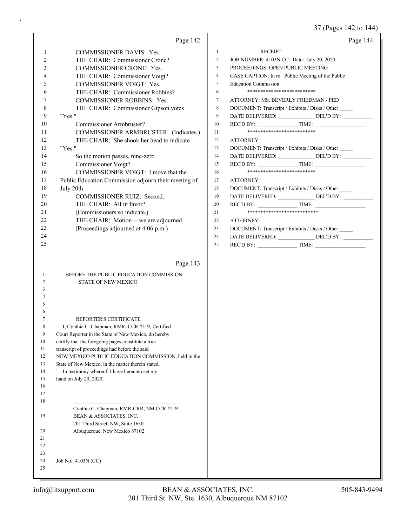37 (Pages 142 to 144)

|              | Page 142                                             |                  | Page 144                                                             |
|--------------|------------------------------------------------------|------------------|----------------------------------------------------------------------|
| $\mathbf{1}$ | <b>COMMISSIONER DAVIS: Yes.</b>                      | $\mathbf{1}$     | <b>RECEIPT</b>                                                       |
| 2            | THE CHAIR: Commissioner Crone?                       | 2                | JOB NUMBER: 4103N CC Date: July 20, 2020                             |
| 3            | COMMISSIONER CRONE: Yes.                             | $\overline{3}$   | PROCEEDINGS: OPEN PUBLIC MEETING                                     |
| 4            | THE CHAIR: Commissioner Voigt?                       | $\overline{4}$   | CASE CAPTION: In re: Public Meeting of the Public                    |
| 5            | COMMISSIONER VOIGT: Yes.                             | 5                | <b>Education Commission</b>                                          |
| 6            | THE CHAIR: Commissioner Robbins?                     | 6                | **************************                                           |
| 7            |                                                      | $\boldsymbol{7}$ | ATTORNEY: MS. BEVERLY FRIEDMAN - PED                                 |
|              | COMMISSIONER ROBBINS: Yes.                           |                  |                                                                      |
| 8            | THE CHAIR: Commissioner Gipson votes                 | $\,$ 8 $\,$      | DOCUMENT: Transcript / Exhibits / Disks / Other                      |
| 9            | "Yes."                                               | 9                |                                                                      |
| 10           | Commissioner Armbruster?                             | 10               | REC'D BY: $\qquad \qquad \qquad$ TIME:<br>************************** |
| 11           | COMMISSIONER ARMBRUSTER: (Indicates.)                | 11               |                                                                      |
| 12           | THE CHAIR: She shook her head to indicate            | 12               | ATTORNEY:                                                            |
| 13           | "Yes."                                               | 13               | DOCUMENT: Transcript / Exhibits / Disks / Other                      |
| 14           | So the motion passes, nine-zero.                     | 14               | DATE DELIVERED: _______________ DEL'D BY: __________                 |
| 15           | Commissioner Voigt?                                  | 15               | REC'D BY: TIME:                                                      |
| 16           | COMMISSIONER VOIGT: I move that the                  | 16               | **************************                                           |
| 17           | Public Education Commission adjourn their meeting of | 17               | ATTORNEY:                                                            |
| 18           | July 20th.                                           | 18               | DOCUMENT: Transcript / Exhibits / Disks / Other                      |
| 19           | COMMISSIONER RUIZ: Second.                           | 19               |                                                                      |
| 20           | THE CHAIR: All in favor?                             | 20               |                                                                      |
| 21           | (Commissioners so indicate.)                         | 21               | ***************************                                          |
| 22           | THE CHAIR: Motion -- we are adjourned.               | 22               | <b>ATTORNEY:</b>                                                     |
| 23           | (Proceedings adjourned at 4:06 p.m.)                 | 23               | DOCUMENT: Transcript / Exhibits / Disks / Other                      |
| 24           |                                                      | 24               | DATE DELIVERED: ________________ DEL'D BY: ___________               |
| 25           |                                                      | 25               | $RECD BY:$ TIME:                                                     |
|              |                                                      |                  |                                                                      |
|              | Page 143                                             |                  |                                                                      |
| -1           | BEFORE THE PUBLIC EDUCATION COMMISSION               |                  |                                                                      |
| 2            | <b>STATE OF NEW MEXICO</b>                           |                  |                                                                      |
| 3            |                                                      |                  |                                                                      |
| 5            |                                                      |                  |                                                                      |
|              |                                                      |                  |                                                                      |
|              | REPORTER'S CERTIFICATE                               |                  |                                                                      |
| 8            | I, Cynthia C. Chapman, RMR, CCR #219, Certified      |                  |                                                                      |
| 9            | Court Reporter in the State of New Mexico, do hereby |                  |                                                                      |
| 10           | certify that the foregoing pages constitute a true   |                  |                                                                      |
| 11           | transcript of proceedings had before the said        |                  |                                                                      |
| 12           | NEW MEXICO PUBLIC EDUCATION COMMISSION, held in the  |                  |                                                                      |
| 13           | State of New Mexico, in the matter therein stated.   |                  |                                                                      |
| 14           | In testimony whereof, I have hereunto set my         |                  |                                                                      |
| 15           | hand on July 29, 2020.                               |                  |                                                                      |
| 16           |                                                      |                  |                                                                      |
| 17           |                                                      |                  |                                                                      |
| 18           | Cynthia C. Chapman, RMR-CRR, NM CCR #219             |                  |                                                                      |
| 19           | BEAN & ASSOCIATES, INC.                              |                  |                                                                      |
|              | 201 Third Street, NW, Suite 1630                     |                  |                                                                      |
| 20           | Albuquerque, New Mexico 87102                        |                  |                                                                      |
| 21           |                                                      |                  |                                                                      |
| 22           |                                                      |                  |                                                                      |
| 23           |                                                      |                  |                                                                      |
| 24           | Job No.: 4103N (CC)                                  |                  |                                                                      |
| 25           |                                                      |                  |                                                                      |
|              |                                                      |                  |                                                                      |